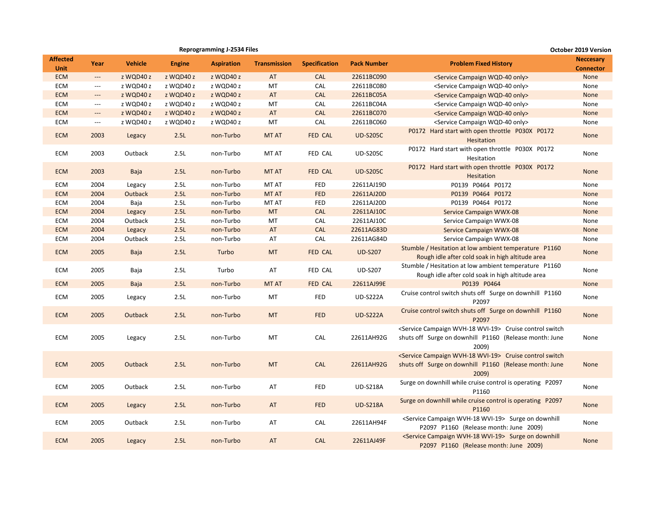|                                |                          |                |               | <b>Reprogramming J-2534 Files</b> |                     |                      |                    |                                                                                                                                                | <b>October 2019 Version</b>          |
|--------------------------------|--------------------------|----------------|---------------|-----------------------------------|---------------------|----------------------|--------------------|------------------------------------------------------------------------------------------------------------------------------------------------|--------------------------------------|
| <b>Affected</b><br><b>Unit</b> | Year                     | <b>Vehicle</b> | <b>Engine</b> | <b>Aspiration</b>                 | <b>Transmission</b> | <b>Specification</b> | <b>Pack Number</b> | <b>Problem Fixed History</b>                                                                                                                   | <b>Neccesary</b><br><b>Connector</b> |
| <b>ECM</b>                     | $\hspace{0.05cm} \ldots$ | z WQD40 z      | z WQD40 z     | z WQD40 z                         | AT                  | <b>CAL</b>           | 22611BC090         | <service campaign="" only="" wqd-40=""></service>                                                                                              | None                                 |
| ECM                            | $\hspace{0.05cm} \ldots$ | z WQD40 z      | z WQD40 z     | z WQD40 z                         | MT                  | <b>CAL</b>           | 22611BC080         | <service campaign="" only="" wqd-40=""></service>                                                                                              | None                                 |
| <b>ECM</b>                     | $\overline{\phantom{a}}$ | z WQD40 z      | z WQD40 z     | z WQD40 z                         | AT                  | <b>CAL</b>           | 22611BC05A         | <service campaign="" only="" wqd-40=""></service>                                                                                              | None                                 |
| ECM                            | $\hspace{0.05cm} \ldots$ | z WQD40 z      | z WQD40 z     | z WQD40 z                         | МT                  | <b>CAL</b>           | 22611BC04A         | <service campaign="" only="" wqd-40=""></service>                                                                                              | None                                 |
| <b>ECM</b>                     | $---$                    | z WQD40 z      | z WQD40 z     | z WQD40 z                         | AT                  | <b>CAL</b>           | 22611BC070         | <service campaign="" only="" wqd-40=""></service>                                                                                              | None                                 |
| ECM                            | $\hspace{0.05cm} \ldots$ | z WQD40 z      | z WQD40 z     | z WQD40 z                         | MT                  | <b>CAL</b>           | 22611BC060         | <service campaign="" only="" wqd-40=""></service>                                                                                              | None                                 |
| <b>ECM</b>                     | 2003                     | Legacy         | 2.5L          | non-Turbo                         | MT AT               | FED CAL              | <b>UD-S205C</b>    | P0172 Hard start with open throttle P030X P0172<br>Hesitation                                                                                  | None                                 |
| ECM                            | 2003                     | Outback        | 2.5L          | non-Turbo                         | MT AT               | FED CAL              | <b>UD-S205C</b>    | P0172 Hard start with open throttle P030X P0172<br>Hesitation                                                                                  | None                                 |
| <b>ECM</b>                     | 2003                     | Baja           | 2.5L          | non-Turbo                         | <b>MT AT</b>        | FED CAL              | <b>UD-S205C</b>    | P0172 Hard start with open throttle P030X P0172<br>Hesitation                                                                                  | None                                 |
| ECM                            | 2004                     | Legacy         | 2.5L          | non-Turbo                         | MT AT               | <b>FED</b>           | 22611AJ19D         | P0139 P0464 P0172                                                                                                                              | None                                 |
| <b>ECM</b>                     | 2004                     | Outback        | 2.5L          | non-Turbo                         | <b>MT AT</b>        | <b>FED</b>           | 22611AJ20D         | P0139 P0464 P0172                                                                                                                              | None                                 |
| ECM                            | 2004                     | Baja           | 2.5L          | non-Turbo                         | MT AT               | <b>FED</b>           | 22611AJ20D         | P0139 P0464 P0172                                                                                                                              | None                                 |
| <b>ECM</b>                     | 2004                     | Legacy         | 2.5L          | non-Turbo                         | <b>MT</b>           | <b>CAL</b>           | 22611AJ10C         | Service Campaign WWX-08                                                                                                                        | None                                 |
| ECM                            | 2004                     | Outback        | 2.5L          | non-Turbo                         | MT                  | <b>CAL</b>           | 22611AJ10C         | Service Campaign WWX-08                                                                                                                        | None                                 |
| <b>ECM</b>                     | 2004                     | Legacy         | 2.5L          | non-Turbo                         | AT                  | <b>CAL</b>           | 22611AG83D         | Service Campaign WWX-08                                                                                                                        | None                                 |
| ECM                            | 2004                     | Outback        | 2.5L          | non-Turbo                         | AT                  | CAL                  | 22611AG84D         | Service Campaign WWX-08                                                                                                                        | None                                 |
| <b>ECM</b>                     | 2005                     | Baja           | 2.5L          | Turbo                             | <b>MT</b>           | FED CAL              | <b>UD-S207</b>     | Stumble / Hesitation at low ambient temperature P1160<br>Rough idle after cold soak in high altitude area                                      | <b>None</b>                          |
| ECM                            | 2005                     | Baja           | 2.5L          | Turbo                             | AT                  | FED CAL              | <b>UD-S207</b>     | Stumble / Hesitation at low ambient temperature P1160<br>Rough idle after cold soak in high altitude area                                      | None                                 |
| <b>ECM</b>                     | 2005                     | Baja           | 2.5L          | non-Turbo                         | <b>MT AT</b>        | FED CAL              | 22611AJ99E         | P0139 P0464                                                                                                                                    | None                                 |
| ECM                            | 2005                     | Legacy         | 2.5L          | non-Turbo                         | MT                  | <b>FED</b>           | <b>UD-S222A</b>    | Cruise control switch shuts off Surge on downhill P1160<br>P2097                                                                               | None                                 |
| <b>ECM</b>                     | 2005                     | Outback        | 2.5L          | non-Turbo                         | <b>MT</b>           | <b>FED</b>           | <b>UD-S222A</b>    | Cruise control switch shuts off Surge on downhill P1160<br>P2097                                                                               | None                                 |
| ECM                            | 2005                     | Legacy         | 2.5L          | non-Turbo                         | MT                  | <b>CAL</b>           | 22611AH92G         | <service campaign="" wvh-18="" wvi-19=""> Cruise control switch<br/>shuts off Surge on downhill P1160 (Release month: June<br/>2009)</service> | None                                 |
| <b>ECM</b>                     | 2005                     | Outback        | 2.5L          | non-Turbo                         | <b>MT</b>           | <b>CAL</b>           | 22611AH92G         | <service campaign="" wvh-18="" wvi-19=""> Cruise control switch<br/>shuts off Surge on downhill P1160 (Release month: June<br/>2009)</service> | None                                 |
| ECM                            | 2005                     | Outback        | 2.5L          | non-Turbo                         | AT                  | <b>FED</b>           | <b>UD-S218A</b>    | Surge on downhill while cruise control is operating P2097<br>P1160                                                                             | None                                 |
| <b>ECM</b>                     | 2005                     | Legacy         | 2.5L          | non-Turbo                         | AT                  | <b>FED</b>           | <b>UD-S218A</b>    | Surge on downhill while cruise control is operating P2097<br>P1160                                                                             | None                                 |
| ECM                            | 2005                     | Outback        | 2.5L          | non-Turbo                         | AT                  | <b>CAL</b>           | 22611AH94F         | <service campaign="" wvh-18="" wvi-19=""> Surge on downhill<br/>P2097 P1160 (Release month: June 2009)</service>                               | None                                 |
| <b>ECM</b>                     | 2005                     | Legacy         | 2.5L          | non-Turbo                         | AT                  | <b>CAL</b>           | 22611AJ49F         | <service campaign="" wvh-18="" wvi-19=""> Surge on downhill<br/>P2097 P1160 (Release month: June 2009)</service>                               | <b>None</b>                          |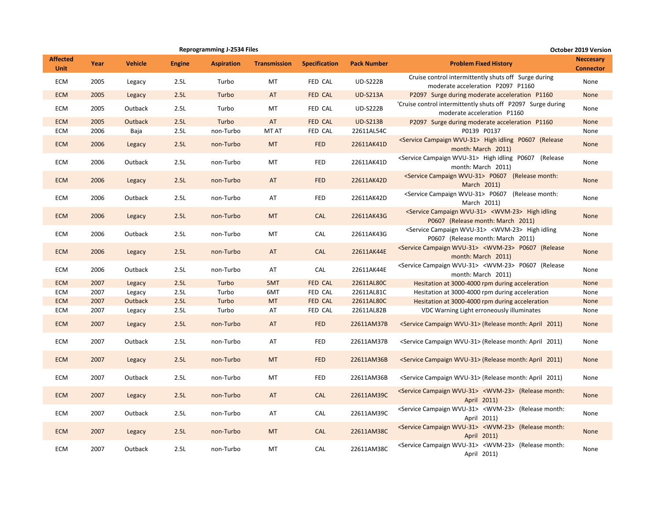|                                |      |                |               | <b>Reprogramming J-2534 Files</b> |                     |                      |                    |                                                                                                               | October 2019 Version                 |
|--------------------------------|------|----------------|---------------|-----------------------------------|---------------------|----------------------|--------------------|---------------------------------------------------------------------------------------------------------------|--------------------------------------|
| <b>Affected</b><br><b>Unit</b> | Year | <b>Vehicle</b> | <b>Engine</b> | <b>Aspiration</b>                 | <b>Transmission</b> | <b>Specification</b> | <b>Pack Number</b> | <b>Problem Fixed History</b>                                                                                  | <b>Neccesary</b><br><b>Connector</b> |
| ECM                            | 2005 | Legacy         | 2.5L          | Turbo                             | MT                  | FED CAL              | <b>UD-S222B</b>    | Cruise control intermittently shuts off Surge during<br>moderate acceleration P2097 P1160                     | None                                 |
| <b>ECM</b>                     | 2005 | Legacy         | 2.5L          | Turbo                             | AT                  | <b>FED CAL</b>       | <b>UD-S213A</b>    | P2097 Surge during moderate acceleration P1160                                                                | None                                 |
| ECM                            | 2005 | Outback        | 2.5L          | Turbo                             | MT                  | FED CAL              | <b>UD-S222B</b>    | 'Cruise control intermittently shuts off P2097 Surge during<br>moderate acceleration P1160                    | None                                 |
| <b>ECM</b>                     | 2005 | Outback        | 2.5L          | Turbo                             | AT                  | FED CAL              | <b>UD-S213B</b>    | P2097 Surge during moderate acceleration P1160                                                                | None                                 |
| ECM                            | 2006 | Baja           | 2.5L          | non-Turbo                         | <b>MT AT</b>        | FED CAL              | 22611AL54C         | P0139 P0137                                                                                                   | None                                 |
| <b>ECM</b>                     | 2006 | Legacy         | 2.5L          | non-Turbo                         | <b>MT</b>           | <b>FED</b>           | 22611AK41D         | <service campaign="" wvu-31=""> High idling P0607 (Release<br/>month: March 2011)</service>                   | None                                 |
| ECM                            | 2006 | Outback        | 2.5L          | non-Turbo                         | MT                  | <b>FED</b>           | 22611AK41D         | <service campaign="" wvu-31=""> High idling P0607 (Release<br/>month: March 2011)</service>                   | None                                 |
| <b>ECM</b>                     | 2006 | Legacy         | 2.5L          | non-Turbo                         | AT                  | <b>FED</b>           | 22611AK42D         | <service campaign="" wvu-31=""> P0607 (Release month:<br/>March 2011)</service>                               | None                                 |
| ECM                            | 2006 | Outback        | 2.5L          | non-Turbo                         | AT                  | <b>FED</b>           | 22611AK42D         | <service campaign="" wvu-31=""> P0607 (Release month:<br/>March 2011)</service>                               | None                                 |
| <b>ECM</b>                     | 2006 | Legacy         | 2.5L          | non-Turbo                         | <b>MT</b>           | <b>CAL</b>           | 22611AK43G         | <service campaign="" wvu-31=""> <wvm-23> High idling<br/>P0607 (Release month: March 2011)</wvm-23></service> | None                                 |
| ECM                            | 2006 | Outback        | 2.5L          | non-Turbo                         | MT                  | CAL                  | 22611AK43G         | <service campaign="" wvu-31=""> <wvm-23> High idling<br/>P0607 (Release month: March 2011)</wvm-23></service> | None                                 |
| <b>ECM</b>                     | 2006 | Legacy         | 2.5L          | non-Turbo                         | AT                  | <b>CAL</b>           | 22611AK44E         | <service campaign="" wvu-31=""> <wvm-23> P0607 (Release<br/>month: March 2011)</wvm-23></service>             | None                                 |
| ECM                            | 2006 | Outback        | 2.5L          | non-Turbo                         | AT                  | CAL                  | 22611AK44E         | <service campaign="" wvu-31=""> <wvm-23> P0607 (Release<br/>month: March 2011)</wvm-23></service>             | None                                 |
| <b>ECM</b>                     | 2007 | Legacy         | 2.5L          | Turbo                             | 5MT                 | <b>FED CAL</b>       | 22611AL80C         | Hesitation at 3000-4000 rpm during acceleration                                                               | None                                 |
| ECM                            | 2007 | Legacy         | 2.5L          | Turbo                             | 6MT                 | FED CAL              | 22611AL81C         | Hesitation at 3000-4000 rpm during acceleration                                                               | None                                 |
| <b>ECM</b>                     | 2007 | Outback        | 2.5L          | Turbo                             | <b>MT</b>           | FED CAL              | 22611AL80C         | Hesitation at 3000-4000 rpm during acceleration                                                               | None                                 |
| ECM                            | 2007 | Legacy         | 2.5L          | Turbo                             | AT                  | FED CAL              | 22611AL82B         | VDC Warning Light erroneously illuminates                                                                     | None                                 |
| <b>ECM</b>                     | 2007 | Legacy         | 2.5L          | non-Turbo                         | AT                  | <b>FED</b>           | 22611AM37B         | <service campaign="" wvu-31=""> (Release month: April 2011)</service>                                         | None                                 |
| ECM                            | 2007 | Outback        | 2.5L          | non-Turbo                         | AT                  | <b>FED</b>           | 22611AM37B         | <service campaign="" wvu-31=""> (Release month: April 2011)</service>                                         | None                                 |
| <b>ECM</b>                     | 2007 | Legacy         | 2.5L          | non-Turbo                         | <b>MT</b>           | <b>FED</b>           | 22611AM36B         | <service campaign="" wvu-31=""> (Release month: April 2011)</service>                                         | None                                 |
| ECM                            | 2007 | Outback        | 2.5L          | non-Turbo                         | MT                  | <b>FED</b>           | 22611AM36B         | <service campaign="" wvu-31=""> (Release month: April 2011)</service>                                         | None                                 |
| <b>ECM</b>                     | 2007 | Legacy         | 2.5L          | non-Turbo                         | AT                  | <b>CAL</b>           | 22611AM39C         | <service campaign="" wvu-31=""> <wvm-23> (Release month:<br/>April 2011)</wvm-23></service>                   | <b>None</b>                          |
| ECM                            | 2007 | Outback        | 2.5L          | non-Turbo                         | AT                  | CAL                  | 22611AM39C         | <service campaign="" wvu-31=""> <wvm-23> (Release month:<br/>April 2011)</wvm-23></service>                   | None                                 |
| <b>ECM</b>                     | 2007 | Legacy         | 2.5L          | non-Turbo                         | <b>MT</b>           | <b>CAL</b>           | 22611AM38C         | <service campaign="" wvu-31=""> <wvm-23> (Release month:<br/>April 2011)</wvm-23></service>                   | None                                 |
| ECM                            | 2007 | Outback        | 2.5L          | non-Turbo                         | MT                  | CAL                  | 22611AM38C         | <service campaign="" wvu-31=""> <wvm-23> (Release month:<br/>April 2011)</wvm-23></service>                   | None                                 |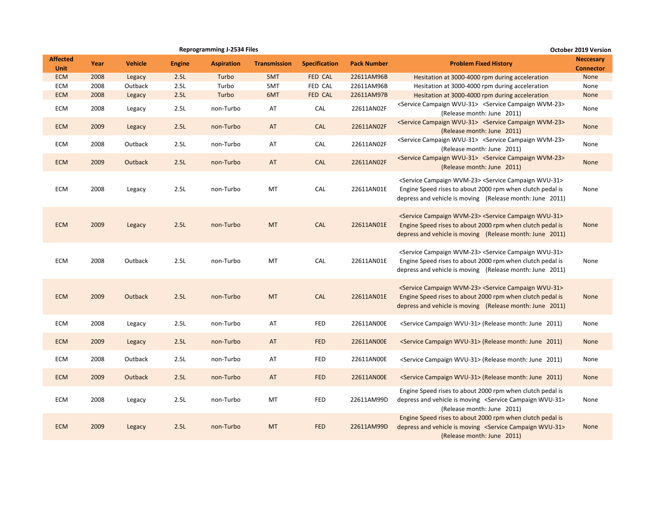|                                |      |                |               | <b>Reprogramming J-2534 Files</b> |                     |                      | <b>October 2019 Version</b> |                                                                                                                                                                                                                |                                      |  |  |
|--------------------------------|------|----------------|---------------|-----------------------------------|---------------------|----------------------|-----------------------------|----------------------------------------------------------------------------------------------------------------------------------------------------------------------------------------------------------------|--------------------------------------|--|--|
| <b>Affected</b><br><b>Unit</b> | Year | <b>Vehicle</b> | <b>Engine</b> | <b>Aspiration</b>                 | <b>Transmission</b> | <b>Specification</b> | <b>Pack Number</b>          | <b>Problem Fixed History</b>                                                                                                                                                                                   | <b>Neccesary</b><br><b>Connector</b> |  |  |
| <b>ECM</b>                     | 2008 | Legacy         | 2.5L          | Turbo                             | 5MT                 | <b>FED CAL</b>       | 22611AM96B                  | Hesitation at 3000-4000 rpm during acceleration                                                                                                                                                                | None                                 |  |  |
| ECM                            | 2008 | Outback        | 2.5L          | Turbo                             | 5MT                 | FED CAL              | 22611AM96B                  | Hesitation at 3000-4000 rpm during acceleration                                                                                                                                                                | None                                 |  |  |
| <b>ECM</b>                     | 2008 | Legacy         | 2.5L          | Turbo                             | 6MT                 | FED CAL              | 22611AM97B                  | Hesitation at 3000-4000 rpm during acceleration                                                                                                                                                                | None                                 |  |  |
| ECM                            | 2008 | Legacy         | 2.5L          | non-Turbo                         | AT                  | CAL                  | 22611AN02F                  | <service campaign="" wvu-31=""> <service campaign="" wvm-23=""><br/>(Release month: June 2011)</service></service>                                                                                             | None                                 |  |  |
| <b>ECM</b>                     | 2009 | Legacy         | 2.5L          | non-Turbo                         | AT                  | <b>CAL</b>           | 22611AN02F                  | <service campaign="" wvu-31=""> <service campaign="" wvm-23=""><br/>(Release month: June 2011)</service></service>                                                                                             | None                                 |  |  |
| ECM                            | 2008 | Outback        | 2.5L          | non-Turbo                         | AT                  | CAL                  | 22611AN02F                  | <service campaign="" wvu-31=""> <service campaign="" wvm-23=""><br/>(Release month: June 2011)</service></service>                                                                                             | None                                 |  |  |
| <b>ECM</b>                     | 2009 | Outback        | 2.5L          | non-Turbo                         | AT                  | <b>CAL</b>           | 22611AN02F                  | <service campaign="" wvu-31=""> <service campaign="" wvm-23=""><br/>(Release month: June 2011)</service></service>                                                                                             | None                                 |  |  |
| ECM                            | 2008 | Legacy         | 2.5L          | non-Turbo                         | MT                  | CAL                  | 22611AN01E                  | <service campaign="" wvm-23=""> <service campaign="" wvu-31=""><br/>Engine Speed rises to about 2000 rpm when clutch pedal is<br/>depress and vehicle is moving (Release month: June 2011)</service></service> | None                                 |  |  |
| <b>ECM</b>                     | 2009 | Legacy         | 2.5L          | non-Turbo                         | <b>MT</b>           | <b>CAL</b>           | 22611AN01E                  | <service campaign="" wvm-23=""> <service campaign="" wvu-31=""><br/>Engine Speed rises to about 2000 rpm when clutch pedal is<br/>depress and vehicle is moving (Release month: June 2011)</service></service> | None                                 |  |  |
| ECM                            | 2008 | Outback        | 2.5L          | non-Turbo                         | MT                  | CAL                  | 22611AN01E                  | <service campaign="" wvm-23=""> <service campaign="" wvu-31=""><br/>Engine Speed rises to about 2000 rpm when clutch pedal is<br/>depress and vehicle is moving (Release month: June 2011)</service></service> | None                                 |  |  |
| <b>ECM</b>                     | 2009 | Outback        | 2.5L          | non-Turbo                         | <b>MT</b>           | CAL                  | 22611AN01E                  | <service campaign="" wvm-23=""> <service campaign="" wvu-31=""><br/>Engine Speed rises to about 2000 rpm when clutch pedal is<br/>depress and vehicle is moving (Release month: June 2011)</service></service> | None                                 |  |  |
| ECM                            | 2008 | Legacy         | 2.5L          | non-Turbo                         | AT                  | <b>FED</b>           | 22611AN00E                  | <service campaign="" wvu-31=""> (Release month: June 2011)</service>                                                                                                                                           | None                                 |  |  |
| <b>ECM</b>                     | 2009 | Legacy         | 2.5L          | non-Turbo                         | AT                  | <b>FED</b>           | 22611AN00E                  | <service campaign="" wvu-31=""> (Release month: June 2011)</service>                                                                                                                                           | None                                 |  |  |
| ECM                            | 2008 | Outback        | 2.5L          | non-Turbo                         | AT                  | FED                  | 22611AN00E                  | <service campaign="" wvu-31=""> (Release month: June 2011)</service>                                                                                                                                           | None                                 |  |  |
| <b>ECM</b>                     | 2009 | Outback        | 2.5L          | non-Turbo                         | AT                  | <b>FED</b>           | 22611AN00E                  | <service campaign="" wvu-31=""> (Release month: June 2011)</service>                                                                                                                                           | None                                 |  |  |
| ECM                            | 2008 | Legacy         | 2.5L          | non-Turbo                         | MT                  | <b>FED</b>           | 22611AM99D                  | Engine Speed rises to about 2000 rpm when clutch pedal is<br>depress and vehicle is moving <service campaign="" wvu-31=""><br/>(Release month: June 2011)</service>                                            | None                                 |  |  |
| <b>ECM</b>                     | 2009 | Legacy         | 2.5L          | non-Turbo                         | <b>MT</b>           | <b>FED</b>           | 22611AM99D                  | Engine Speed rises to about 2000 rpm when clutch pedal is<br>depress and vehicle is moving <service campaign="" wvu-31=""><br/>(Release month: June 2011)</service>                                            | None                                 |  |  |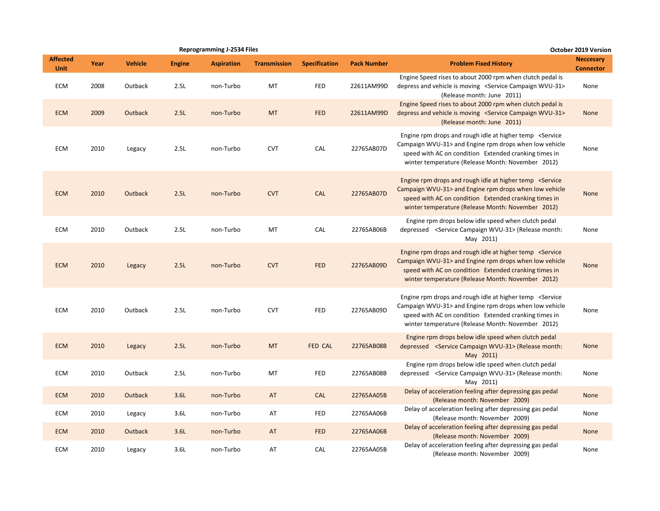|                                |      |                |               | <b>Reprogramming J-2534 Files</b> |                     |                      |                    |                                                                                                                                                                                                                                                   | October 2019 Version                 |
|--------------------------------|------|----------------|---------------|-----------------------------------|---------------------|----------------------|--------------------|---------------------------------------------------------------------------------------------------------------------------------------------------------------------------------------------------------------------------------------------------|--------------------------------------|
| <b>Affected</b><br><b>Unit</b> | Year | <b>Vehicle</b> | <b>Engine</b> | <b>Aspiration</b>                 | <b>Transmission</b> | <b>Specification</b> | <b>Pack Number</b> | <b>Problem Fixed History</b>                                                                                                                                                                                                                      | <b>Neccesary</b><br><b>Connector</b> |
| ECM                            | 2008 | Outback        | 2.5L          | non-Turbo                         | MT                  | <b>FED</b>           | 22611AM99D         | Engine Speed rises to about 2000 rpm when clutch pedal is<br>depress and vehicle is moving <service campaign="" wvu-31=""><br/>(Release month: June 2011)</service>                                                                               | None                                 |
| <b>ECM</b>                     | 2009 | Outback        | 2.5L          | non-Turbo                         | <b>MT</b>           | <b>FED</b>           | 22611AM99D         | Engine Speed rises to about 2000 rpm when clutch pedal is<br>depress and vehicle is moving <service campaign="" wvu-31=""><br/>(Release month: June 2011)</service>                                                                               | None                                 |
| ECM                            | 2010 | Legacy         | 2.5L          | non-Turbo                         | <b>CVT</b>          | CAL                  | 22765AB07D         | Engine rpm drops and rough idle at higher temp <service<br>Campaign WVU-31&gt; and Engine rpm drops when low vehicle<br/>speed with AC on condition Extended cranking times in<br/>winter temperature (Release Month: November 2012)</service<br> | None                                 |
| <b>ECM</b>                     | 2010 | Outback        | 2.5L          | non-Turbo                         | <b>CVT</b>          | <b>CAL</b>           | 22765AB07D         | Engine rpm drops and rough idle at higher temp <service<br>Campaign WVU-31&gt; and Engine rpm drops when low vehicle<br/>speed with AC on condition Extended cranking times in<br/>winter temperature (Release Month: November 2012)</service<br> | None                                 |
| <b>ECM</b>                     | 2010 | Outback        | 2.5L          | non-Turbo                         | MT                  | CAL                  | 22765AB06B         | Engine rpm drops below idle speed when clutch pedal<br>depressed <service campaign="" wvu-31=""> (Release month:<br/>May 2011)</service>                                                                                                          | None                                 |
| <b>ECM</b>                     | 2010 | Legacy         | 2.5L          | non-Turbo                         | <b>CVT</b>          | <b>FED</b>           | 22765AB09D         | Engine rpm drops and rough idle at higher temp <service<br>Campaign WVU-31&gt; and Engine rpm drops when low vehicle<br/>speed with AC on condition Extended cranking times in<br/>winter temperature (Release Month: November 2012)</service<br> | None                                 |
| ECM                            | 2010 | Outback        | 2.5L          | non-Turbo                         | <b>CVT</b>          | <b>FED</b>           | 22765AB09D         | Engine rpm drops and rough idle at higher temp <service<br>Campaign WVU-31&gt; and Engine rpm drops when low vehicle<br/>speed with AC on condition Extended cranking times in<br/>winter temperature (Release Month: November 2012)</service<br> | None                                 |
| <b>ECM</b>                     | 2010 | Legacy         | 2.5L          | non-Turbo                         | <b>MT</b>           | <b>FED CAL</b>       | 22765AB08B         | Engine rpm drops below idle speed when clutch pedal<br>depressed <service campaign="" wvu-31=""> (Release month:<br/>May 2011)</service>                                                                                                          | <b>None</b>                          |
| ECM                            | 2010 | Outback        | 2.5L          | non-Turbo                         | MT                  | <b>FED</b>           | 22765AB08B         | Engine rpm drops below idle speed when clutch pedal<br>depressed <service campaign="" wvu-31=""> (Release month:<br/>May 2011)</service>                                                                                                          | None                                 |
| <b>ECM</b>                     | 2010 | Outback        | 3.6L          | non-Turbo                         | AT                  | <b>CAL</b>           | 22765AA05B         | Delay of acceleration feeling after depressing gas pedal<br>(Release month: November 2009)                                                                                                                                                        | None                                 |
| ECM                            | 2010 | Legacy         | 3.6L          | non-Turbo                         | AT                  | <b>FED</b>           | 22765AA06B         | Delay of acceleration feeling after depressing gas pedal<br>(Release month: November 2009)                                                                                                                                                        | None                                 |
| <b>ECM</b>                     | 2010 | Outback        | 3.6L          | non-Turbo                         | AT                  | <b>FED</b>           | 22765AA06B         | Delay of acceleration feeling after depressing gas pedal<br>(Release month: November 2009)                                                                                                                                                        | None                                 |
| ECM                            | 2010 | Legacy         | 3.6L          | non-Turbo                         | AT                  | CAL                  | 22765AA05B         | Delay of acceleration feeling after depressing gas pedal<br>(Release month: November 2009)                                                                                                                                                        | None                                 |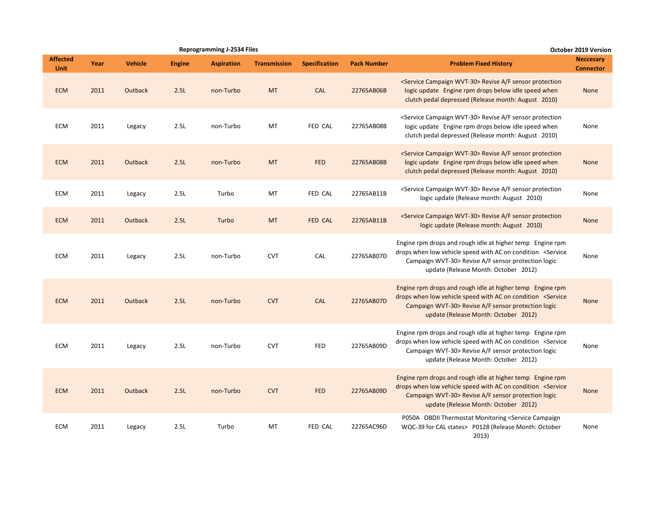|                                |      |                |               | <b>Reprogramming J-2534 Files</b> |                     |                      |                    |                                                                                                                                                                                                                                         | <b>October 2019 Version</b>          |
|--------------------------------|------|----------------|---------------|-----------------------------------|---------------------|----------------------|--------------------|-----------------------------------------------------------------------------------------------------------------------------------------------------------------------------------------------------------------------------------------|--------------------------------------|
| <b>Affected</b><br><b>Unit</b> | Year | <b>Vehicle</b> | <b>Engine</b> | <b>Aspiration</b>                 | <b>Transmission</b> | <b>Specification</b> | <b>Pack Number</b> | <b>Problem Fixed History</b>                                                                                                                                                                                                            | <b>Neccesary</b><br><b>Connector</b> |
| <b>ECM</b>                     | 2011 | <b>Outback</b> | 2.5L          | non-Turbo                         | <b>MT</b>           | CAL                  | 22765AB06B         | <service campaign="" wvt-30=""> Revise A/F sensor protection<br/>logic update Engine rpm drops below idle speed when<br/>clutch pedal depressed (Release month: August 2010)</service>                                                  | None                                 |
| ECM                            | 2011 | Legacy         | 2.5L          | non-Turbo                         | MT                  | FED CAL              | 22765AB08B         | <service campaign="" wvt-30=""> Revise A/F sensor protection<br/>logic update Engine rpm drops below idle speed when<br/>clutch pedal depressed (Release month: August 2010)</service>                                                  | None                                 |
| <b>ECM</b>                     | 2011 | <b>Outback</b> | 2.5L          | non-Turbo                         | <b>MT</b>           | <b>FED</b>           | 22765AB08B         | <service campaign="" wvt-30=""> Revise A/F sensor protection<br/>logic update Engine rpm drops below idle speed when<br/>clutch pedal depressed (Release month: August 2010)</service>                                                  | None                                 |
| <b>ECM</b>                     | 2011 | Legacy         | 2.5L          | Turbo                             | MT                  | FED CAL              | 22765AB11B         | <service campaign="" wvt-30=""> Revise A/F sensor protection<br/>logic update (Release month: August 2010)</service>                                                                                                                    | None                                 |
| <b>ECM</b>                     | 2011 | <b>Outback</b> | 2.5L          | Turbo                             | <b>MT</b>           | FED CAL              | 22765AB11B         | <service campaign="" wvt-30=""> Revise A/F sensor protection<br/>logic update (Release month: August 2010)</service>                                                                                                                    | None                                 |
| <b>ECM</b>                     | 2011 | Legacy         | 2.5L          | non-Turbo                         | <b>CVT</b>          | CAL                  | 22765AB07D         | Engine rpm drops and rough idle at higher temp Engine rpm<br>drops when low vehicle speed with AC on condition <service<br>Campaign WVT-30&gt; Revise A/F sensor protection logic<br/>update (Release Month: October 2012)</service<br> | None                                 |
| <b>ECM</b>                     | 2011 | <b>Outback</b> | 2.5L          | non-Turbo                         | <b>CVT</b>          | CAL                  | 22765AB07D         | Engine rpm drops and rough idle at higher temp Engine rpm<br>drops when low vehicle speed with AC on condition <service<br>Campaign WVT-30&gt; Revise A/F sensor protection logic<br/>update (Release Month: October 2012)</service<br> | <b>None</b>                          |
| <b>ECM</b>                     | 2011 | Legacy         | 2.5L          | non-Turbo                         | <b>CVT</b>          | <b>FED</b>           | 22765AB09D         | Engine rpm drops and rough idle at higher temp Engine rpm<br>drops when low vehicle speed with AC on condition <service<br>Campaign WVT-30&gt; Revise A/F sensor protection logic<br/>update (Release Month: October 2012)</service<br> | None                                 |
| <b>ECM</b>                     | 2011 | <b>Outback</b> | 2.5L          | non-Turbo                         | <b>CVT</b>          | <b>FED</b>           | 22765AB09D         | Engine rpm drops and rough idle at higher temp Engine rpm<br>drops when low vehicle speed with AC on condition <service<br>Campaign WVT-30&gt; Revise A/F sensor protection logic<br/>update (Release Month: October 2012)</service<br> | <b>None</b>                          |
| <b>ECM</b>                     | 2011 | Legacy         | 2.5L          | Turbo                             | MT                  | FED CAL              | 22765AC96D         | P050A OBDII Thermostat Monitoring <service campaign<br="">WQC-39 for CAL states&gt; P0128 (Release Month: October<br/>2013)</service>                                                                                                   | None                                 |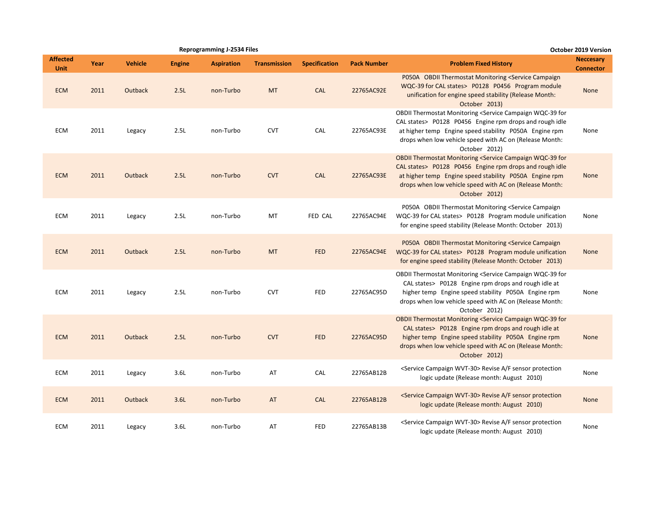|                                | <b>Reprogramming J-2534 Files</b><br>Year<br><b>Vehicle</b><br><b>Aspiration</b><br><b>Transmission</b><br><b>Engine</b><br>2011<br>Outback<br>2.5L<br><b>MT</b><br>non-Turbo<br>2011<br>2.5L<br><b>CVT</b><br>non-Turbo<br>Legacy<br>2011<br>2.5L<br><b>CVT</b><br>Outback<br>non-Turbo<br>2011<br>2.5L<br>MT<br>non-Turbo<br>Legacy<br>2011<br><b>Outback</b><br>2.5L<br><b>MT</b><br>non-Turbo<br><b>CVT</b><br>2011<br>2.5L<br>non-Turbo<br>Legacy<br>2011<br><b>Outback</b><br>2.5L<br><b>CVT</b><br>non-Turbo<br>AT<br>2011<br>3.6L<br>non-Turbo<br>Legacy<br>2011<br><b>Outback</b><br>3.6L<br>AT<br>non-Turbo |        |      |           |    |                      |                    |                                                                                                                                                                                                                                                                                             | October 2019 Version                 |
|--------------------------------|-----------------------------------------------------------------------------------------------------------------------------------------------------------------------------------------------------------------------------------------------------------------------------------------------------------------------------------------------------------------------------------------------------------------------------------------------------------------------------------------------------------------------------------------------------------------------------------------------------------------------|--------|------|-----------|----|----------------------|--------------------|---------------------------------------------------------------------------------------------------------------------------------------------------------------------------------------------------------------------------------------------------------------------------------------------|--------------------------------------|
| <b>Affected</b><br><b>Unit</b> |                                                                                                                                                                                                                                                                                                                                                                                                                                                                                                                                                                                                                       |        |      |           |    | <b>Specification</b> | <b>Pack Number</b> | <b>Problem Fixed History</b>                                                                                                                                                                                                                                                                | <b>Neccesary</b><br><b>Connector</b> |
| <b>ECM</b>                     |                                                                                                                                                                                                                                                                                                                                                                                                                                                                                                                                                                                                                       |        |      |           |    | CAL                  | 22765AC92E         | P050A OBDII Thermostat Monitoring <service campaign<br="">WQC-39 for CAL states&gt; P0128 P0456 Program module<br/>unification for engine speed stability (Release Month:<br/>October 2013)</service>                                                                                       | <b>None</b>                          |
| <b>ECM</b>                     |                                                                                                                                                                                                                                                                                                                                                                                                                                                                                                                                                                                                                       |        |      |           |    | CAL                  | 22765AC93E         | OBDII Thermostat Monitoring <service campaign="" for<br="" wqc-39="">CAL states&gt; P0128 P0456 Engine rpm drops and rough idle<br/>at higher temp Engine speed stability P050A Engine rpm<br/>drops when low vehicle speed with AC on (Release Month:<br/>October 2012)</service>          | None                                 |
| <b>ECM</b>                     |                                                                                                                                                                                                                                                                                                                                                                                                                                                                                                                                                                                                                       |        |      |           |    | <b>CAL</b>           | 22765AC93E         | OBDII Thermostat Monitoring <service campaign="" for<br="" wqc-39="">CAL states&gt; P0128 P0456 Engine rpm drops and rough idle<br/>at higher temp Engine speed stability P050A Engine rpm<br/>drops when low vehicle speed with AC on (Release Month:<br/>October 2012)</service>          | None                                 |
| <b>ECM</b>                     |                                                                                                                                                                                                                                                                                                                                                                                                                                                                                                                                                                                                                       |        |      |           |    | <b>FED CAL</b>       | 22765AC94E         | P050A OBDII Thermostat Monitoring <service campaign<br="">WQC-39 for CAL states&gt; P0128 Program module unification<br/>for engine speed stability (Release Month: October 2013)</service>                                                                                                 | None                                 |
| <b>ECM</b>                     |                                                                                                                                                                                                                                                                                                                                                                                                                                                                                                                                                                                                                       |        |      |           |    | <b>FED</b>           | 22765AC94E         | P050A OBDII Thermostat Monitoring <service campaign<br="">WQC-39 for CAL states&gt; P0128 Program module unification<br/>for engine speed stability (Release Month: October 2013)</service>                                                                                                 | <b>None</b>                          |
| <b>ECM</b>                     |                                                                                                                                                                                                                                                                                                                                                                                                                                                                                                                                                                                                                       |        |      |           |    | <b>FED</b>           | 22765AC95D         | OBDII Thermostat Monitoring <service campaign="" for<br="" wqc-39="">CAL states &gt; P0128 Engine rpm drops and rough idle at<br/>higher temp Engine speed stability P050A Engine rpm<br/>drops when low vehicle speed with AC on (Release Month:<br/>October 2012)</service>               | None                                 |
| <b>ECM</b>                     |                                                                                                                                                                                                                                                                                                                                                                                                                                                                                                                                                                                                                       |        |      |           |    | <b>FED</b>           | 22765AC95D         | <b>OBDII Thermostat Monitoring <service b="" campaign="" for<="" wqc-39=""><br/>CAL states&gt; P0128 Engine rpm drops and rough idle at<br/>higher temp Engine speed stability P050A Engine rpm<br/>drops when low vehicle speed with AC on (Release Month:<br/>October 2012)</service></b> | <b>None</b>                          |
| <b>ECM</b>                     |                                                                                                                                                                                                                                                                                                                                                                                                                                                                                                                                                                                                                       |        |      |           |    | CAL                  | 22765AB12B         | <service campaign="" wvt-30=""> Revise A/F sensor protection<br/>logic update (Release month: August 2010)</service>                                                                                                                                                                        | None                                 |
| <b>ECM</b>                     |                                                                                                                                                                                                                                                                                                                                                                                                                                                                                                                                                                                                                       |        |      |           |    | CAL                  | 22765AB12B         | <service campaign="" wvt-30=""> Revise A/F sensor protection<br/>logic update (Release month: August 2010)</service>                                                                                                                                                                        | <b>None</b>                          |
| <b>ECM</b>                     | 2011                                                                                                                                                                                                                                                                                                                                                                                                                                                                                                                                                                                                                  | Legacy | 3.6L | non-Turbo | AT | <b>FED</b>           | 22765AB13B         | <service campaign="" wvt-30=""> Revise A/F sensor protection<br/>logic update (Release month: August 2010)</service>                                                                                                                                                                        | None                                 |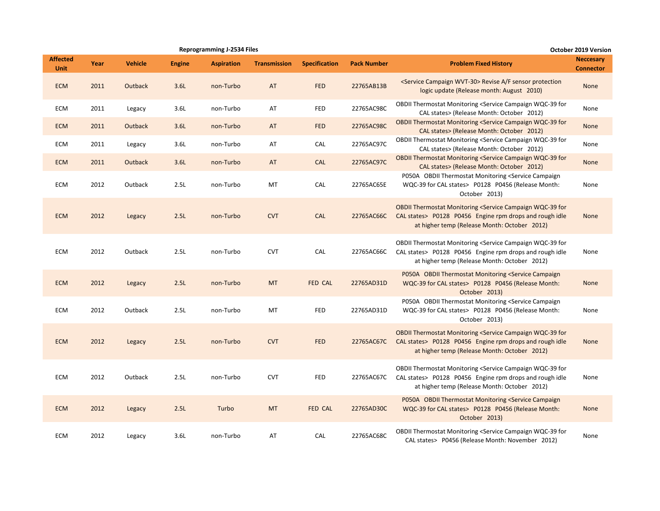|                                |      |                |               | <b>Reprogramming J-2534 Files</b> |                     |                      |                    |                                                                                                                                                                                                           | October 2019 Version                 |
|--------------------------------|------|----------------|---------------|-----------------------------------|---------------------|----------------------|--------------------|-----------------------------------------------------------------------------------------------------------------------------------------------------------------------------------------------------------|--------------------------------------|
| <b>Affected</b><br><b>Unit</b> | Year | <b>Vehicle</b> | <b>Engine</b> | <b>Aspiration</b>                 | <b>Transmission</b> | <b>Specification</b> | <b>Pack Number</b> | <b>Problem Fixed History</b>                                                                                                                                                                              | <b>Neccesary</b><br><b>Connector</b> |
| <b>ECM</b>                     | 2011 | Outback        | 3.6L          | non-Turbo                         | AT                  | <b>FED</b>           | 22765AB13B         | <service campaign="" wvt-30=""> Revise A/F sensor protection<br/>logic update (Release month: August 2010)</service>                                                                                      | None                                 |
| ECM                            | 2011 | Legacy         | 3.6L          | non-Turbo                         | AT                  | FED                  | 22765AC98C         | OBDII Thermostat Monitoring <service campaign="" for<br="" wqc-39="">CAL states&gt; (Release Month: October 2012)</service>                                                                               | None                                 |
| <b>ECM</b>                     | 2011 | Outback        | 3.6L          | non-Turbo                         | AT                  | <b>FED</b>           | 22765AC98C         | <b>OBDII Thermostat Monitoring <service b="" campaign="" for<="" wqc-39=""><br/>CAL states&gt; (Release Month: October 2012)</service></b>                                                                | None                                 |
| <b>ECM</b>                     | 2011 | Legacy         | 3.6L          | non-Turbo                         | AT                  | CAL                  | 22765AC97C         | OBDII Thermostat Monitoring <service campaign="" for<br="" wqc-39="">CAL states&gt; (Release Month: October 2012)</service>                                                                               | None                                 |
| <b>ECM</b>                     | 2011 | Outback        | 3.6L          | non-Turbo                         | AT                  | <b>CAL</b>           | 22765AC97C         | <b>OBDII Thermostat Monitoring <service b="" campaign="" for<="" wqc-39=""><br/>CAL states&gt; (Release Month: October 2012)</service></b>                                                                | None                                 |
| <b>ECM</b>                     | 2012 | Outback        | 2.5L          | non-Turbo                         | MT                  | CAL                  | 22765AC65E         | P050A OBDII Thermostat Monitoring <service campaign<br="">WQC-39 for CAL states&gt; P0128 P0456 (Release Month:<br/>October 2013)</service>                                                               | None                                 |
| <b>ECM</b>                     | 2012 | Legacy         | 2.5L          | non-Turbo                         | <b>CVT</b>          | <b>CAL</b>           | 22765AC66C         | <b>OBDII Thermostat Monitoring <service b="" campaign="" for<="" wqc-39=""><br/>CAL states&gt; P0128 P0456 Engine rpm drops and rough idle<br/>at higher temp (Release Month: October 2012)</service></b> | None                                 |
| <b>ECM</b>                     | 2012 | Outback        | 2.5L          | non-Turbo                         | <b>CVT</b>          | CAL                  | 22765AC66C         | OBDII Thermostat Monitoring <service campaign="" for<br="" wqc-39="">CAL states&gt; P0128 P0456 Engine rpm drops and rough idle<br/>at higher temp (Release Month: October 2012)</service>                | None                                 |
| <b>ECM</b>                     | 2012 | Legacy         | 2.5L          | non-Turbo                         | <b>MT</b>           | FED CAL              | 22765AD31D         | P050A OBDII Thermostat Monitoring <service campaign<br="">WQC-39 for CAL states&gt; P0128 P0456 (Release Month:<br/>October 2013)</service>                                                               | None                                 |
| <b>ECM</b>                     | 2012 | Outback        | 2.5L          | non-Turbo                         | МT                  | <b>FED</b>           | 22765AD31D         | P050A OBDII Thermostat Monitoring <service campaign<br="">WQC-39 for CAL states&gt; P0128 P0456 (Release Month:<br/>October 2013)</service>                                                               | None                                 |
| <b>ECM</b>                     | 2012 | Legacy         | 2.5L          | non-Turbo                         | <b>CVT</b>          | <b>FED</b>           | 22765AC67C         | OBDII Thermostat Monitoring <service campaign="" for<br="" wqc-39="">CAL states&gt; P0128 P0456 Engine rpm drops and rough idle<br/>at higher temp (Release Month: October 2012)</service>                | None                                 |
| <b>ECM</b>                     | 2012 | Outback        | 2.5L          | non-Turbo                         | <b>CVT</b>          | FED                  | 22765AC67C         | OBDII Thermostat Monitoring <service campaign="" for<br="" wqc-39="">CAL states&gt; P0128 P0456 Engine rpm drops and rough idle<br/>at higher temp (Release Month: October 2012)</service>                | None                                 |
| <b>ECM</b>                     | 2012 | Legacy         | 2.5L          | Turbo                             | <b>MT</b>           | FED CAL              | 22765AD30C         | P050A OBDII Thermostat Monitoring <service campaign<br="">WQC-39 for CAL states&gt; P0128 P0456 (Release Month:<br/>October 2013)</service>                                                               | None                                 |
| <b>ECM</b>                     | 2012 | Legacy         | 3.6L          | non-Turbo                         | AT                  | CAL                  | 22765AC68C         | OBDII Thermostat Monitoring <service campaign="" for<br="" wqc-39="">CAL states&gt; P0456 (Release Month: November 2012)</service>                                                                        | None                                 |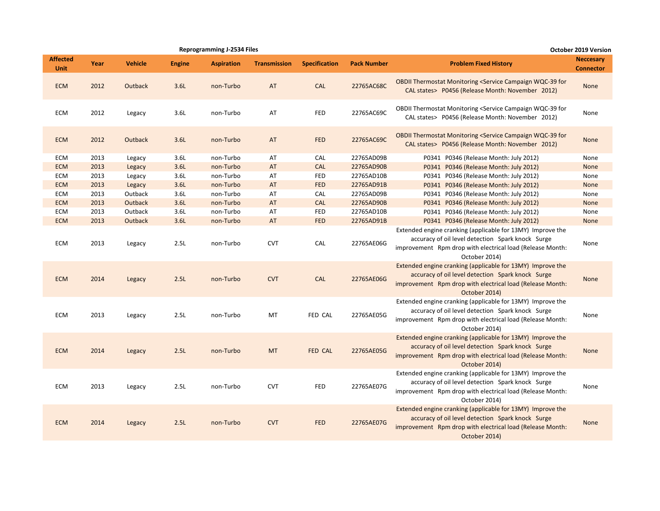|                                |      |                |               | <b>Reprogramming J-2534 Files</b> |                     |                      |                    |                                                                                                                                                                                               | <b>October 2019 Version</b>          |
|--------------------------------|------|----------------|---------------|-----------------------------------|---------------------|----------------------|--------------------|-----------------------------------------------------------------------------------------------------------------------------------------------------------------------------------------------|--------------------------------------|
| <b>Affected</b><br><b>Unit</b> | Year | <b>Vehicle</b> | <b>Engine</b> | <b>Aspiration</b>                 | <b>Transmission</b> | <b>Specification</b> | <b>Pack Number</b> | <b>Problem Fixed History</b>                                                                                                                                                                  | <b>Neccesary</b><br><b>Connector</b> |
| <b>ECM</b>                     | 2012 | Outback        | 3.6L          | non-Turbo                         | AT                  | <b>CAL</b>           | 22765AC68C         | <b>OBDII Thermostat Monitoring <service b="" campaign="" for<="" wqc-39=""><br/>CAL states&gt; P0456 (Release Month: November 2012)</service></b>                                             | <b>None</b>                          |
| ECM                            | 2012 | Legacy         | 3.6L          | non-Turbo                         | AT                  | <b>FED</b>           | 22765AC69C         | OBDII Thermostat Monitoring <service campaign="" for<br="" wqc-39="">CAL states&gt; P0456 (Release Month: November 2012)</service>                                                            | None                                 |
| <b>ECM</b>                     | 2012 | Outback        | 3.6L          | non-Turbo                         | AT                  | <b>FED</b>           | 22765AC69C         | <b>OBDII Thermostat Monitoring <service b="" campaign="" for<="" wqc-39=""><br/>CAL states&gt; P0456 (Release Month: November 2012)</service></b>                                             | <b>None</b>                          |
| <b>ECM</b>                     | 2013 | Legacy         | 3.6L          | non-Turbo                         | AT                  | CAL                  | 22765AD09B         | P0341 P0346 (Release Month: July 2012)                                                                                                                                                        | None                                 |
| <b>ECM</b>                     | 2013 | Legacy         | 3.6L          | non-Turbo                         | AT                  | <b>CAL</b>           | 22765AD90B         | P0341 P0346 (Release Month: July 2012)                                                                                                                                                        | None                                 |
| <b>ECM</b>                     | 2013 | Legacy         | 3.6L          | non-Turbo                         | AT                  | <b>FED</b>           | 22765AD10B         | P0341 P0346 (Release Month: July 2012)                                                                                                                                                        | None                                 |
| <b>ECM</b>                     | 2013 | Legacy         | 3.6L          | non-Turbo                         | AT                  | <b>FED</b>           | 22765AD91B         | P0341 P0346 (Release Month: July 2012)                                                                                                                                                        | None                                 |
| ECM                            | 2013 | Outback        | 3.6L          | non-Turbo                         | AT                  | <b>CAL</b>           | 22765AD09B         | P0341 P0346 (Release Month: July 2012)                                                                                                                                                        | None                                 |
| <b>ECM</b>                     | 2013 | Outback        | 3.6L          | non-Turbo                         | AT                  | <b>CAL</b>           | 22765AD90B         | P0341 P0346 (Release Month: July 2012)                                                                                                                                                        | <b>None</b>                          |
| ECM                            | 2013 | Outback        | 3.6L          | non-Turbo                         | AT                  | <b>FED</b>           | 22765AD10B         | P0341 P0346 (Release Month: July 2012)                                                                                                                                                        | None                                 |
| <b>ECM</b>                     | 2013 | Outback        | 3.6L          | non-Turbo                         | AT                  | <b>FED</b>           | 22765AD91B         | P0341 P0346 (Release Month: July 2012)                                                                                                                                                        | None                                 |
| ECM                            | 2013 | Legacy         | 2.5L          | non-Turbo                         | <b>CVT</b>          | CAL                  | 22765AE06G         | Extended engine cranking (applicable for 13MY) Improve the<br>accuracy of oil level detection Spark knock Surge<br>improvement Rpm drop with electrical load (Release Month:<br>October 2014) | None                                 |
| <b>ECM</b>                     | 2014 | Legacy         | 2.5L          | non-Turbo                         | <b>CVT</b>          | CAL                  | 22765AE06G         | Extended engine cranking (applicable for 13MY) Improve the<br>accuracy of oil level detection Spark knock Surge<br>improvement Rpm drop with electrical load (Release Month:<br>October 2014) | <b>None</b>                          |
| ECM                            | 2013 | Legacy         | 2.5L          | non-Turbo                         | MT                  | FED CAL              | 22765AE05G         | Extended engine cranking (applicable for 13MY) Improve the<br>accuracy of oil level detection Spark knock Surge<br>improvement Rpm drop with electrical load (Release Month:<br>October 2014) | None                                 |
| <b>ECM</b>                     | 2014 | Legacy         | 2.5L          | non-Turbo                         | MT                  | FED CAL              | 22765AE05G         | Extended engine cranking (applicable for 13MY) Improve the<br>accuracy of oil level detection Spark knock Surge<br>improvement Rpm drop with electrical load (Release Month:<br>October 2014) | None                                 |
| ECM                            | 2013 | Legacy         | 2.5L          | non-Turbo                         | <b>CVT</b>          | <b>FED</b>           | 22765AE07G         | Extended engine cranking (applicable for 13MY) Improve the<br>accuracy of oil level detection Spark knock Surge<br>improvement Rpm drop with electrical load (Release Month:<br>October 2014) | None                                 |
| <b>ECM</b>                     | 2014 | Legacy         | 2.5L          | non-Turbo                         | <b>CVT</b>          | <b>FED</b>           | 22765AE07G         | Extended engine cranking (applicable for 13MY) Improve the<br>accuracy of oil level detection Spark knock Surge<br>improvement Rpm drop with electrical load (Release Month:<br>October 2014) | None                                 |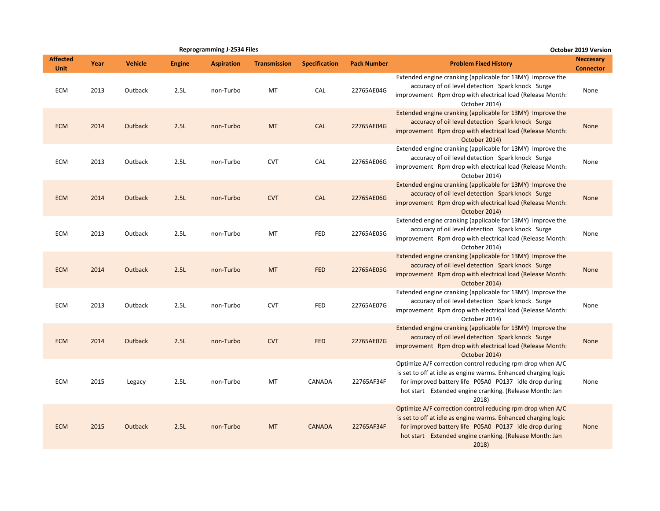|                                |      |                |               | <b>Reprogramming J-2534 Files</b> |                     |                      |                    |                                                                                                                                                                                                                                                            | <b>October 2019 Version</b>          |
|--------------------------------|------|----------------|---------------|-----------------------------------|---------------------|----------------------|--------------------|------------------------------------------------------------------------------------------------------------------------------------------------------------------------------------------------------------------------------------------------------------|--------------------------------------|
| <b>Affected</b><br><b>Unit</b> | Year | <b>Vehicle</b> | <b>Engine</b> | <b>Aspiration</b>                 | <b>Transmission</b> | <b>Specification</b> | <b>Pack Number</b> | <b>Problem Fixed History</b>                                                                                                                                                                                                                               | <b>Neccesary</b><br><b>Connector</b> |
| <b>ECM</b>                     | 2013 | Outback        | 2.5L          | non-Turbo                         | <b>MT</b>           | CAL                  | 22765AE04G         | Extended engine cranking (applicable for 13MY) Improve the<br>accuracy of oil level detection Spark knock Surge<br>improvement Rpm drop with electrical load (Release Month:<br>October 2014)                                                              | None                                 |
| <b>ECM</b>                     | 2014 | <b>Outback</b> | 2.5L          | non-Turbo                         | <b>MT</b>           | <b>CAL</b>           | 22765AE04G         | Extended engine cranking (applicable for 13MY) Improve the<br>accuracy of oil level detection Spark knock Surge<br>improvement Rpm drop with electrical load (Release Month:<br>October 2014)                                                              | None                                 |
| <b>ECM</b>                     | 2013 | Outback        | 2.5L          | non-Turbo                         | <b>CVT</b>          | CAL                  | 22765AE06G         | Extended engine cranking (applicable for 13MY) Improve the<br>accuracy of oil level detection Spark knock Surge<br>improvement Rpm drop with electrical load (Release Month:<br>October 2014)                                                              | None                                 |
| <b>ECM</b>                     | 2014 | <b>Outback</b> | 2.5L          | non-Turbo                         | <b>CVT</b>          | CAL                  | 22765AE06G         | Extended engine cranking (applicable for 13MY) Improve the<br>accuracy of oil level detection Spark knock Surge<br>improvement Rpm drop with electrical load (Release Month:<br>October 2014)                                                              | None                                 |
| <b>ECM</b>                     | 2013 | Outback        | 2.5L          | non-Turbo                         | MT                  | FED                  | 22765AE05G         | Extended engine cranking (applicable for 13MY) Improve the<br>accuracy of oil level detection Spark knock Surge<br>improvement Rpm drop with electrical load (Release Month:<br>October 2014)                                                              | None                                 |
| <b>ECM</b>                     | 2014 | Outback        | 2.5L          | non-Turbo                         | <b>MT</b>           | <b>FED</b>           | 22765AE05G         | Extended engine cranking (applicable for 13MY) Improve the<br>accuracy of oil level detection Spark knock Surge<br>improvement Rpm drop with electrical load (Release Month:<br>October 2014)                                                              | None                                 |
| <b>ECM</b>                     | 2013 | Outback        | 2.5L          | non-Turbo                         | <b>CVT</b>          | FED                  | 22765AE07G         | Extended engine cranking (applicable for 13MY) Improve the<br>accuracy of oil level detection Spark knock Surge<br>improvement Rpm drop with electrical load (Release Month:<br>October 2014)                                                              | None                                 |
| <b>ECM</b>                     | 2014 | <b>Outback</b> | 2.5L          | non-Turbo                         | <b>CVT</b>          | <b>FED</b>           | 22765AE07G         | Extended engine cranking (applicable for 13MY) Improve the<br>accuracy of oil level detection Spark knock Surge<br>improvement Rpm drop with electrical load (Release Month:<br>October 2014)                                                              | <b>None</b>                          |
| <b>ECM</b>                     | 2015 | Legacy         | 2.5L          | non-Turbo                         | MT                  | CANADA               | 22765AF34F         | Optimize A/F correction control reducing rpm drop when A/C<br>is set to off at idle as engine warms. Enhanced charging logic<br>for improved battery life P05A0 P0137 idle drop during<br>hot start Extended engine cranking. (Release Month: Jan<br>2018) | None                                 |
| <b>ECM</b>                     | 2015 | <b>Outback</b> | 2.5L          | non-Turbo                         | <b>MT</b>           | <b>CANADA</b>        | 22765AF34F         | Optimize A/F correction control reducing rpm drop when A/C<br>is set to off at idle as engine warms. Enhanced charging logic<br>for improved battery life P05A0 P0137 idle drop during<br>hot start Extended engine cranking. (Release Month: Jan<br>2018) | None                                 |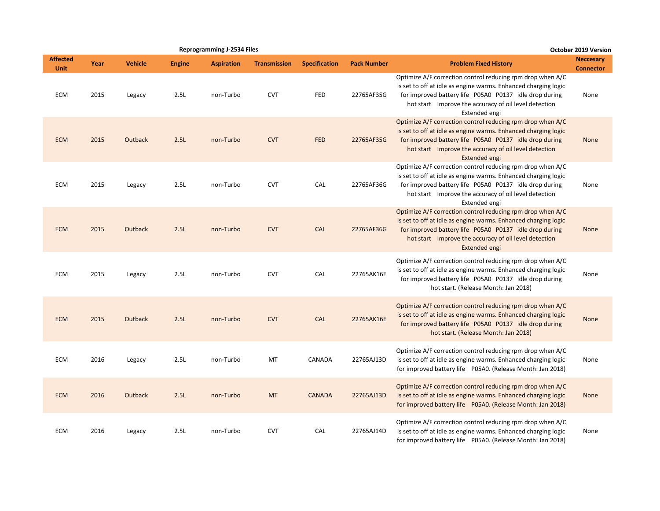|                                |      |                |               | <b>Reprogramming J-2534 Files</b> |                     |                      |                    |                                                                                                                                                                                                                                                                         | October 2019 Version                 |
|--------------------------------|------|----------------|---------------|-----------------------------------|---------------------|----------------------|--------------------|-------------------------------------------------------------------------------------------------------------------------------------------------------------------------------------------------------------------------------------------------------------------------|--------------------------------------|
| <b>Affected</b><br><b>Unit</b> | Year | <b>Vehicle</b> | <b>Engine</b> | <b>Aspiration</b>                 | <b>Transmission</b> | <b>Specification</b> | <b>Pack Number</b> | <b>Problem Fixed History</b>                                                                                                                                                                                                                                            | <b>Neccesary</b><br><b>Connector</b> |
| <b>ECM</b>                     | 2015 | Legacy         | 2.5L          | non-Turbo                         | <b>CVT</b>          | FED                  | 22765AF35G         | Optimize A/F correction control reducing rpm drop when A/C<br>is set to off at idle as engine warms. Enhanced charging logic<br>for improved battery life P05A0 P0137 idle drop during<br>hot start Improve the accuracy of oil level detection<br>Extended engi        | None                                 |
| <b>ECM</b>                     | 2015 | Outback        | 2.5L          | non-Turbo                         | <b>CVT</b>          | <b>FED</b>           | 22765AF35G         | Optimize A/F correction control reducing rpm drop when A/C<br>is set to off at idle as engine warms. Enhanced charging logic<br>for improved battery life P05A0 P0137 idle drop during<br>hot start Improve the accuracy of oil level detection<br><b>Extended engi</b> | None                                 |
| <b>ECM</b>                     | 2015 | Legacy         | 2.5L          | non-Turbo                         | <b>CVT</b>          | CAL                  | 22765AF36G         | Optimize A/F correction control reducing rpm drop when A/C<br>is set to off at idle as engine warms. Enhanced charging logic<br>for improved battery life P05A0 P0137 idle drop during<br>hot start Improve the accuracy of oil level detection<br>Extended engi        | None                                 |
| <b>ECM</b>                     | 2015 | Outback        | 2.5L          | non-Turbo                         | <b>CVT</b>          | <b>CAL</b>           | 22765AF36G         | Optimize A/F correction control reducing rpm drop when A/C<br>is set to off at idle as engine warms. Enhanced charging logic<br>for improved battery life P05A0 P0137 idle drop during<br>hot start Improve the accuracy of oil level detection<br>Extended engi        | None                                 |
| <b>ECM</b>                     | 2015 | Legacy         | 2.5L          | non-Turbo                         | <b>CVT</b>          | CAL                  | 22765AK16E         | Optimize A/F correction control reducing rpm drop when A/C<br>is set to off at idle as engine warms. Enhanced charging logic<br>for improved battery life P05A0 P0137 idle drop during<br>hot start. (Release Month: Jan 2018)                                          | None                                 |
| <b>ECM</b>                     | 2015 | Outback        | 2.5L          | non-Turbo                         | <b>CVT</b>          | CAL                  | 22765AK16E         | Optimize A/F correction control reducing rpm drop when A/C<br>is set to off at idle as engine warms. Enhanced charging logic<br>for improved battery life P05A0 P0137 idle drop during<br>hot start. (Release Month: Jan 2018)                                          | None                                 |
| <b>ECM</b>                     | 2016 | Legacy         | 2.5L          | non-Turbo                         | MT                  | CANADA               | 22765AJ13D         | Optimize A/F correction control reducing rpm drop when A/C<br>is set to off at idle as engine warms. Enhanced charging logic<br>for improved battery life P05A0. (Release Month: Jan 2018)                                                                              | None                                 |
| <b>ECM</b>                     | 2016 | Outback        | 2.5L          | non-Turbo                         | <b>MT</b>           | <b>CANADA</b>        | 22765AJ13D         | Optimize A/F correction control reducing rpm drop when A/C<br>is set to off at idle as engine warms. Enhanced charging logic<br>for improved battery life P05A0. (Release Month: Jan 2018)                                                                              | <b>None</b>                          |
| <b>ECM</b>                     | 2016 | Legacy         | 2.5L          | non-Turbo                         | <b>CVT</b>          | CAL                  | 22765AJ14D         | Optimize A/F correction control reducing rpm drop when A/C<br>is set to off at idle as engine warms. Enhanced charging logic<br>for improved battery life P05A0. (Release Month: Jan 2018)                                                                              | None                                 |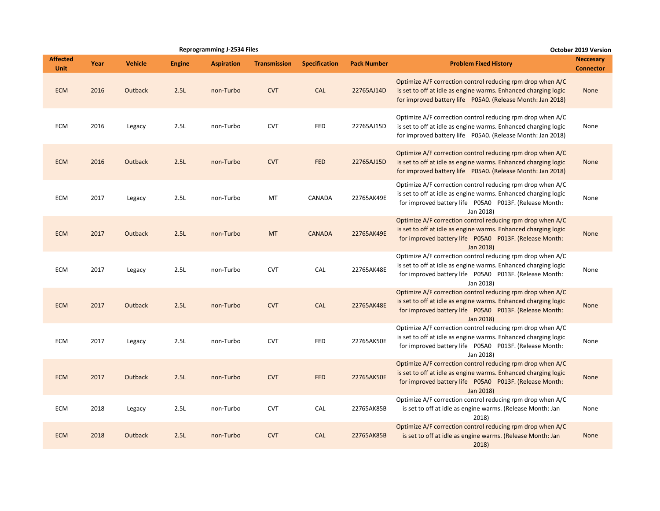|                                |      |                |               | <b>Reprogramming J-2534 Files</b> |                     |                      |                    |                                                                                                                                                                                                       | <b>October 2019 Version</b>          |
|--------------------------------|------|----------------|---------------|-----------------------------------|---------------------|----------------------|--------------------|-------------------------------------------------------------------------------------------------------------------------------------------------------------------------------------------------------|--------------------------------------|
| <b>Affected</b><br><b>Unit</b> | Year | <b>Vehicle</b> | <b>Engine</b> | <b>Aspiration</b>                 | <b>Transmission</b> | <b>Specification</b> | <b>Pack Number</b> | <b>Problem Fixed History</b>                                                                                                                                                                          | <b>Neccesary</b><br><b>Connector</b> |
| <b>ECM</b>                     | 2016 | <b>Outback</b> | 2.5L          | non-Turbo                         | <b>CVT</b>          | <b>CAL</b>           | 22765AJ14D         | Optimize A/F correction control reducing rpm drop when A/C<br>is set to off at idle as engine warms. Enhanced charging logic<br>for improved battery life P05A0. (Release Month: Jan 2018)            | <b>None</b>                          |
| <b>ECM</b>                     | 2016 | Legacy         | 2.5L          | non-Turbo                         | <b>CVT</b>          | FED                  | 22765AJ15D         | Optimize A/F correction control reducing rpm drop when A/C<br>is set to off at idle as engine warms. Enhanced charging logic<br>for improved battery life P05A0. (Release Month: Jan 2018)            | None                                 |
| <b>ECM</b>                     | 2016 | <b>Outback</b> | 2.5L          | non-Turbo                         | <b>CVT</b>          | <b>FED</b>           | 22765AJ15D         | Optimize A/F correction control reducing rpm drop when A/C<br>is set to off at idle as engine warms. Enhanced charging logic<br>for improved battery life P05A0. (Release Month: Jan 2018)            | <b>None</b>                          |
| <b>ECM</b>                     | 2017 | Legacy         | 2.5L          | non-Turbo                         | MT                  | CANADA               | 22765AK49E         | Optimize A/F correction control reducing rpm drop when A/C<br>is set to off at idle as engine warms. Enhanced charging logic<br>for improved battery life  P05A0  P013F. (Release Month:<br>Jan 2018) | None                                 |
| <b>ECM</b>                     | 2017 | <b>Outback</b> | 2.5L          | non-Turbo                         | <b>MT</b>           | <b>CANADA</b>        | 22765AK49E         | Optimize A/F correction control reducing rpm drop when A/C<br>is set to off at idle as engine warms. Enhanced charging logic<br>for improved battery life P05A0 P013F. (Release Month:<br>Jan 2018)   | <b>None</b>                          |
| ECM                            | 2017 | Legacy         | 2.5L          | non-Turbo                         | <b>CVT</b>          | CAL                  | 22765AK48E         | Optimize A/F correction control reducing rpm drop when A/C<br>is set to off at idle as engine warms. Enhanced charging logic<br>for improved battery life P05A0 P013F. (Release Month:<br>Jan 2018)   | None                                 |
| <b>ECM</b>                     | 2017 | <b>Outback</b> | 2.5L          | non-Turbo                         | <b>CVT</b>          | CAL                  | 22765AK48E         | Optimize A/F correction control reducing rpm drop when A/C<br>is set to off at idle as engine warms. Enhanced charging logic<br>for improved battery life P05A0 P013F. (Release Month:<br>Jan 2018)   | <b>None</b>                          |
| <b>ECM</b>                     | 2017 | Legacy         | 2.5L          | non-Turbo                         | <b>CVT</b>          | <b>FED</b>           | 22765AK50E         | Optimize A/F correction control reducing rpm drop when A/C<br>is set to off at idle as engine warms. Enhanced charging logic<br>for improved battery life P05A0 P013F. (Release Month:<br>Jan 2018)   | None                                 |
| <b>ECM</b>                     | 2017 | <b>Outback</b> | 2.5L          | non-Turbo                         | <b>CVT</b>          | <b>FED</b>           | 22765AK50E         | Optimize A/F correction control reducing rpm drop when A/C<br>is set to off at idle as engine warms. Enhanced charging logic<br>for improved battery life P05A0 P013F. (Release Month:<br>Jan 2018)   | <b>None</b>                          |
| <b>ECM</b>                     | 2018 | Legacy         | 2.5L          | non-Turbo                         | <b>CVT</b>          | CAL                  | 22765AK85B         | Optimize A/F correction control reducing rpm drop when A/C<br>is set to off at idle as engine warms. (Release Month: Jan<br>2018)                                                                     | None                                 |
| <b>ECM</b>                     | 2018 | <b>Outback</b> | 2.5L          | non-Turbo                         | <b>CVT</b>          | <b>CAL</b>           | 22765AK85B         | Optimize A/F correction control reducing rpm drop when A/C<br>is set to off at idle as engine warms. (Release Month: Jan<br>2018)                                                                     | <b>None</b>                          |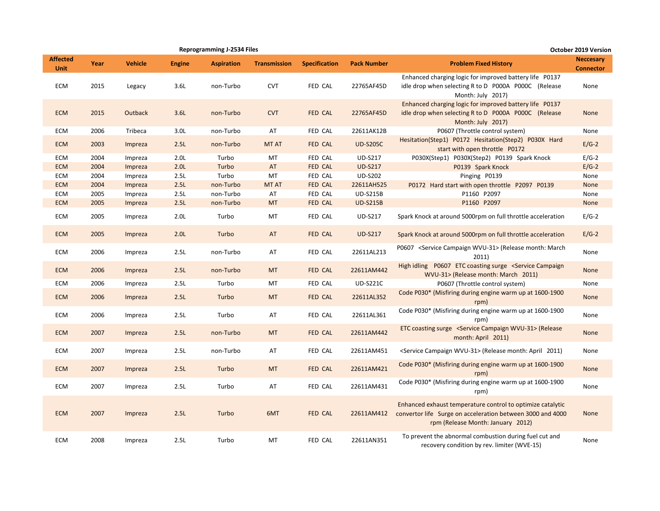|                                |      |                |                  | <b>Reprogramming J-2534 Files</b> |                     | October 2019 Version |                    |                                                                                                                                                               |                                      |
|--------------------------------|------|----------------|------------------|-----------------------------------|---------------------|----------------------|--------------------|---------------------------------------------------------------------------------------------------------------------------------------------------------------|--------------------------------------|
| <b>Affected</b><br><b>Unit</b> | Year | <b>Vehicle</b> | <b>Engine</b>    | <b>Aspiration</b>                 | <b>Transmission</b> | <b>Specification</b> | <b>Pack Number</b> | <b>Problem Fixed History</b>                                                                                                                                  | <b>Neccesary</b><br><b>Connector</b> |
| <b>ECM</b>                     | 2015 | Legacy         | 3.6L             | non-Turbo                         | <b>CVT</b>          | FED CAL              | 22765AF45D         | Enhanced charging logic for improved battery life P0137<br>idle drop when selecting R to D P000A P000C (Release<br>Month: July 2017)                          | None                                 |
| <b>ECM</b>                     | 2015 | <b>Outback</b> | 3.6L             | non-Turbo                         | <b>CVT</b>          | FED CAL              | 22765AF45D         | Enhanced charging logic for improved battery life P0137<br>idle drop when selecting R to D P000A P000C (Release<br>Month: July 2017)                          | <b>None</b>                          |
| ECM                            | 2006 | Tribeca        | 3.0 <sub>L</sub> | non-Turbo                         | AT                  | FED CAL              | 22611AK12B         | P0607 (Throttle control system)                                                                                                                               | None                                 |
| <b>ECM</b>                     | 2003 | Impreza        | 2.5L             | non-Turbo                         | MT AT               | FED CAL              | <b>UD-S205C</b>    | Hesitation(Step1) P0172 Hesitation(Step2) P030X Hard<br>start with open throttle P0172                                                                        | $E/G-2$                              |
| ECM                            | 2004 | Impreza        | 2.0 <sub>L</sub> | Turbo                             | MT                  | FED CAL              | <b>UD-S217</b>     | P030X(Step1) P030X(Step2) P0139 Spark Knock                                                                                                                   | $E/G-2$                              |
| <b>ECM</b>                     | 2004 | Impreza        | 2.0L             | Turbo                             | AT                  | FED CAL              | <b>UD-S217</b>     | P0139 Spark Knock                                                                                                                                             | $E/G-2$                              |
| ECM                            | 2004 | Impreza        | 2.5L             | Turbo                             | MT                  | FED CAL              | <b>UD-S202</b>     | Pinging P0139                                                                                                                                                 | None                                 |
| <b>ECM</b>                     | 2004 | Impreza        | 2.5L             | non-Turbo                         | <b>MT AT</b>        | FED CAL              | 22611AH525         | P0172 Hard start with open throttle P2097 P0139                                                                                                               | <b>None</b>                          |
| ECM                            | 2005 | Impreza        | 2.5L             | non-Turbo                         | AT                  | FED CAL              | <b>UD-S215B</b>    | P1160 P2097                                                                                                                                                   | None                                 |
| <b>ECM</b>                     | 2005 | Impreza        | 2.5L             | non-Turbo                         | <b>MT</b>           | FED CAL              | <b>UD-S215B</b>    | P1160 P2097                                                                                                                                                   | <b>None</b>                          |
| <b>ECM</b>                     | 2005 | Impreza        | 2.0 <sub>L</sub> | Turbo                             | <b>MT</b>           | <b>FED CAL</b>       | <b>UD-S217</b>     | Spark Knock at around 5000rpm on full throttle acceleration                                                                                                   | $E/G-2$                              |
| <b>ECM</b>                     | 2005 | Impreza        | 2.0 <sub>L</sub> | Turbo                             | AT                  | FED CAL              | <b>UD-S217</b>     | Spark Knock at around 5000rpm on full throttle acceleration                                                                                                   | $E/G-2$                              |
| ECM                            | 2006 | Impreza        | 2.5L             | non-Turbo                         | AT                  | FED CAL              | 22611AL213         | P0607 < Service Campaign WVU-31> (Release month: March<br>2011)                                                                                               | None                                 |
| <b>ECM</b>                     | 2006 | Impreza        | 2.5L             | non-Turbo                         | <b>MT</b>           | FED CAL              | 22611AM442         | High idling P0607 ETC coasting surge <service campaign<br="">WVU-31&gt; (Release month: March 2011)</service>                                                 | <b>None</b>                          |
| ECM                            | 2006 | Impreza        | 2.5L             | Turbo                             | MT                  | FED CAL              | <b>UD-S221C</b>    | P0607 (Throttle control system)                                                                                                                               | None                                 |
| <b>ECM</b>                     | 2006 | Impreza        | 2.5L             | Turbo                             | <b>MT</b>           | FED CAL              | 22611AL352         | Code P030* (Misfiring during engine warm up at 1600-1900<br>rpm)                                                                                              | None                                 |
| ECM                            | 2006 | Impreza        | 2.5L             | Turbo                             | AT                  | FED CAL              | 22611AL361         | Code P030* (Misfiring during engine warm up at 1600-1900<br>rpm)                                                                                              | None                                 |
| <b>ECM</b>                     | 2007 | Impreza        | 2.5L             | non-Turbo                         | <b>MT</b>           | FED CAL              | 22611AM442         | ETC coasting surge <service campaign="" wvu-31=""> (Release<br/>month: April 2011)</service>                                                                  | None                                 |
| ECM                            | 2007 | Impreza        | 2.5L             | non-Turbo                         | AT                  | FED CAL              | 22611AM451         | <service campaign="" wvu-31=""> (Release month: April 2011)</service>                                                                                         | None                                 |
| <b>ECM</b>                     | 2007 | Impreza        | 2.5L             | Turbo                             | <b>MT</b>           | FED CAL              | 22611AM421         | Code P030* (Misfiring during engine warm up at 1600-1900<br>rpm)                                                                                              | <b>None</b>                          |
| ECM                            | 2007 | Impreza        | 2.5L             | Turbo                             | AT                  | FED CAL              | 22611AM431         | Code P030* (Misfiring during engine warm up at 1600-1900<br>rpm)                                                                                              | None                                 |
| <b>ECM</b>                     | 2007 | Impreza        | 2.5L             | Turbo                             | 6MT                 | FED CAL              | 22611AM412         | Enhanced exhaust temperature control to optimize catalytic<br>convertor life Surge on acceleration between 3000 and 4000<br>rpm (Release Month: January 2012) | None                                 |
| <b>ECM</b>                     | 2008 | Impreza        | 2.5L             | Turbo                             | MT                  | FED CAL              | 22611AN351         | To prevent the abnormal combustion during fuel cut and<br>recovery condition by rev. limiter (WVE-15)                                                         | None                                 |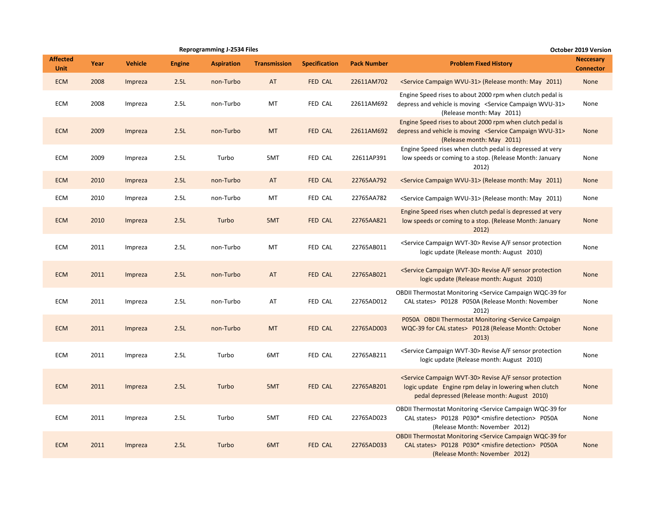|                                |      |                |               | <b>Reprogramming J-2534 Files</b> |                     |                      |                    |                                                                                                                                                                                                    | <b>October 2019 Version</b>          |
|--------------------------------|------|----------------|---------------|-----------------------------------|---------------------|----------------------|--------------------|----------------------------------------------------------------------------------------------------------------------------------------------------------------------------------------------------|--------------------------------------|
| <b>Affected</b><br><b>Unit</b> | Year | <b>Vehicle</b> | <b>Engine</b> | <b>Aspiration</b>                 | <b>Transmission</b> | <b>Specification</b> | <b>Pack Number</b> | <b>Problem Fixed History</b>                                                                                                                                                                       | <b>Neccesary</b><br><b>Connector</b> |
| <b>ECM</b>                     | 2008 | Impreza        | 2.5L          | non-Turbo                         | AT                  | FED CAL              | 22611AM702         | <service campaign="" wvu-31=""> (Release month: May 2011)</service>                                                                                                                                | None                                 |
| <b>ECM</b>                     | 2008 | Impreza        | 2.5L          | non-Turbo                         | MT                  | FED CAL              | 22611AM692         | Engine Speed rises to about 2000 rpm when clutch pedal is<br>depress and vehicle is moving <service campaign="" wvu-31=""><br/>(Release month: May 2011)</service>                                 | None                                 |
| <b>ECM</b>                     | 2009 | Impreza        | 2.5L          | non-Turbo                         | <b>MT</b>           | FED CAL              | 22611AM692         | Engine Speed rises to about 2000 rpm when clutch pedal is<br>depress and vehicle is moving <service campaign="" wvu-31=""><br/>(Release month: May 2011)</service>                                 | None                                 |
| <b>ECM</b>                     | 2009 | Impreza        | 2.5L          | Turbo                             | 5MT                 | FED CAL              | 22611AP391         | Engine Speed rises when clutch pedal is depressed at very<br>low speeds or coming to a stop. (Release Month: January<br>2012)                                                                      | None                                 |
| <b>ECM</b>                     | 2010 | Impreza        | 2.5L          | non-Turbo                         | AT                  | <b>FED CAL</b>       | 22765AA792         | <service campaign="" wvu-31=""> (Release month: May 2011)</service>                                                                                                                                | None                                 |
| ECM                            | 2010 | Impreza        | 2.5L          | non-Turbo                         | MT                  | FED CAL              | 22765AA782         | <service campaign="" wvu-31=""> (Release month: May 2011)</service>                                                                                                                                | None                                 |
| <b>ECM</b>                     | 2010 | Impreza        | 2.5L          | Turbo                             | 5MT                 | FED CAL              | 22765AA821         | Engine Speed rises when clutch pedal is depressed at very<br>low speeds or coming to a stop. (Release Month: January<br>2012)                                                                      | None                                 |
| <b>ECM</b>                     | 2011 | Impreza        | 2.5L          | non-Turbo                         | MT                  | FED CAL              | 22765AB011         | <service campaign="" wvt-30=""> Revise A/F sensor protection<br/>logic update (Release month: August 2010)</service>                                                                               | None                                 |
| <b>ECM</b>                     | 2011 | Impreza        | 2.5L          | non-Turbo                         | AT                  | <b>FED CAL</b>       | 22765AB021         | <service campaign="" wvt-30=""> Revise A/F sensor protection<br/>logic update (Release month: August 2010)</service>                                                                               | None                                 |
| <b>ECM</b>                     | 2011 | Impreza        | 2.5L          | non-Turbo                         | AT                  | FED CAL              | 22765AD012         | OBDII Thermostat Monitoring <service campaign="" for<br="" wqc-39="">CAL states&gt; P0128 P050A (Release Month: November<br/>2012)</service>                                                       | None                                 |
| <b>ECM</b>                     | 2011 | Impreza        | 2.5L          | non-Turbo                         | <b>MT</b>           | FED CAL              | 22765AD003         | P050A OBDII Thermostat Monitoring <service campaign<br="">WQC-39 for CAL states&gt; P0128 (Release Month: October<br/>2013)</service>                                                              | None                                 |
| <b>ECM</b>                     | 2011 | Impreza        | 2.5L          | Turbo                             | 6MT                 | FED CAL              | 22765AB211         | <service campaign="" wvt-30=""> Revise A/F sensor protection<br/>logic update (Release month: August 2010)</service>                                                                               | None                                 |
| <b>ECM</b>                     | 2011 | Impreza        | 2.5L          | Turbo                             | 5MT                 | <b>FED CAL</b>       | 22765AB201         | <service campaign="" wvt-30=""> Revise A/F sensor protection<br/>logic update Engine rpm delay in lowering when clutch<br/>pedal depressed (Release month: August 2010)</service>                  | None                                 |
| <b>ECM</b>                     | 2011 | Impreza        | 2.5L          | Turbo                             | 5MT                 | FED CAL              | 22765AD023         | OBDII Thermostat Monitoring <service campaign="" for<br="" wqc-39="">CAL states&gt; P0128 P030* <misfire detection=""> P050A<br/>(Release Month: November 2012)</misfire></service>                | None                                 |
| <b>ECM</b>                     | 2011 | Impreza        | 2.5L          | Turbo                             | 6MT                 | FED CAL              | 22765AD033         | <b>OBDII Thermostat Monitoring <service b="" campaign="" for<="" wqc-39=""><br/>CAL states&gt; P0128 P030* <misfire detection=""> P050A<br/>(Release Month: November 2012)</misfire></service></b> | None                                 |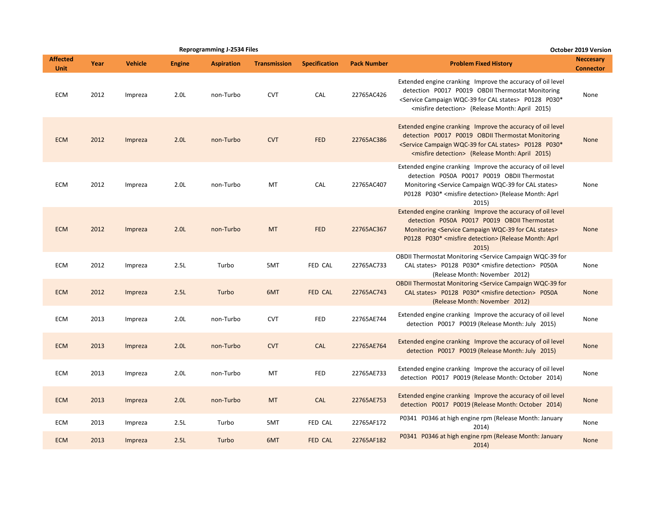|                         |      |                |                  | <b>Reprogramming J-2534 Files</b> |                     |                      |                    |                                                                                                                                                                                                                                                                            | October 2019 Version                 |
|-------------------------|------|----------------|------------------|-----------------------------------|---------------------|----------------------|--------------------|----------------------------------------------------------------------------------------------------------------------------------------------------------------------------------------------------------------------------------------------------------------------------|--------------------------------------|
| <b>Affected</b><br>Unit | Year | <b>Vehicle</b> | <b>Engine</b>    | <b>Aspiration</b>                 | <b>Transmission</b> | <b>Specification</b> | <b>Pack Number</b> | <b>Problem Fixed History</b>                                                                                                                                                                                                                                               | <b>Neccesary</b><br><b>Connector</b> |
| <b>ECM</b>              | 2012 | Impreza        | 2.0 <sub>L</sub> | non-Turbo                         | <b>CVT</b>          | <b>CAL</b>           | 22765AC426         | Extended engine cranking Improve the accuracy of oil level<br>detection P0017 P0019 OBDII Thermostat Monitoring<br><service cal="" campaign="" for="" states="" wqc-39=""> P0128 P030*<br/><misfire detection=""> (Release Month: April 2015)</misfire></service>          | None                                 |
| <b>ECM</b>              | 2012 | Impreza        | 2.0L             | non-Turbo                         | <b>CVT</b>          | <b>FED</b>           | 22765AC386         | Extended engine cranking Improve the accuracy of oil level<br>detection P0017 P0019 OBDII Thermostat Monitoring<br><service cal="" campaign="" for="" states="" wqc-39=""> P0128 P030*<br/><misfire detection=""> (Release Month: April 2015)</misfire></service>          | None                                 |
| ECM                     | 2012 | Impreza        | 2.0 <sub>L</sub> | non-Turbo                         | MT                  | CAL                  | 22765AC407         | Extended engine cranking Improve the accuracy of oil level<br>detection P050A P0017 P0019 OBDII Thermostat<br>Monitoring <service cal="" campaign="" for="" states="" wqc-39=""><br/>P0128 P030* <misfire detection=""> (Release Month: Aprl<br/>2015)</misfire></service> | None                                 |
| <b>ECM</b>              | 2012 | Impreza        | 2.0L             | non-Turbo                         | <b>MT</b>           | <b>FED</b>           | 22765AC367         | Extended engine cranking Improve the accuracy of oil level<br>detection P050A P0017 P0019 OBDII Thermostat<br>Monitoring <service cal="" campaign="" for="" states="" wqc-39=""><br/>P0128 P030* <misfire detection=""> (Release Month: Aprl<br/>2015)</misfire></service> | None                                 |
| <b>ECM</b>              | 2012 | Impreza        | 2.5L             | Turbo                             | 5MT                 | FED CAL              | 22765AC733         | OBDII Thermostat Monitoring <service campaign="" for<br="" wqc-39="">CAL states&gt; P0128 P030* <misfire detection=""> P050A<br/>(Release Month: November 2012)</misfire></service>                                                                                        | None                                 |
| <b>ECM</b>              | 2012 | Impreza        | 2.5L             | Turbo                             | 6MT                 | <b>FED CAL</b>       | 22765AC743         | <b>OBDII Thermostat Monitoring <service b="" campaign="" for<="" wqc-39=""><br/>CAL states&gt; P0128 P030* <misfire detection=""> P050A<br/>(Release Month: November 2012)</misfire></service></b>                                                                         | None                                 |
| <b>ECM</b>              | 2013 | Impreza        | 2.0 <sub>L</sub> | non-Turbo                         | <b>CVT</b>          | <b>FED</b>           | 22765AE744         | Extended engine cranking Improve the accuracy of oil level<br>detection P0017 P0019 (Release Month: July 2015)                                                                                                                                                             | None                                 |
| <b>ECM</b>              | 2013 | Impreza        | 2.0 <sub>L</sub> | non-Turbo                         | <b>CVT</b>          | <b>CAL</b>           | 22765AE764         | Extended engine cranking Improve the accuracy of oil level<br>detection P0017 P0019 (Release Month: July 2015)                                                                                                                                                             | <b>None</b>                          |
| <b>ECM</b>              | 2013 | Impreza        | 2.0 <sub>L</sub> | non-Turbo                         | MT                  | <b>FED</b>           | 22765AE733         | Extended engine cranking Improve the accuracy of oil level<br>detection P0017 P0019 (Release Month: October 2014)                                                                                                                                                          | None                                 |
| <b>ECM</b>              | 2013 | Impreza        | 2.0L             | non-Turbo                         | <b>MT</b>           | <b>CAL</b>           | 22765AE753         | Extended engine cranking Improve the accuracy of oil level<br>detection P0017 P0019 (Release Month: October 2014)                                                                                                                                                          | <b>None</b>                          |
| <b>ECM</b>              | 2013 | Impreza        | 2.5L             | Turbo                             | 5MT                 | FED CAL              | 22765AF172         | P0341 P0346 at high engine rpm (Release Month: January<br>2014)                                                                                                                                                                                                            | None                                 |
| <b>ECM</b>              | 2013 | Impreza        | 2.5L             | Turbo                             | 6MT                 | <b>FED CAL</b>       | 22765AF182         | P0341 P0346 at high engine rpm (Release Month: January<br>2014)                                                                                                                                                                                                            | None                                 |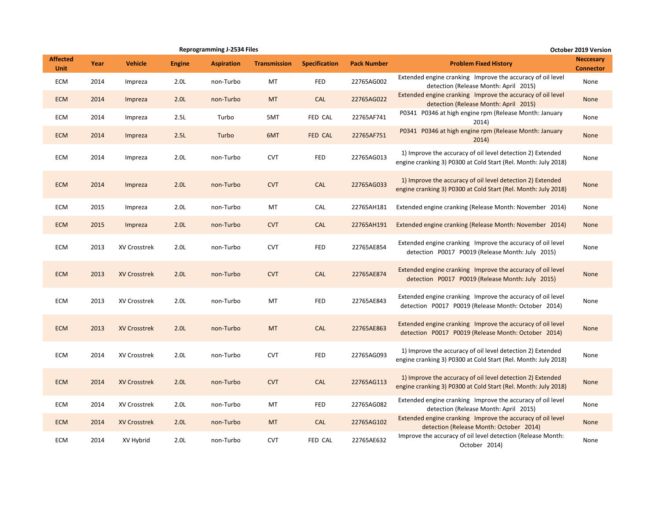|                                |      |                     |                  | <b>Reprogramming J-2534 Files</b> |                     |                      |                    | October 2019 Version                                                                                                         |                                      |  |  |
|--------------------------------|------|---------------------|------------------|-----------------------------------|---------------------|----------------------|--------------------|------------------------------------------------------------------------------------------------------------------------------|--------------------------------------|--|--|
| <b>Affected</b><br><b>Unit</b> | Year | <b>Vehicle</b>      | <b>Engine</b>    | <b>Aspiration</b>                 | <b>Transmission</b> | <b>Specification</b> | <b>Pack Number</b> | <b>Problem Fixed History</b>                                                                                                 | <b>Neccesary</b><br><b>Connector</b> |  |  |
| <b>ECM</b>                     | 2014 | Impreza             | 2.0 <sub>L</sub> | non-Turbo                         | MT                  | <b>FED</b>           | 22765AG002         | Extended engine cranking Improve the accuracy of oil level<br>detection (Release Month: April 2015)                          | None                                 |  |  |
| <b>ECM</b>                     | 2014 | Impreza             | 2.0 <sub>L</sub> | non-Turbo                         | <b>MT</b>           | CAL                  | 22765AG022         | Extended engine cranking Improve the accuracy of oil level<br>detection (Release Month: April 2015)                          | None                                 |  |  |
| ECM                            | 2014 | Impreza             | 2.5L             | Turbo                             | 5MT                 | FED CAL              | 22765AF741         | P0341 P0346 at high engine rpm (Release Month: January<br>2014)                                                              | None                                 |  |  |
| <b>ECM</b>                     | 2014 | Impreza             | 2.5L             | Turbo                             | 6MT                 | FED CAL              | 22765AF751         | P0341 P0346 at high engine rpm (Release Month: January<br>2014)                                                              | <b>None</b>                          |  |  |
| ECM                            | 2014 | Impreza             | 2.0 <sub>L</sub> | non-Turbo                         | <b>CVT</b>          | <b>FED</b>           | 22765AG013         | 1) Improve the accuracy of oil level detection 2) Extended<br>engine cranking 3) P0300 at Cold Start (Rel. Month: July 2018) | None                                 |  |  |
| <b>ECM</b>                     | 2014 | Impreza             | 2.0 <sub>L</sub> | non-Turbo                         | <b>CVT</b>          | <b>CAL</b>           | 22765AG033         | 1) Improve the accuracy of oil level detection 2) Extended<br>engine cranking 3) P0300 at Cold Start (Rel. Month: July 2018) | <b>None</b>                          |  |  |
| <b>ECM</b>                     | 2015 | Impreza             | 2.0 <sub>L</sub> | non-Turbo                         | MT                  | CAL                  | 22765AH181         | Extended engine cranking (Release Month: November 2014)                                                                      | None                                 |  |  |
| <b>ECM</b>                     | 2015 | Impreza             | 2.0 <sub>L</sub> | non-Turbo                         | <b>CVT</b>          | CAL                  | 22765AH191         | Extended engine cranking (Release Month: November 2014)                                                                      | <b>None</b>                          |  |  |
| ECM                            | 2013 | XV Crosstrek        | 2.0 <sub>L</sub> | non-Turbo                         | <b>CVT</b>          | <b>FED</b>           | 22765AE854         | Extended engine cranking Improve the accuracy of oil level<br>detection P0017 P0019 (Release Month: July 2015)               | None                                 |  |  |
| <b>ECM</b>                     | 2013 | <b>XV Crosstrek</b> | 2.0 <sub>L</sub> | non-Turbo                         | <b>CVT</b>          | CAL                  | 22765AE874         | Extended engine cranking Improve the accuracy of oil level<br>detection P0017 P0019 (Release Month: July 2015)               | <b>None</b>                          |  |  |
| ECM                            | 2013 | XV Crosstrek        | 2.0 <sub>L</sub> | non-Turbo                         | МT                  | FED                  | 22765AE843         | Extended engine cranking Improve the accuracy of oil level<br>detection P0017 P0019 (Release Month: October 2014)            | None                                 |  |  |
| <b>ECM</b>                     | 2013 | <b>XV Crosstrek</b> | 2.0 <sub>L</sub> | non-Turbo                         | <b>MT</b>           | CAL                  | 22765AE863         | Extended engine cranking Improve the accuracy of oil level<br>detection P0017 P0019 (Release Month: October 2014)            | <b>None</b>                          |  |  |
| ECM                            | 2014 | <b>XV Crosstrek</b> | 2.0 <sub>L</sub> | non-Turbo                         | <b>CVT</b>          | FED                  | 22765AG093         | 1) Improve the accuracy of oil level detection 2) Extended<br>engine cranking 3) P0300 at Cold Start (Rel. Month: July 2018) | None                                 |  |  |
| <b>ECM</b>                     | 2014 | <b>XV Crosstrek</b> | 2.0 <sub>L</sub> | non-Turbo                         | <b>CVT</b>          | CAL                  | 22765AG113         | 1) Improve the accuracy of oil level detection 2) Extended<br>engine cranking 3) P0300 at Cold Start (Rel. Month: July 2018) | <b>None</b>                          |  |  |
| ECM                            | 2014 | XV Crosstrek        | 2.0L             | non-Turbo                         | MT                  | <b>FED</b>           | 22765AG082         | Extended engine cranking Improve the accuracy of oil level<br>detection (Release Month: April 2015)                          | None                                 |  |  |
| <b>ECM</b>                     | 2014 | <b>XV Crosstrek</b> | 2.0 <sub>L</sub> | non-Turbo                         | <b>MT</b>           | CAL                  | 22765AG102         | Extended engine cranking Improve the accuracy of oil level<br>detection (Release Month: October 2014)                        | <b>None</b>                          |  |  |
| ECM                            | 2014 | XV Hybrid           | 2.0 <sub>L</sub> | non-Turbo                         | <b>CVT</b>          | FED CAL              | 22765AE632         | Improve the accuracy of oil level detection (Release Month:<br>October 2014)                                                 | None                                 |  |  |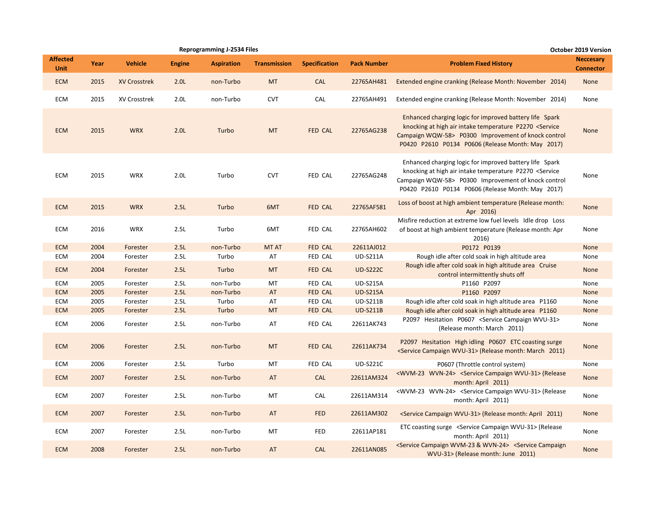|                                |      |                     |                  | <b>Reprogramming J-2534 Files</b> |                     |                      |                    |                                                                                                                                                                                                                                                | <b>October 2019 Version</b>          |
|--------------------------------|------|---------------------|------------------|-----------------------------------|---------------------|----------------------|--------------------|------------------------------------------------------------------------------------------------------------------------------------------------------------------------------------------------------------------------------------------------|--------------------------------------|
| <b>Affected</b><br><b>Unit</b> | Year | <b>Vehicle</b>      | <b>Engine</b>    | <b>Aspiration</b>                 | <b>Transmission</b> | <b>Specification</b> | <b>Pack Number</b> | <b>Problem Fixed History</b>                                                                                                                                                                                                                   | <b>Neccesary</b><br><b>Connector</b> |
| <b>ECM</b>                     | 2015 | <b>XV Crosstrek</b> | 2.0 <sub>L</sub> | non-Turbo                         | <b>MT</b>           | <b>CAL</b>           | 22765AH481         | Extended engine cranking (Release Month: November 2014)                                                                                                                                                                                        | None                                 |
| <b>ECM</b>                     | 2015 | XV Crosstrek        | 2.0 <sub>L</sub> | non-Turbo                         | <b>CVT</b>          | CAL                  | 22765AH491         | Extended engine cranking (Release Month: November 2014)                                                                                                                                                                                        | None                                 |
| <b>ECM</b>                     | 2015 | <b>WRX</b>          | 2.0 <sub>L</sub> | Turbo                             | <b>MT</b>           | FED CAL              | 22765AG238         | Enhanced charging logic for improved battery life Spark<br>knocking at high air intake temperature P2270 <service<br>Campaign WQW-58&gt; P0300 Improvement of knock control<br/>P0420 P2610 P0134 P0606 (Release Month: May 2017)</service<br> | <b>None</b>                          |
| <b>ECM</b>                     | 2015 | <b>WRX</b>          | 2.0 <sub>L</sub> | Turbo                             | <b>CVT</b>          | FED CAL              | 22765AG248         | Enhanced charging logic for improved battery life Spark<br>knocking at high air intake temperature P2270 <service<br>Campaign WQW-58&gt; P0300 Improvement of knock control<br/>P0420 P2610 P0134 P0606 (Release Month: May 2017)</service<br> | None                                 |
| <b>ECM</b>                     | 2015 | <b>WRX</b>          | 2.5L             | Turbo                             | 6MT                 | FED CAL              | 22765AF581         | Loss of boost at high ambient temperature (Release month:<br>Apr 2016)                                                                                                                                                                         | None                                 |
| <b>ECM</b>                     | 2016 | <b>WRX</b>          | 2.5L             | Turbo                             | 6MT                 | FED CAL              | 22765AH602         | Misfire reduction at extreme low fuel levels Idle drop Loss<br>of boost at high ambient temperature (Release month: Apr<br>2016)                                                                                                               | None                                 |
| <b>ECM</b>                     | 2004 | Forester            | 2.5L             | non-Turbo                         | <b>MT AT</b>        | FED CAL              | 22611AJ012         | P0172 P0139                                                                                                                                                                                                                                    | None                                 |
| ECM                            | 2004 | Forester            | 2.5L             | Turbo                             | AT                  | FED CAL              | <b>UD-S211A</b>    | Rough idle after cold soak in high altitude area                                                                                                                                                                                               | None                                 |
| <b>ECM</b>                     | 2004 | Forester            | 2.5L             | Turbo                             | <b>MT</b>           | FED CAL              | <b>UD-S222C</b>    | Rough idle after cold soak in high altitude area Cruise<br>control intermittently shuts off                                                                                                                                                    | None                                 |
| ECM                            | 2005 | Forester            | 2.5L             | non-Turbo                         | MT                  | FED CAL              | <b>UD-S215A</b>    | P1160 P2097                                                                                                                                                                                                                                    | None                                 |
| <b>ECM</b>                     | 2005 | Forester            | 2.5L             | non-Turbo                         | AT                  | FED CAL              | <b>UD-S215A</b>    | P1160 P2097                                                                                                                                                                                                                                    | None                                 |
| ECM                            | 2005 | Forester            | 2.5L             | Turbo                             | AT                  | FED CAL              | <b>UD-S211B</b>    | Rough idle after cold soak in high altitude area P1160                                                                                                                                                                                         | None                                 |
| <b>ECM</b>                     | 2005 | Forester            | 2.5L             | Turbo                             | <b>MT</b>           | FED CAL              | <b>UD-S211B</b>    | Rough idle after cold soak in high altitude area P1160                                                                                                                                                                                         | None                                 |
| <b>ECM</b>                     | 2006 | Forester            | 2.5L             | non-Turbo                         | AT                  | FED CAL              | 22611AK743         | P2097 Hesitation P0607 <service campaign="" wvu-31=""><br/>(Release month: March 2011)</service>                                                                                                                                               | None                                 |
| <b>ECM</b>                     | 2006 | Forester            | 2.5L             | non-Turbo                         | <b>MT</b>           | FED CAL              | 22611AK734         | P2097 Hesitation High idling P0607 ETC coasting surge<br><service campaign="" wvu-31=""> (Release month: March 2011)</service>                                                                                                                 | None                                 |
| <b>ECM</b>                     | 2006 | Forester            | 2.5L             | Turbo                             | MT                  | FED CAL              | <b>UD-S221C</b>    | P0607 (Throttle control system)                                                                                                                                                                                                                | None                                 |
| <b>ECM</b>                     | 2007 | Forester            | 2.5L             | non-Turbo                         | AT                  | <b>CAL</b>           | 22611AM324         | <wvm-23 wvn-24=""> <service campaign="" wvu-31=""> (Release<br/>month: April 2011)</service></wvm-23>                                                                                                                                          | None                                 |
| <b>ECM</b>                     | 2007 | Forester            | 2.5L             | non-Turbo                         | MT                  | CAL                  | 22611AM314         | <wvm-23 wvn-24=""> <service campaign="" wvu-31=""> (Release<br/>month: April 2011)</service></wvm-23>                                                                                                                                          | None                                 |
| <b>ECM</b>                     | 2007 | Forester            | 2.5L             | non-Turbo                         | AT                  | <b>FED</b>           | 22611AM302         | <service campaign="" wvu-31=""> (Release month: April 2011)</service>                                                                                                                                                                          | None                                 |
| ECM                            | 2007 | Forester            | 2.5L             | non-Turbo                         | MT                  | <b>FED</b>           | 22611AP181         | ETC coasting surge <service campaign="" wvu-31=""> (Release<br/>month: April 2011)</service>                                                                                                                                                   | None                                 |
| <b>ECM</b>                     | 2008 | Forester            | 2.5L             | non-Turbo                         | AT                  | <b>CAL</b>           | 22611AN085         | <service &="" campaign="" wvm-23="" wvn-24=""> <service campaign<br="">WVU-31&gt; (Release month: June 2011)</service></service>                                                                                                               | None                                 |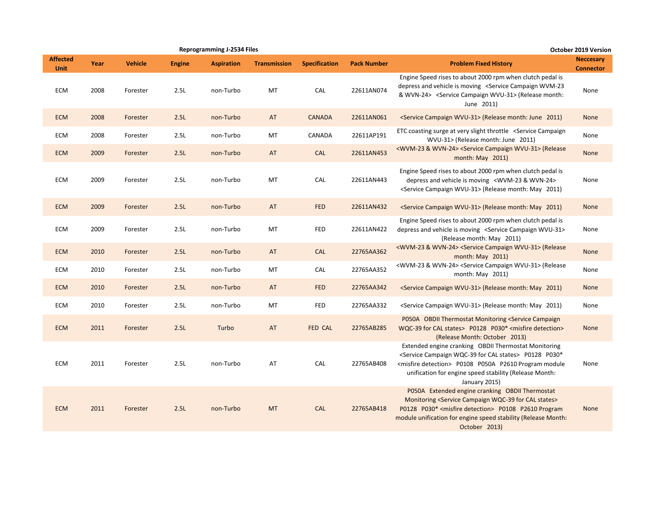|                                | <b>Reprogramming J-2534 Files</b><br>Year<br><b>Vehicle</b><br><b>Aspiration</b><br><b>Engine</b><br><b>Transmission</b><br>2008<br>2.5L<br>MT<br>Forester<br>non-Turbo<br>2008<br>2.5L<br>non-Turbo<br>AT<br>Forester<br>2008<br>2.5L<br>MT<br>Forester<br>non-Turbo<br>2009<br>AT<br>2.5L<br>non-Turbo<br>Forester<br>2009<br>2.5L<br>MT<br>non-Turbo<br>Forester<br>2009<br>2.5L<br>Forester<br>non-Turbo<br>AT<br>2009<br>2.5L<br><b>MT</b><br>non-Turbo<br>Forester<br>2010<br>2.5L<br>Forester<br>non-Turbo<br>AT<br>2010<br>Forester<br>2.5L<br>non-Turbo<br>MT<br>2010<br>2.5L<br>AT<br>Forester<br>non-Turbo<br>2010<br>2.5L<br>MT<br>Forester<br>non-Turbo<br>2011<br>2.5L<br>Turbo<br>AT<br>Forester<br>2011<br>2.5L<br>AT<br>Forester<br>non-Turbo<br>2011<br>2.5L<br>non-Turbo<br><b>MT</b><br>Forester |  |  |  |                      |                    | <b>October 2019 Version</b>                                                                                                                                                                                                                                                              |                                      |
|--------------------------------|----------------------------------------------------------------------------------------------------------------------------------------------------------------------------------------------------------------------------------------------------------------------------------------------------------------------------------------------------------------------------------------------------------------------------------------------------------------------------------------------------------------------------------------------------------------------------------------------------------------------------------------------------------------------------------------------------------------------------------------------------------------------------------------------------------------------|--|--|--|----------------------|--------------------|------------------------------------------------------------------------------------------------------------------------------------------------------------------------------------------------------------------------------------------------------------------------------------------|--------------------------------------|
| <b>Affected</b><br><b>Unit</b> |                                                                                                                                                                                                                                                                                                                                                                                                                                                                                                                                                                                                                                                                                                                                                                                                                      |  |  |  | <b>Specification</b> | <b>Pack Number</b> | <b>Problem Fixed History</b>                                                                                                                                                                                                                                                             | <b>Neccesary</b><br><b>Connector</b> |
| <b>ECM</b>                     |                                                                                                                                                                                                                                                                                                                                                                                                                                                                                                                                                                                                                                                                                                                                                                                                                      |  |  |  | CAL                  | 22611AN074         | Engine Speed rises to about 2000 rpm when clutch pedal is<br>depress and vehicle is moving <service campaign="" wvm-23<br="">&amp; WVN-24&gt; <service campaign="" wvu-31=""> (Release month:<br/>June 2011)</service></service>                                                         | None                                 |
| <b>ECM</b>                     |                                                                                                                                                                                                                                                                                                                                                                                                                                                                                                                                                                                                                                                                                                                                                                                                                      |  |  |  | <b>CANADA</b>        | 22611AN061         | <service campaign="" wvu-31=""> (Release month: June 2011)</service>                                                                                                                                                                                                                     | None                                 |
| ECM                            |                                                                                                                                                                                                                                                                                                                                                                                                                                                                                                                                                                                                                                                                                                                                                                                                                      |  |  |  | CANADA               | 22611AP191         | ETC coasting surge at very slight throttle <service campaign<br="">WVU-31&gt; (Release month: June 2011)</service>                                                                                                                                                                       | None                                 |
| <b>ECM</b>                     |                                                                                                                                                                                                                                                                                                                                                                                                                                                                                                                                                                                                                                                                                                                                                                                                                      |  |  |  | <b>CAL</b>           | 22611AN453         | <wvm-23 &="" wvn-24=""> <service campaign="" wvu-31=""> (Release<br/>month: May 2011)</service></wvm-23>                                                                                                                                                                                 | None                                 |
| ECM                            |                                                                                                                                                                                                                                                                                                                                                                                                                                                                                                                                                                                                                                                                                                                                                                                                                      |  |  |  | CAL                  | 22611AN443         | Engine Speed rises to about 2000 rpm when clutch pedal is<br>depress and vehicle is moving <wvm-23 &="" wvn-24=""><br/><service campaign="" wvu-31=""> (Release month: May 2011)</service></wvm-23>                                                                                      | None                                 |
| <b>ECM</b>                     |                                                                                                                                                                                                                                                                                                                                                                                                                                                                                                                                                                                                                                                                                                                                                                                                                      |  |  |  | <b>FED</b>           | 22611AN432         | <service campaign="" wvu-31=""> (Release month: May 2011)</service>                                                                                                                                                                                                                      | <b>None</b>                          |
| <b>ECM</b>                     |                                                                                                                                                                                                                                                                                                                                                                                                                                                                                                                                                                                                                                                                                                                                                                                                                      |  |  |  | <b>FED</b>           | 22611AN422         | Engine Speed rises to about 2000 rpm when clutch pedal is<br>depress and vehicle is moving <service campaign="" wvu-31=""><br/>(Release month: May 2011)</service>                                                                                                                       | None                                 |
| <b>ECM</b>                     |                                                                                                                                                                                                                                                                                                                                                                                                                                                                                                                                                                                                                                                                                                                                                                                                                      |  |  |  | <b>CAL</b>           | 22765AA362         | <wvm-23 &="" wvn-24=""> <service campaign="" wvu-31=""> (Release<br/>month: May 2011)</service></wvm-23>                                                                                                                                                                                 | None                                 |
| ECM                            |                                                                                                                                                                                                                                                                                                                                                                                                                                                                                                                                                                                                                                                                                                                                                                                                                      |  |  |  | CAL                  | 22765AA352         | <wvm-23 &="" wvn-24=""> <service campaign="" wvu-31=""> (Release<br/>month: May 2011)</service></wvm-23>                                                                                                                                                                                 | None                                 |
| <b>ECM</b>                     |                                                                                                                                                                                                                                                                                                                                                                                                                                                                                                                                                                                                                                                                                                                                                                                                                      |  |  |  | <b>FED</b>           | 22765AA342         | <service campaign="" wvu-31=""> (Release month: May 2011)</service>                                                                                                                                                                                                                      | None                                 |
| ECM                            |                                                                                                                                                                                                                                                                                                                                                                                                                                                                                                                                                                                                                                                                                                                                                                                                                      |  |  |  | <b>FED</b>           | 22765AA332         | <service campaign="" wvu-31=""> (Release month: May 2011)</service>                                                                                                                                                                                                                      | None                                 |
| <b>ECM</b>                     |                                                                                                                                                                                                                                                                                                                                                                                                                                                                                                                                                                                                                                                                                                                                                                                                                      |  |  |  | FED CAL              | 22765AB285         | P050A OBDII Thermostat Monitoring <service campaign<br="">WQC-39 for CAL states&gt; P0128 P030* <misfire detection=""><br/>(Release Month: October 2013)</misfire></service>                                                                                                             | None                                 |
| ECM                            |                                                                                                                                                                                                                                                                                                                                                                                                                                                                                                                                                                                                                                                                                                                                                                                                                      |  |  |  | CAL                  | 22765AB408         | Extended engine cranking OBDII Thermostat Monitoring<br><service cal="" campaign="" for="" states="" wqc-39=""> P0128 P030*<br/><misfire detection=""> P0108 P050A P2610 Program module<br/>unification for engine speed stability (Release Month:<br/>January 2015)</misfire></service> | None                                 |
| <b>ECM</b>                     |                                                                                                                                                                                                                                                                                                                                                                                                                                                                                                                                                                                                                                                                                                                                                                                                                      |  |  |  | <b>CAL</b>           | 22765AB418         | P050A Extended engine cranking OBDII Thermostat<br>Monitoring <service cal="" campaign="" for="" states="" wqc-39=""><br/>P0128 P030* <misfire detection=""> P0108 P2610 Program<br/>module unification for engine speed stability (Release Month:<br/>October 2013)</misfire></service> | None                                 |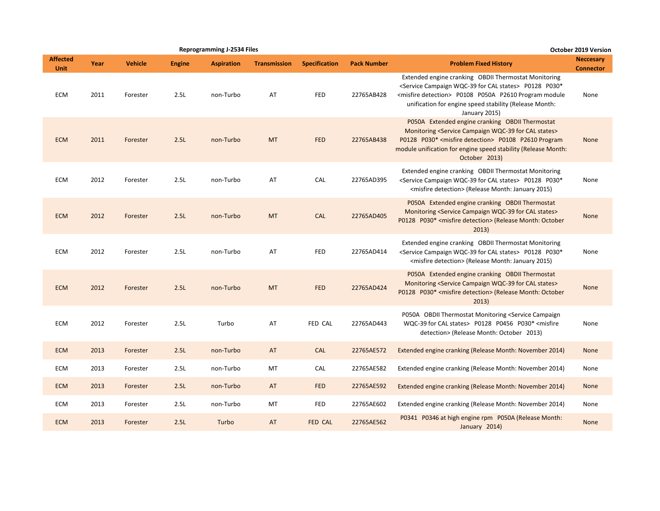|                                | <b>Reprogramming J-2534 Files</b><br><b>Vehicle</b><br>Year<br><b>Engine</b><br><b>Aspiration</b><br><b>Transmission</b><br>2011<br>2.5L<br>Forester<br>non-Turbo<br>AT<br>2011<br>2.5L<br><b>MT</b><br>non-Turbo<br>Forester<br>2012<br>2.5L<br>AT<br>Forester<br>non-Turbo<br>2012<br>2.5L<br>non-Turbo<br><b>MT</b><br>Forester<br>2012<br>2.5L<br>AT<br>Forester<br>non-Turbo<br>2012<br>2.5L<br>non-Turbo<br><b>MT</b><br>Forester<br>2012<br>2.5L<br>Turbo<br>AT<br>Forester<br>2013<br>2.5L<br>non-Turbo<br>AT<br>Forester<br>2013<br>2.5L<br>MT<br>Forester<br>non-Turbo<br>2013<br>Forester<br>2.5L<br>non-Turbo<br>AT |          |      |           |    |                      |                    |                                                                                                                                                                                                                                                                                          | <b>October 2019 Version</b>          |
|--------------------------------|---------------------------------------------------------------------------------------------------------------------------------------------------------------------------------------------------------------------------------------------------------------------------------------------------------------------------------------------------------------------------------------------------------------------------------------------------------------------------------------------------------------------------------------------------------------------------------------------------------------------------------|----------|------|-----------|----|----------------------|--------------------|------------------------------------------------------------------------------------------------------------------------------------------------------------------------------------------------------------------------------------------------------------------------------------------|--------------------------------------|
| <b>Affected</b><br><b>Unit</b> |                                                                                                                                                                                                                                                                                                                                                                                                                                                                                                                                                                                                                                 |          |      |           |    | <b>Specification</b> | <b>Pack Number</b> | <b>Problem Fixed History</b>                                                                                                                                                                                                                                                             | <b>Neccesary</b><br><b>Connector</b> |
| <b>ECM</b>                     |                                                                                                                                                                                                                                                                                                                                                                                                                                                                                                                                                                                                                                 |          |      |           |    | <b>FED</b>           | 22765AB428         | Extended engine cranking OBDII Thermostat Monitoring<br><service cal="" campaign="" for="" states="" wqc-39=""> P0128 P030*<br/><misfire detection=""> P0108 P050A P2610 Program module<br/>unification for engine speed stability (Release Month:<br/>January 2015)</misfire></service> | None                                 |
| <b>ECM</b>                     |                                                                                                                                                                                                                                                                                                                                                                                                                                                                                                                                                                                                                                 |          |      |           |    | <b>FED</b>           | 22765AB438         | P050A Extended engine cranking OBDII Thermostat<br>Monitoring <service cal="" campaign="" for="" states="" wqc-39=""><br/>P0128 P030* <misfire detection=""> P0108 P2610 Program<br/>module unification for engine speed stability (Release Month:<br/>October 2013)</misfire></service> | <b>None</b>                          |
| <b>ECM</b>                     |                                                                                                                                                                                                                                                                                                                                                                                                                                                                                                                                                                                                                                 |          |      |           |    | CAL                  | 22765AD395         | Extended engine cranking OBDII Thermostat Monitoring<br><service cal="" campaign="" for="" states="" wqc-39=""> P0128 P030*<br/><misfire detection=""> (Release Month: January 2015)</misfire></service>                                                                                 | None                                 |
| <b>ECM</b>                     |                                                                                                                                                                                                                                                                                                                                                                                                                                                                                                                                                                                                                                 |          |      |           |    | <b>CAL</b>           | 22765AD405         | P050A Extended engine cranking OBDII Thermostat<br>Monitoring <service cal="" campaign="" for="" states="" wqc-39=""><br/>P0128 P030* <misfire detection=""> (Release Month: October<br/>2013)</misfire></service>                                                                       | <b>None</b>                          |
| <b>ECM</b>                     |                                                                                                                                                                                                                                                                                                                                                                                                                                                                                                                                                                                                                                 |          |      |           |    | FED                  | 22765AD414         | Extended engine cranking OBDII Thermostat Monitoring<br><service cal="" campaign="" for="" states="" wqc-39=""> P0128 P030*<br/><misfire detection=""> (Release Month: January 2015)</misfire></service>                                                                                 | None                                 |
| <b>ECM</b>                     |                                                                                                                                                                                                                                                                                                                                                                                                                                                                                                                                                                                                                                 |          |      |           |    | <b>FED</b>           | 22765AD424         | P050A Extended engine cranking OBDII Thermostat<br>Monitoring <service cal="" campaign="" for="" states="" wqc-39=""><br/>P0128 P030* <misfire detection=""> (Release Month: October<br/>2013)</misfire></service>                                                                       | <b>None</b>                          |
| <b>ECM</b>                     |                                                                                                                                                                                                                                                                                                                                                                                                                                                                                                                                                                                                                                 |          |      |           |    | FED CAL              | 22765AD443         | P050A OBDII Thermostat Monitoring <service campaign<br="">WQC-39 for CAL states&gt; P0128 P0456 P030* <misfire<br>detection&gt; (Release Month: October 2013)</misfire<br></service>                                                                                                     | None                                 |
| <b>ECM</b>                     |                                                                                                                                                                                                                                                                                                                                                                                                                                                                                                                                                                                                                                 |          |      |           |    | <b>CAL</b>           | 22765AE572         | Extended engine cranking (Release Month: November 2014)                                                                                                                                                                                                                                  | <b>None</b>                          |
| <b>ECM</b>                     |                                                                                                                                                                                                                                                                                                                                                                                                                                                                                                                                                                                                                                 |          |      |           |    | CAL                  | 22765AE582         | Extended engine cranking (Release Month: November 2014)                                                                                                                                                                                                                                  | None                                 |
| <b>ECM</b>                     |                                                                                                                                                                                                                                                                                                                                                                                                                                                                                                                                                                                                                                 |          |      |           |    | <b>FED</b>           | 22765AE592         | Extended engine cranking (Release Month: November 2014)                                                                                                                                                                                                                                  | None                                 |
| <b>ECM</b>                     | 2013                                                                                                                                                                                                                                                                                                                                                                                                                                                                                                                                                                                                                            | Forester | 2.5L | non-Turbo | MT | <b>FED</b>           | 22765AE602         | Extended engine cranking (Release Month: November 2014)                                                                                                                                                                                                                                  | None                                 |
| <b>ECM</b>                     | 2013                                                                                                                                                                                                                                                                                                                                                                                                                                                                                                                                                                                                                            | Forester | 2.5L | Turbo     | AT | FED CAL              | 22765AE562         | P0341 P0346 at high engine rpm P050A (Release Month:<br>January 2014)                                                                                                                                                                                                                    | None                                 |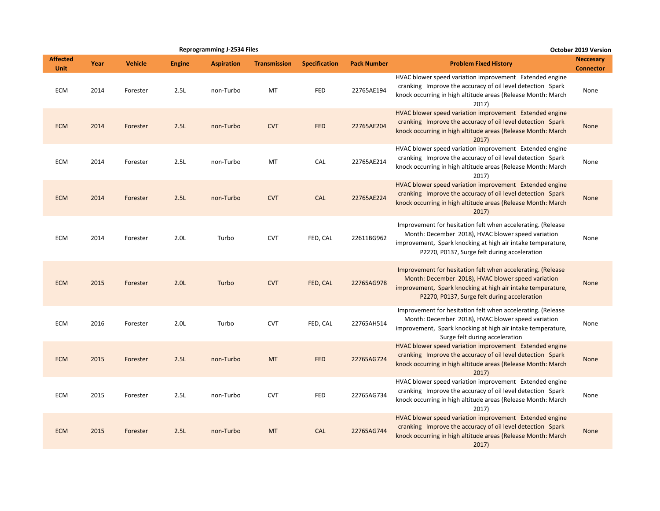|                                |      |                |               | <b>Reprogramming J-2534 Files</b> |                     |                      |                    |                                                                                                                                                                                                                                  | October 2019 Version                 |
|--------------------------------|------|----------------|---------------|-----------------------------------|---------------------|----------------------|--------------------|----------------------------------------------------------------------------------------------------------------------------------------------------------------------------------------------------------------------------------|--------------------------------------|
| <b>Affected</b><br><b>Unit</b> | Year | <b>Vehicle</b> | <b>Engine</b> | <b>Aspiration</b>                 | <b>Transmission</b> | <b>Specification</b> | <b>Pack Number</b> | <b>Problem Fixed History</b>                                                                                                                                                                                                     | <b>Neccesary</b><br><b>Connector</b> |
| ECM                            | 2014 | Forester       | 2.5L          | non-Turbo                         | MT                  | <b>FED</b>           | 22765AE194         | HVAC blower speed variation improvement Extended engine<br>cranking Improve the accuracy of oil level detection Spark<br>knock occurring in high altitude areas (Release Month: March<br>2017)                                   | None                                 |
| <b>ECM</b>                     | 2014 | Forester       | 2.5L          | non-Turbo                         | <b>CVT</b>          | <b>FED</b>           | 22765AE204         | HVAC blower speed variation improvement Extended engine<br>cranking Improve the accuracy of oil level detection Spark<br>knock occurring in high altitude areas (Release Month: March<br>2017)                                   | None                                 |
| <b>ECM</b>                     | 2014 | Forester       | 2.5L          | non-Turbo                         | MT                  | CAL                  | 22765AE214         | HVAC blower speed variation improvement Extended engine<br>cranking Improve the accuracy of oil level detection Spark<br>knock occurring in high altitude areas (Release Month: March<br>2017)                                   | None                                 |
| <b>ECM</b>                     | 2014 | Forester       | 2.5L          | non-Turbo                         | <b>CVT</b>          | <b>CAL</b>           | 22765AE224         | HVAC blower speed variation improvement Extended engine<br>cranking Improve the accuracy of oil level detection Spark<br>knock occurring in high altitude areas (Release Month: March<br>2017)                                   | None                                 |
| <b>ECM</b>                     | 2014 | Forester       | 2.0L          | Turbo                             | <b>CVT</b>          | FED, CAL             | 22611BG962         | Improvement for hesitation felt when accelerating. (Release<br>Month: December 2018), HVAC blower speed variation<br>improvement, Spark knocking at high air intake temperature,<br>P2270, P0137, Surge felt during acceleration | None                                 |
| <b>ECM</b>                     | 2015 | Forester       | 2.0L          | Turbo                             | <b>CVT</b>          | FED, CAL             | 22765AG978         | Improvement for hesitation felt when accelerating. (Release<br>Month: December 2018), HVAC blower speed variation<br>improvement, Spark knocking at high air intake temperature,<br>P2270, P0137, Surge felt during acceleration | None                                 |
| <b>ECM</b>                     | 2016 | Forester       | 2.0L          | Turbo                             | <b>CVT</b>          | FED, CAL             | 22765AH514         | Improvement for hesitation felt when accelerating. (Release<br>Month: December 2018), HVAC blower speed variation<br>improvement, Spark knocking at high air intake temperature,<br>Surge felt during acceleration               | None                                 |
| <b>ECM</b>                     | 2015 | Forester       | 2.5L          | non-Turbo                         | <b>MT</b>           | <b>FED</b>           | 22765AG724         | HVAC blower speed variation improvement Extended engine<br>cranking Improve the accuracy of oil level detection Spark<br>knock occurring in high altitude areas (Release Month: March<br>2017)                                   | None                                 |
| <b>ECM</b>                     | 2015 | Forester       | 2.5L          | non-Turbo                         | <b>CVT</b>          | FED                  | 22765AG734         | HVAC blower speed variation improvement Extended engine<br>cranking Improve the accuracy of oil level detection Spark<br>knock occurring in high altitude areas (Release Month: March<br>2017)                                   | None                                 |
| <b>ECM</b>                     | 2015 | Forester       | 2.5L          | non-Turbo                         | <b>MT</b>           | <b>CAL</b>           | 22765AG744         | HVAC blower speed variation improvement Extended engine<br>cranking Improve the accuracy of oil level detection Spark<br>knock occurring in high altitude areas (Release Month: March<br>2017)                                   | None                                 |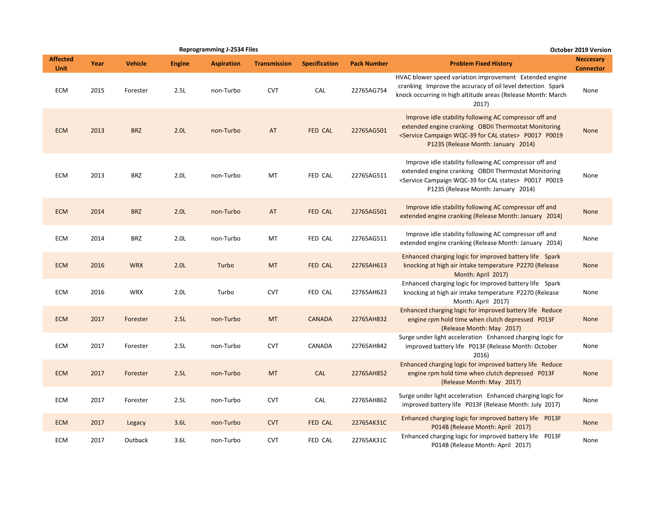|                                |      |                |                  | <b>Reprogramming J-2534 Files</b> |                     |                      |                    |                                                                                                                                                                                                                                         | October 2019 Version                 |
|--------------------------------|------|----------------|------------------|-----------------------------------|---------------------|----------------------|--------------------|-----------------------------------------------------------------------------------------------------------------------------------------------------------------------------------------------------------------------------------------|--------------------------------------|
| <b>Affected</b><br><b>Unit</b> | Year | <b>Vehicle</b> | <b>Engine</b>    | <b>Aspiration</b>                 | <b>Transmission</b> | <b>Specification</b> | <b>Pack Number</b> | <b>Problem Fixed History</b>                                                                                                                                                                                                            | <b>Neccesary</b><br><b>Connector</b> |
| ECM                            | 2015 | Forester       | 2.5L             | non-Turbo                         | <b>CVT</b>          | CAL                  | 22765AG754         | HVAC blower speed variation improvement Extended engine<br>cranking Improve the accuracy of oil level detection Spark<br>knock occurring in high altitude areas (Release Month: March<br>2017)                                          | None                                 |
| <b>ECM</b>                     | 2013 | <b>BRZ</b>     | 2.0 <sub>L</sub> | non-Turbo                         | AT                  | FED CAL              | 22765AG501         | Improve idle stability following AC compressor off and<br>extended engine cranking OBDII Thermostat Monitoring<br><service cal="" campaign="" for="" states="" wqc-39=""> P0017 P0019<br/>P1235 (Release Month: January 2014)</service> | None                                 |
| <b>ECM</b>                     | 2013 | <b>BRZ</b>     | 2.0 <sub>L</sub> | non-Turbo                         | MT                  | FED CAL              | 22765AG511         | Improve idle stability following AC compressor off and<br>extended engine cranking OBDII Thermostat Monitoring<br><service cal="" campaign="" for="" states="" wqc-39=""> P0017 P0019<br/>P1235 (Release Month: January 2014)</service> | None                                 |
| <b>ECM</b>                     | 2014 | <b>BRZ</b>     | 2.0 <sub>L</sub> | non-Turbo                         | AT                  | FED CAL              | 22765AG501         | Improve idle stability following AC compressor off and<br>extended engine cranking (Release Month: January 2014)                                                                                                                        | None                                 |
| <b>ECM</b>                     | 2014 | <b>BRZ</b>     | 2.0 <sub>L</sub> | non-Turbo                         | MT                  | FED CAL              | 22765AG511         | Improve idle stability following AC compressor off and<br>extended engine cranking (Release Month: January 2014)                                                                                                                        | None                                 |
| <b>ECM</b>                     | 2016 | <b>WRX</b>     | 2.0L             | Turbo                             | <b>MT</b>           | FED CAL              | 22765AH613         | Enhanced charging logic for improved battery life Spark<br>knocking at high air intake temperature P2270 (Release<br>Month: April 2017)                                                                                                 | None                                 |
| ECM                            | 2016 | <b>WRX</b>     | 2.0 <sub>L</sub> | Turbo                             | <b>CVT</b>          | FED CAL              | 22765AH623         | Enhanced charging logic for improved battery life Spark<br>knocking at high air intake temperature P2270 (Release<br>Month: April 2017)                                                                                                 | None                                 |
| <b>ECM</b>                     | 2017 | Forester       | 2.5L             | non-Turbo                         | <b>MT</b>           | <b>CANADA</b>        | 22765AH832         | Enhanced charging logic for improved battery life Reduce<br>engine rpm hold time when clutch depressed P013F<br>(Release Month: May 2017)                                                                                               | None                                 |
| ECM                            | 2017 | Forester       | 2.5L             | non-Turbo                         | <b>CVT</b>          | CANADA               | 22765AH842         | Surge under light acceleration Enhanced charging logic for<br>improved battery life P013F (Release Month: October<br>2016)                                                                                                              | None                                 |
| <b>ECM</b>                     | 2017 | Forester       | 2.5L             | non-Turbo                         | <b>MT</b>           | <b>CAL</b>           | 22765AH852         | Enhanced charging logic for improved battery life Reduce<br>engine rpm hold time when clutch depressed P013F<br>(Release Month: May 2017)                                                                                               | None                                 |
| ECM                            | 2017 | Forester       | 2.5L             | non-Turbo                         | <b>CVT</b>          | <b>CAL</b>           | 22765AH862         | Surge under light acceleration Enhanced charging logic for<br>improved battery life P013F (Release Month: July 2017)                                                                                                                    | None                                 |
| <b>ECM</b>                     | 2017 | Legacy         | 3.6L             | non-Turbo                         | <b>CVT</b>          | <b>FED CAL</b>       | 22765AK31C         | Enhanced charging logic for improved battery life P013F<br>P014B (Release Month: April 2017)                                                                                                                                            | None                                 |
| ECM                            | 2017 | Outback        | 3.6L             | non-Turbo                         | <b>CVT</b>          | FED CAL              | 22765AK31C         | Enhanced charging logic for improved battery life P013F<br>P014B (Release Month: April 2017)                                                                                                                                            | None                                 |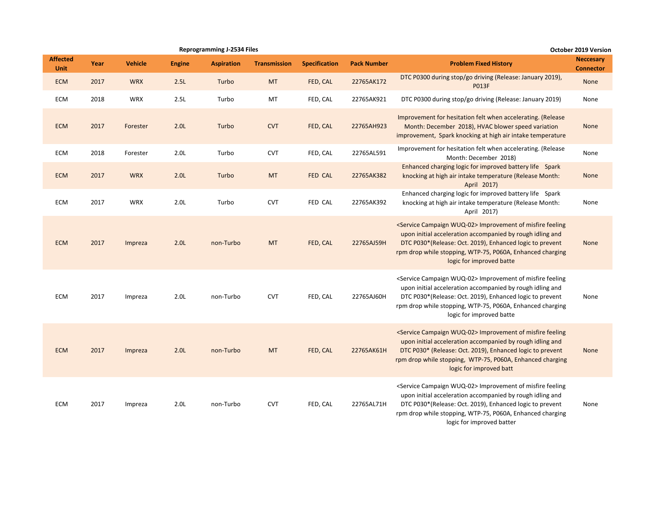|                                |      |                |                  | <b>Reprogramming J-2534 Files</b> |                     |                      |                    |                                                                                                                                                                                                                                                                                                 | <b>October 2019 Version</b>          |
|--------------------------------|------|----------------|------------------|-----------------------------------|---------------------|----------------------|--------------------|-------------------------------------------------------------------------------------------------------------------------------------------------------------------------------------------------------------------------------------------------------------------------------------------------|--------------------------------------|
| <b>Affected</b><br><b>Unit</b> | Year | <b>Vehicle</b> | <b>Engine</b>    | <b>Aspiration</b>                 | <b>Transmission</b> | <b>Specification</b> | <b>Pack Number</b> | <b>Problem Fixed History</b>                                                                                                                                                                                                                                                                    | <b>Neccesary</b><br><b>Connector</b> |
| <b>ECM</b>                     | 2017 | <b>WRX</b>     | 2.5L             | Turbo                             | <b>MT</b>           | FED, CAL             | 22765AK172         | DTC P0300 during stop/go driving (Release: January 2019),<br><b>P013F</b>                                                                                                                                                                                                                       | None                                 |
| ECM                            | 2018 | WRX            | 2.5L             | Turbo                             | MT                  | FED, CAL             | 22765AK921         | DTC P0300 during stop/go driving (Release: January 2019)                                                                                                                                                                                                                                        | None                                 |
| <b>ECM</b>                     | 2017 | Forester       | 2.0L             | Turbo                             | <b>CVT</b>          | FED, CAL             | 22765AH923         | Improvement for hesitation felt when accelerating. (Release<br>Month: December 2018), HVAC blower speed variation<br>improvement, Spark knocking at high air intake temperature                                                                                                                 | None                                 |
| ECM                            | 2018 | Forester       | 2.0 <sub>L</sub> | Turbo                             | <b>CVT</b>          | FED, CAL             | 22765AL591         | Improvement for hesitation felt when accelerating. (Release<br>Month: December 2018)                                                                                                                                                                                                            | None                                 |
| <b>ECM</b>                     | 2017 | <b>WRX</b>     | 2.0 <sub>L</sub> | Turbo                             | <b>MT</b>           | FED CAL              | 22765AK382         | Enhanced charging logic for improved battery life Spark<br>knocking at high air intake temperature (Release Month:<br>April 2017)                                                                                                                                                               | None                                 |
| ECM                            | 2017 | <b>WRX</b>     | 2.0 <sub>L</sub> | Turbo                             | <b>CVT</b>          | FED CAL              | 22765AK392         | Enhanced charging logic for improved battery life Spark<br>knocking at high air intake temperature (Release Month:<br>April 2017)                                                                                                                                                               | None                                 |
| <b>ECM</b>                     | 2017 | Impreza        | 2.0L             | non-Turbo                         | <b>MT</b>           | FED, CAL             | 22765AJ59H         | <service campaign="" wuq-02=""> Improvement of misfire feeling<br/>upon initial acceleration accompanied by rough idling and<br/>DTC P030*(Release: Oct. 2019), Enhanced logic to prevent<br/>rpm drop while stopping, WTP-75, P060A, Enhanced charging<br/>logic for improved batte</service>  | None                                 |
| ECM                            | 2017 | Impreza        | 2.0 <sub>L</sub> | non-Turbo                         | <b>CVT</b>          | FED, CAL             | 22765AJ60H         | <service campaign="" wuq-02=""> Improvement of misfire feeling<br/>upon initial acceleration accompanied by rough idling and<br/>DTC P030*(Release: Oct. 2019), Enhanced logic to prevent<br/>rpm drop while stopping, WTP-75, P060A, Enhanced charging<br/>logic for improved batte</service>  | None                                 |
| <b>ECM</b>                     | 2017 | Impreza        | 2.0L             | non-Turbo                         | <b>MT</b>           | FED, CAL             | 22765AK61H         | <service campaign="" wuq-02=""> Improvement of misfire feeling<br/>upon initial acceleration accompanied by rough idling and<br/>DTC P030* (Release: Oct. 2019), Enhanced logic to prevent<br/>rpm drop while stopping, WTP-75, P060A, Enhanced charging<br/>logic for improved batt</service>  | None                                 |
| ECM                            | 2017 | Impreza        | 2.0 <sub>L</sub> | non-Turbo                         | <b>CVT</b>          | FED, CAL             | 22765AL71H         | <service campaign="" wuq-02=""> Improvement of misfire feeling<br/>upon initial acceleration accompanied by rough idling and<br/>DTC P030*(Release: Oct. 2019), Enhanced logic to prevent<br/>rpm drop while stopping, WTP-75, P060A, Enhanced charging<br/>logic for improved batter</service> | None                                 |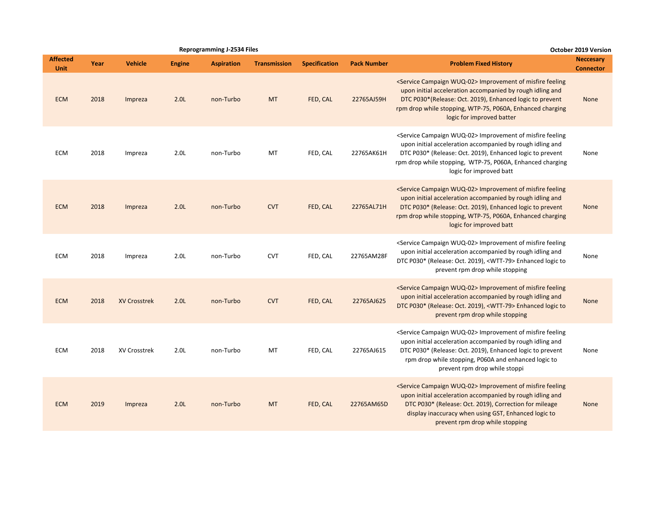|                                |      |                     |                  | <b>Reprogramming J-2534 Files</b> |                     |                      |                    | <b>October 2019 Version</b>                                                                                                                                                                                                                                                                     |                                      |
|--------------------------------|------|---------------------|------------------|-----------------------------------|---------------------|----------------------|--------------------|-------------------------------------------------------------------------------------------------------------------------------------------------------------------------------------------------------------------------------------------------------------------------------------------------|--------------------------------------|
| <b>Affected</b><br><b>Unit</b> | Year | <b>Vehicle</b>      | <b>Engine</b>    | <b>Aspiration</b>                 | <b>Transmission</b> | <b>Specification</b> | <b>Pack Number</b> | <b>Problem Fixed History</b>                                                                                                                                                                                                                                                                    | <b>Neccesary</b><br><b>Connector</b> |
| <b>ECM</b>                     | 2018 | Impreza             | 2.0L             | non-Turbo                         | <b>MT</b>           | FED, CAL             | 22765AJ59H         | <service campaign="" wuq-02=""> Improvement of misfire feeling<br/>upon initial acceleration accompanied by rough idling and<br/>DTC P030*(Release: Oct. 2019), Enhanced logic to prevent<br/>rpm drop while stopping, WTP-75, P060A, Enhanced charging<br/>logic for improved batter</service> | None                                 |
| <b>ECM</b>                     | 2018 | Impreza             | 2.0 <sub>L</sub> | non-Turbo                         | MT                  | FED, CAL             | 22765AK61H         | <service campaign="" wuq-02=""> Improvement of misfire feeling<br/>upon initial acceleration accompanied by rough idling and<br/>DTC P030* (Release: Oct. 2019), Enhanced logic to prevent<br/>rpm drop while stopping, WTP-75, P060A, Enhanced charging<br/>logic for improved batt</service>  | None                                 |
| <b>ECM</b>                     | 2018 | Impreza             | 2.0 <sub>L</sub> | non-Turbo                         | <b>CVT</b>          | FED, CAL             | 22765AL71H         | <service campaign="" wuq-02=""> Improvement of misfire feeling<br/>upon initial acceleration accompanied by rough idling and<br/>DTC P030* (Release: Oct. 2019), Enhanced logic to prevent<br/>rpm drop while stopping, WTP-75, P060A, Enhanced charging<br/>logic for improved batt</service>  | None                                 |
| <b>ECM</b>                     | 2018 | Impreza             | 2.0 <sub>L</sub> | non-Turbo                         | <b>CVT</b>          | FED, CAL             | 22765AM28F         | <service campaign="" wuq-02=""> Improvement of misfire feeling<br/>upon initial acceleration accompanied by rough idling and<br/>DTC P030* (Release: Oct. 2019), <wtt-79> Enhanced logic to<br/>prevent rpm drop while stopping</wtt-79></service>                                              | None                                 |
| <b>ECM</b>                     | 2018 | <b>XV Crosstrek</b> | 2.0L             | non-Turbo                         | <b>CVT</b>          | FED, CAL             | 22765AJ625         | <service campaign="" wuq-02=""> Improvement of misfire feeling<br/>upon initial acceleration accompanied by rough idling and<br/>DTC P030* (Release: Oct. 2019), <wtt-79> Enhanced logic to<br/>prevent rpm drop while stopping</wtt-79></service>                                              | None                                 |
| <b>ECM</b>                     | 2018 | <b>XV Crosstrek</b> | 2.0 <sub>L</sub> | non-Turbo                         | <b>MT</b>           | FED, CAL             | 22765AJ615         | <service campaign="" wuq-02=""> Improvement of misfire feeling<br/>upon initial acceleration accompanied by rough idling and<br/>DTC P030* (Release: Oct. 2019), Enhanced logic to prevent<br/>rpm drop while stopping, P060A and enhanced logic to<br/>prevent rpm drop while stoppi</service> | None                                 |
| <b>ECM</b>                     | 2019 | Impreza             | 2.0 <sub>L</sub> | non-Turbo                         | <b>MT</b>           | FED, CAL             | 22765AM65D         | <service campaign="" wuq-02=""> Improvement of misfire feeling<br/>upon initial acceleration accompanied by rough idling and<br/>DTC P030* (Release: Oct. 2019), Correction for mileage<br/>display inaccuracy when using GST, Enhanced logic to<br/>prevent rpm drop while stopping</service>  | None                                 |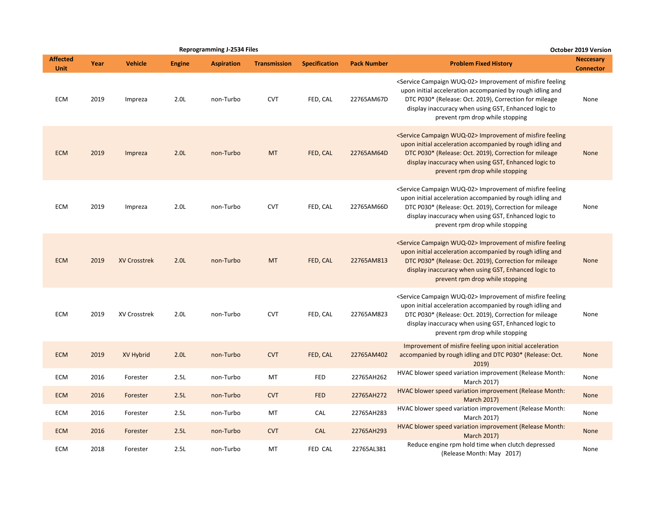|                                |      |                     |                  | <b>Reprogramming J-2534 Files</b> |                     |                      |                    |                                                                                                                                                                                                                                                                                                | <b>October 2019 Version</b>          |
|--------------------------------|------|---------------------|------------------|-----------------------------------|---------------------|----------------------|--------------------|------------------------------------------------------------------------------------------------------------------------------------------------------------------------------------------------------------------------------------------------------------------------------------------------|--------------------------------------|
| <b>Affected</b><br><b>Unit</b> | Year | <b>Vehicle</b>      | <b>Engine</b>    | <b>Aspiration</b>                 | <b>Transmission</b> | <b>Specification</b> | <b>Pack Number</b> | <b>Problem Fixed History</b>                                                                                                                                                                                                                                                                   | <b>Neccesary</b><br><b>Connector</b> |
| ECM                            | 2019 | Impreza             | 2.0L             | non-Turbo                         | <b>CVT</b>          | FED, CAL             | 22765AM67D         | <service campaign="" wuq-02=""> Improvement of misfire feeling<br/>upon initial acceleration accompanied by rough idling and<br/>DTC P030* (Release: Oct. 2019), Correction for mileage<br/>display inaccuracy when using GST, Enhanced logic to<br/>prevent rpm drop while stopping</service> | None                                 |
| <b>ECM</b>                     | 2019 | Impreza             | 2.0 <sub>L</sub> | non-Turbo                         | <b>MT</b>           | FED, CAL             | 22765AM64D         | <service campaign="" wuq-02=""> Improvement of misfire feeling<br/>upon initial acceleration accompanied by rough idling and<br/>DTC P030* (Release: Oct. 2019), Correction for mileage<br/>display inaccuracy when using GST, Enhanced logic to<br/>prevent rpm drop while stopping</service> | None                                 |
| <b>ECM</b>                     | 2019 | Impreza             | 2.0 <sub>L</sub> | non-Turbo                         | <b>CVT</b>          | FED, CAL             | 22765AM66D         | <service campaign="" wuq-02=""> Improvement of misfire feeling<br/>upon initial acceleration accompanied by rough idling and<br/>DTC P030* (Release: Oct. 2019), Correction for mileage<br/>display inaccuracy when using GST, Enhanced logic to<br/>prevent rpm drop while stopping</service> | None                                 |
| <b>ECM</b>                     | 2019 | <b>XV Crosstrek</b> | 2.0L             | non-Turbo                         | <b>MT</b>           | FED, CAL             | 22765AM813         | <service campaign="" wuq-02=""> Improvement of misfire feeling<br/>upon initial acceleration accompanied by rough idling and<br/>DTC P030* (Release: Oct. 2019), Correction for mileage<br/>display inaccuracy when using GST, Enhanced logic to<br/>prevent rpm drop while stopping</service> | None                                 |
| <b>ECM</b>                     | 2019 | XV Crosstrek        | 2.0L             | non-Turbo                         | <b>CVT</b>          | FED, CAL             | 22765AM823         | <service campaign="" wuq-02=""> Improvement of misfire feeling<br/>upon initial acceleration accompanied by rough idling and<br/>DTC P030* (Release: Oct. 2019), Correction for mileage<br/>display inaccuracy when using GST, Enhanced logic to<br/>prevent rpm drop while stopping</service> | None                                 |
| <b>ECM</b>                     | 2019 | XV Hybrid           | 2.0 <sub>L</sub> | non-Turbo                         | <b>CVT</b>          | FED, CAL             | 22765AM402         | Improvement of misfire feeling upon initial acceleration<br>accompanied by rough idling and DTC P030* (Release: Oct.<br>2019                                                                                                                                                                   | None                                 |
| <b>ECM</b>                     | 2016 | Forester            | 2.5L             | non-Turbo                         | MT                  | FED                  | 22765AH262         | HVAC blower speed variation improvement (Release Month:<br>March 2017)                                                                                                                                                                                                                         | None                                 |
| <b>ECM</b>                     | 2016 | Forester            | 2.5L             | non-Turbo                         | <b>CVT</b>          | <b>FED</b>           | 22765AH272         | HVAC blower speed variation improvement (Release Month:<br><b>March 2017)</b>                                                                                                                                                                                                                  | None                                 |
| ECM                            | 2016 | Forester            | 2.5L             | non-Turbo                         | MT                  | CAL                  | 22765AH283         | HVAC blower speed variation improvement (Release Month:<br>March 2017)                                                                                                                                                                                                                         | None                                 |
| <b>ECM</b>                     | 2016 | Forester            | 2.5L             | non-Turbo                         | <b>CVT</b>          | <b>CAL</b>           | 22765AH293         | HVAC blower speed variation improvement (Release Month:<br><b>March 2017)</b>                                                                                                                                                                                                                  | None                                 |
| ECM                            | 2018 | Forester            | 2.5L             | non-Turbo                         | MT                  | FED CAL              | 22765AL381         | Reduce engine rpm hold time when clutch depressed<br>(Release Month: May 2017)                                                                                                                                                                                                                 | None                                 |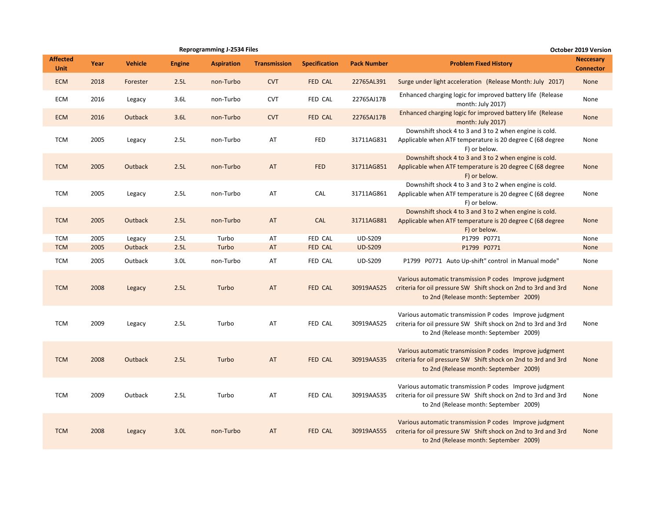|                                |      |                |                  | <b>Reprogramming J-2534 Files</b> |                     |                      |                    |                                                                                                                                                                     | October 2019 Version                 |
|--------------------------------|------|----------------|------------------|-----------------------------------|---------------------|----------------------|--------------------|---------------------------------------------------------------------------------------------------------------------------------------------------------------------|--------------------------------------|
| <b>Affected</b><br><b>Unit</b> | Year | <b>Vehicle</b> | <b>Engine</b>    | <b>Aspiration</b>                 | <b>Transmission</b> | <b>Specification</b> | <b>Pack Number</b> | <b>Problem Fixed History</b>                                                                                                                                        | <b>Neccesary</b><br><b>Connector</b> |
| <b>ECM</b>                     | 2018 | Forester       | 2.5L             | non-Turbo                         | <b>CVT</b>          | <b>FED CAL</b>       | 22765AL391         | Surge under light acceleration (Release Month: July 2017)                                                                                                           | None                                 |
| ECM                            | 2016 | Legacy         | 3.6L             | non-Turbo                         | <b>CVT</b>          | FED CAL              | 22765AJ17B         | Enhanced charging logic for improved battery life (Release<br>month: July 2017)                                                                                     | None                                 |
| <b>ECM</b>                     | 2016 | Outback        | 3.6L             | non-Turbo                         | <b>CVT</b>          | <b>FED CAL</b>       | 22765AJ17B         | Enhanced charging logic for improved battery life (Release<br>month: July 2017)                                                                                     | <b>None</b>                          |
| <b>TCM</b>                     | 2005 | Legacy         | 2.5L             | non-Turbo                         | AT                  | <b>FED</b>           | 31711AG831         | Downshift shock 4 to 3 and 3 to 2 when engine is cold.<br>Applicable when ATF temperature is 20 degree C (68 degree<br>F) or below.                                 | None                                 |
| <b>TCM</b>                     | 2005 | Outback        | 2.5L             | non-Turbo                         | AT                  | <b>FED</b>           | 31711AG851         | Downshift shock 4 to 3 and 3 to 2 when engine is cold.<br>Applicable when ATF temperature is 20 degree C (68 degree<br>F) or below.                                 | <b>None</b>                          |
| <b>TCM</b>                     | 2005 | Legacy         | 2.5L             | non-Turbo                         | AT                  | CAL                  | 31711AG861         | Downshift shock 4 to 3 and 3 to 2 when engine is cold.<br>Applicable when ATF temperature is 20 degree C (68 degree<br>F) or below.                                 | None                                 |
| <b>TCM</b>                     | 2005 | Outback        | 2.5L             | non-Turbo                         | AT                  | <b>CAL</b>           | 31711AG881         | Downshift shock 4 to 3 and 3 to 2 when engine is cold.<br>Applicable when ATF temperature is 20 degree C (68 degree<br>F) or below.                                 | <b>None</b>                          |
| <b>TCM</b>                     | 2005 | Legacy         | 2.5L             | Turbo                             | AT                  | FED CAL              | <b>UD-S209</b>     | P1799 P0771                                                                                                                                                         | None                                 |
| <b>TCM</b>                     | 2005 | Outback        | 2.5L             | Turbo                             | AT                  | <b>FED CAL</b>       | <b>UD-S209</b>     | P1799 P0771                                                                                                                                                         | None                                 |
| <b>TCM</b>                     | 2005 | Outback        | 3.0 <sub>L</sub> | non-Turbo                         | AT                  | FED CAL              | <b>UD-S209</b>     | P1799 P0771 Auto Up-shift" control in Manual mode"                                                                                                                  | None                                 |
| <b>TCM</b>                     | 2008 | Legacy         | 2.5L             | Turbo                             | AT                  | <b>FED CAL</b>       | 30919AA525         | Various automatic transmission P codes Improve judgment<br>criteria for oil pressure SW Shift shock on 2nd to 3rd and 3rd<br>to 2nd (Release month: September 2009) | None                                 |
| <b>TCM</b>                     | 2009 | Legacy         | 2.5L             | Turbo                             | AT                  | FED CAL              | 30919AA525         | Various automatic transmission P codes Improve judgment<br>criteria for oil pressure SW Shift shock on 2nd to 3rd and 3rd<br>to 2nd (Release month: September 2009) | None                                 |
| <b>TCM</b>                     | 2008 | Outback        | 2.5L             | Turbo                             | AT                  | <b>FED CAL</b>       | 30919AA535         | Various automatic transmission P codes Improve judgment<br>criteria for oil pressure SW Shift shock on 2nd to 3rd and 3rd<br>to 2nd (Release month: September 2009) | <b>None</b>                          |
| <b>TCM</b>                     | 2009 | Outback        | 2.5L             | Turbo                             | AT                  | <b>FED CAL</b>       | 30919AA535         | Various automatic transmission P codes Improve judgment<br>criteria for oil pressure SW Shift shock on 2nd to 3rd and 3rd<br>to 2nd (Release month: September 2009) | None                                 |
| <b>TCM</b>                     | 2008 | Legacy         | 3.0 <sub>L</sub> | non-Turbo                         | AT                  | FED CAL              | 30919AA555         | Various automatic transmission P codes Improve judgment<br>criteria for oil pressure SW Shift shock on 2nd to 3rd and 3rd<br>to 2nd (Release month: September 2009) | <b>None</b>                          |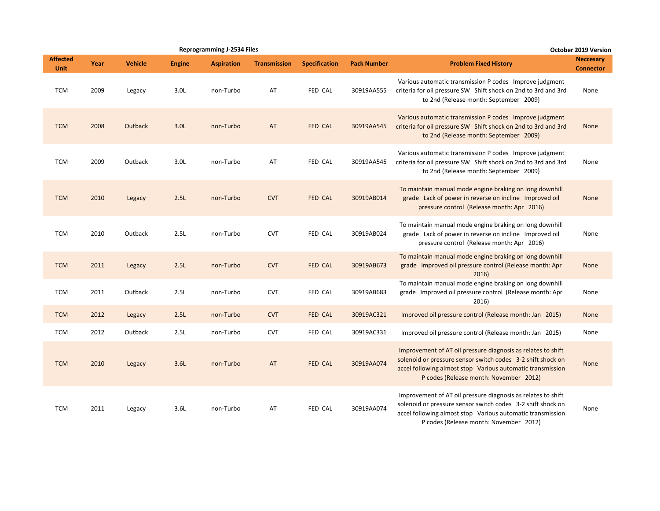|                                |      |                |               | <b>Reprogramming J-2534 Files</b> |                     |                      |                    |                                                                                                                                                                                                                                     | <b>October 2019 Version</b>          |
|--------------------------------|------|----------------|---------------|-----------------------------------|---------------------|----------------------|--------------------|-------------------------------------------------------------------------------------------------------------------------------------------------------------------------------------------------------------------------------------|--------------------------------------|
| <b>Affected</b><br><b>Unit</b> | Year | <b>Vehicle</b> | <b>Engine</b> | <b>Aspiration</b>                 | <b>Transmission</b> | <b>Specification</b> | <b>Pack Number</b> | <b>Problem Fixed History</b>                                                                                                                                                                                                        | <b>Neccesary</b><br><b>Connector</b> |
| <b>TCM</b>                     | 2009 | Legacy         | 3.0L          | non-Turbo                         | AT                  | FED CAL              | 30919AA555         | Various automatic transmission P codes Improve judgment<br>criteria for oil pressure SW Shift shock on 2nd to 3rd and 3rd<br>to 2nd (Release month: September 2009)                                                                 | None                                 |
| <b>TCM</b>                     | 2008 | <b>Outback</b> | 3.0L          | non-Turbo                         | AT                  | <b>FED CAL</b>       | 30919AA545         | Various automatic transmission P codes Improve judgment<br>criteria for oil pressure SW Shift shock on 2nd to 3rd and 3rd<br>to 2nd (Release month: September 2009)                                                                 | <b>None</b>                          |
| <b>TCM</b>                     | 2009 | Outback        | 3.0L          | non-Turbo                         | AT                  | FED CAL              | 30919AA545         | Various automatic transmission P codes Improve judgment<br>criteria for oil pressure SW Shift shock on 2nd to 3rd and 3rd<br>to 2nd (Release month: September 2009)                                                                 | None                                 |
| <b>TCM</b>                     | 2010 | Legacy         | 2.5L          | non-Turbo                         | <b>CVT</b>          | <b>FED CAL</b>       | 30919AB014         | To maintain manual mode engine braking on long downhill<br>grade Lack of power in reverse on incline Improved oil<br>pressure control (Release month: Apr 2016)                                                                     | None                                 |
| <b>TCM</b>                     | 2010 | Outback        | 2.5L          | non-Turbo                         | <b>CVT</b>          | FED CAL              | 30919AB024         | To maintain manual mode engine braking on long downhill<br>grade Lack of power in reverse on incline Improved oil<br>pressure control (Release month: Apr 2016)                                                                     | None                                 |
| <b>TCM</b>                     | 2011 | Legacy         | 2.5L          | non-Turbo                         | <b>CVT</b>          | FED CAL              | 30919AB673         | To maintain manual mode engine braking on long downhill<br>grade Improved oil pressure control (Release month: Apr<br>2016)                                                                                                         | <b>None</b>                          |
| <b>TCM</b>                     | 2011 | Outback        | 2.5L          | non-Turbo                         | <b>CVT</b>          | FED CAL              | 30919AB683         | To maintain manual mode engine braking on long downhill<br>grade Improved oil pressure control (Release month: Apr<br>2016)                                                                                                         | None                                 |
| <b>TCM</b>                     | 2012 | Legacy         | 2.5L          | non-Turbo                         | <b>CVT</b>          | FED CAL              | 30919AC321         | Improved oil pressure control (Release month: Jan 2015)                                                                                                                                                                             | <b>None</b>                          |
| <b>TCM</b>                     | 2012 | Outback        | 2.5L          | non-Turbo                         | <b>CVT</b>          | FED CAL              | 30919AC331         | Improved oil pressure control (Release month: Jan 2015)                                                                                                                                                                             | None                                 |
| <b>TCM</b>                     | 2010 | Legacy         | 3.6L          | non-Turbo                         | AT                  | FED CAL              | 30919AA074         | Improvement of AT oil pressure diagnosis as relates to shift<br>solenoid or pressure sensor switch codes 3-2 shift shock on<br>accel following almost stop Various automatic transmission<br>P codes (Release month: November 2012) | None                                 |
| <b>TCM</b>                     | 2011 | Legacy         | 3.6L          | non-Turbo                         | AT                  | FED CAL              | 30919AA074         | Improvement of AT oil pressure diagnosis as relates to shift<br>solenoid or pressure sensor switch codes 3-2 shift shock on<br>accel following almost stop Various automatic transmission<br>P codes (Release month: November 2012) | None                                 |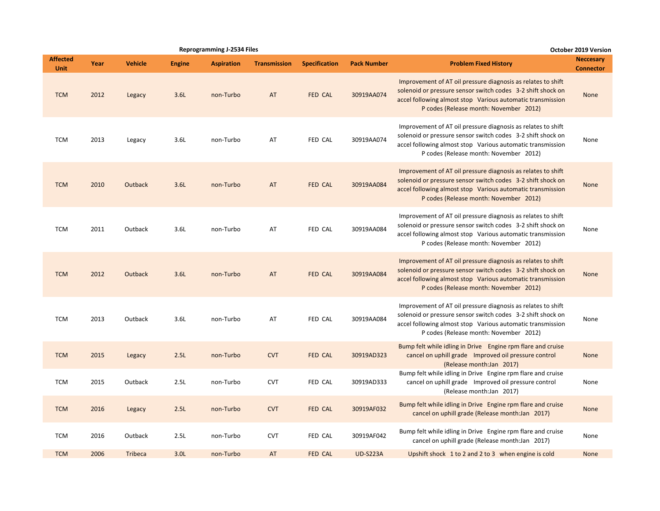|                                |      |                |                  | <b>Reprogramming J-2534 Files</b> |                     |                      |                    |                                                                                                                                                                                                                                     | <b>October 2019 Version</b>          |
|--------------------------------|------|----------------|------------------|-----------------------------------|---------------------|----------------------|--------------------|-------------------------------------------------------------------------------------------------------------------------------------------------------------------------------------------------------------------------------------|--------------------------------------|
| <b>Affected</b><br><b>Unit</b> | Year | <b>Vehicle</b> | <b>Engine</b>    | <b>Aspiration</b>                 | <b>Transmission</b> | <b>Specification</b> | <b>Pack Number</b> | <b>Problem Fixed History</b>                                                                                                                                                                                                        | <b>Neccesary</b><br><b>Connector</b> |
| <b>TCM</b>                     | 2012 | Legacy         | 3.6L             | non-Turbo                         | AT                  | FED CAL              | 30919AA074         | Improvement of AT oil pressure diagnosis as relates to shift<br>solenoid or pressure sensor switch codes 3-2 shift shock on<br>accel following almost stop Various automatic transmission<br>P codes (Release month: November 2012) | None                                 |
| <b>TCM</b>                     | 2013 | Legacy         | 3.6L             | non-Turbo                         | AT                  | FED CAL              | 30919AA074         | Improvement of AT oil pressure diagnosis as relates to shift<br>solenoid or pressure sensor switch codes 3-2 shift shock on<br>accel following almost stop Various automatic transmission<br>P codes (Release month: November 2012) | None                                 |
| <b>TCM</b>                     | 2010 | Outback        | 3.6L             | non-Turbo                         | AT                  | FED CAL              | 30919AA084         | Improvement of AT oil pressure diagnosis as relates to shift<br>solenoid or pressure sensor switch codes 3-2 shift shock on<br>accel following almost stop Various automatic transmission<br>P codes (Release month: November 2012) | None                                 |
| <b>TCM</b>                     | 2011 | Outback        | 3.6L             | non-Turbo                         | AT                  | FED CAL              | 30919AA084         | Improvement of AT oil pressure diagnosis as relates to shift<br>solenoid or pressure sensor switch codes 3-2 shift shock on<br>accel following almost stop Various automatic transmission<br>P codes (Release month: November 2012) | None                                 |
| <b>TCM</b>                     | 2012 | Outback        | 3.6L             | non-Turbo                         | AT                  | FED CAL              | 30919AA084         | Improvement of AT oil pressure diagnosis as relates to shift<br>solenoid or pressure sensor switch codes 3-2 shift shock on<br>accel following almost stop Various automatic transmission<br>P codes (Release month: November 2012) | None                                 |
| <b>TCM</b>                     | 2013 | Outback        | 3.6L             | non-Turbo                         | AT                  | FED CAL              | 30919AA084         | Improvement of AT oil pressure diagnosis as relates to shift<br>solenoid or pressure sensor switch codes 3-2 shift shock on<br>accel following almost stop Various automatic transmission<br>P codes (Release month: November 2012) | None                                 |
| <b>TCM</b>                     | 2015 | Legacy         | 2.5L             | non-Turbo                         | <b>CVT</b>          | <b>FED CAL</b>       | 30919AD323         | Bump felt while idling in Drive Engine rpm flare and cruise<br>cancel on uphill grade Improved oil pressure control<br>(Release month:Jan 2017)                                                                                     | None                                 |
| <b>TCM</b>                     | 2015 | Outback        | 2.5L             | non-Turbo                         | <b>CVT</b>          | FED CAL              | 30919AD333         | Bump felt while idling in Drive Engine rpm flare and cruise<br>cancel on uphill grade Improved oil pressure control<br>(Release month:Jan 2017)                                                                                     | None                                 |
| <b>TCM</b>                     | 2016 | Legacy         | 2.5L             | non-Turbo                         | <b>CVT</b>          | FED CAL              | 30919AF032         | Bump felt while idling in Drive Engine rpm flare and cruise<br>cancel on uphill grade (Release month:Jan 2017)                                                                                                                      | None                                 |
| <b>TCM</b>                     | 2016 | Outback        | 2.5L             | non-Turbo                         | <b>CVT</b>          | FED CAL              | 30919AF042         | Bump felt while idling in Drive Engine rpm flare and cruise<br>cancel on uphill grade (Release month:Jan 2017)                                                                                                                      | None                                 |
| <b>TCM</b>                     | 2006 | <b>Tribeca</b> | 3.0 <sub>L</sub> | non-Turbo                         | AT                  | <b>FED CAL</b>       | <b>UD-S223A</b>    | Upshift shock 1 to 2 and 2 to 3 when engine is cold                                                                                                                                                                                 | None                                 |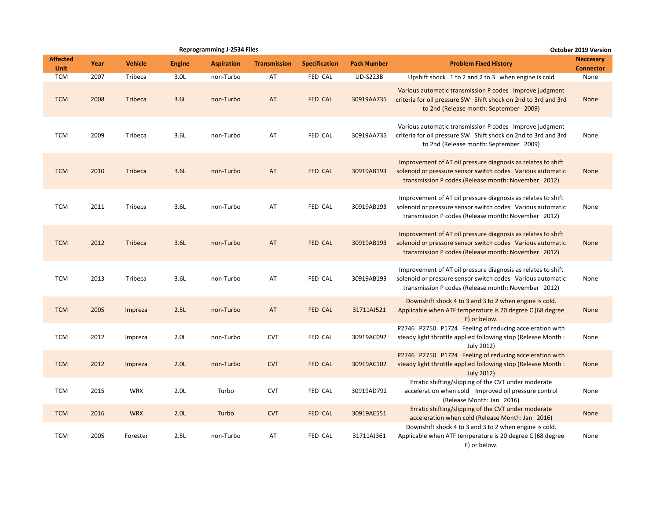|                                |      |                |                  | <b>Reprogramming J-2534 Files</b> |                     |                      |                    |                                                                                                                                                                                   | <b>October 2019 Version</b>          |
|--------------------------------|------|----------------|------------------|-----------------------------------|---------------------|----------------------|--------------------|-----------------------------------------------------------------------------------------------------------------------------------------------------------------------------------|--------------------------------------|
| <b>Affected</b><br><b>Unit</b> | Year | <b>Vehicle</b> | <b>Engine</b>    | <b>Aspiration</b>                 | <b>Transmission</b> | <b>Specification</b> | <b>Pack Number</b> | <b>Problem Fixed History</b>                                                                                                                                                      | <b>Neccesary</b><br><b>Connector</b> |
| <b>TCM</b>                     | 2007 | Tribeca        | 3.0 <sub>L</sub> | non-Turbo                         | AT                  | FED CAL              | <b>UD-S223B</b>    | Upshift shock 1 to 2 and 2 to 3 when engine is cold                                                                                                                               | None                                 |
| <b>TCM</b>                     | 2008 | <b>Tribeca</b> | 3.6L             | non-Turbo                         | AT                  | <b>FED CAL</b>       | 30919AA735         | Various automatic transmission P codes Improve judgment<br>criteria for oil pressure SW Shift shock on 2nd to 3rd and 3rd<br>to 2nd (Release month: September 2009)               | None                                 |
| <b>TCM</b>                     | 2009 | Tribeca        | 3.6L             | non-Turbo                         | AT                  | FED CAL              | 30919AA735         | Various automatic transmission P codes Improve judgment<br>criteria for oil pressure SW Shift shock on 2nd to 3rd and 3rd<br>to 2nd (Release month: September 2009)               | None                                 |
| <b>TCM</b>                     | 2010 | Tribeca        | 3.6L             | non-Turbo                         | AT                  | <b>FED CAL</b>       | 30919AB193         | Improvement of AT oil pressure diagnosis as relates to shift<br>solenoid or pressure sensor switch codes Various automatic<br>transmission P codes (Release month: November 2012) | None                                 |
| <b>TCM</b>                     | 2011 | Tribeca        | 3.6L             | non-Turbo                         | AT                  | FED CAL              | 30919AB193         | Improvement of AT oil pressure diagnosis as relates to shift<br>solenoid or pressure sensor switch codes Various automatic<br>transmission P codes (Release month: November 2012) | None                                 |
| <b>TCM</b>                     | 2012 | <b>Tribeca</b> | 3.6L             | non-Turbo                         | AT                  | <b>FED CAL</b>       | 30919AB193         | Improvement of AT oil pressure diagnosis as relates to shift<br>solenoid or pressure sensor switch codes Various automatic<br>transmission P codes (Release month: November 2012) | None                                 |
| <b>TCM</b>                     | 2013 | Tribeca        | 3.6L             | non-Turbo                         | AT                  | FED CAL              | 30919AB193         | Improvement of AT oil pressure diagnosis as relates to shift<br>solenoid or pressure sensor switch codes Various automatic<br>transmission P codes (Release month: November 2012) | None                                 |
| <b>TCM</b>                     | 2005 | Impreza        | 2.5L             | non-Turbo                         | AT                  | <b>FED CAL</b>       | 31711AJ521         | Downshift shock 4 to 3 and 3 to 2 when engine is cold.<br>Applicable when ATF temperature is 20 degree C (68 degree<br>F) or below.                                               | None                                 |
| <b>TCM</b>                     | 2012 | Impreza        | 2.0 <sub>L</sub> | non-Turbo                         | <b>CVT</b>          | FED CAL              | 30919AC092         | P2746 P2750 P1724 Feeling of reducing acceleration with<br>steady light throttle applied following stop (Release Month:<br>July 2012)                                             | None                                 |
| <b>TCM</b>                     | 2012 | Impreza        | 2.0 <sub>L</sub> | non-Turbo                         | <b>CVT</b>          | FED CAL              | 30919AC102         | P2746 P2750 P1724 Feeling of reducing acceleration with<br>steady light throttle applied following stop (Release Month:<br><b>July 2012)</b>                                      | None                                 |
| <b>TCM</b>                     | 2015 | <b>WRX</b>     | 2.0 <sub>L</sub> | Turbo                             | <b>CVT</b>          | FED CAL              | 30919AD792         | Erratic shifting/slipping of the CVT under moderate<br>acceleration when cold Improved oil pressure control<br>(Release Month: Jan 2016)                                          | None                                 |
| <b>TCM</b>                     | 2016 | <b>WRX</b>     | 2.0 <sub>L</sub> | Turbo                             | <b>CVT</b>          | <b>FED CAL</b>       | 30919AE551         | Erratic shifting/slipping of the CVT under moderate<br>acceleration when cold (Release Month: Jan 2016)                                                                           | None                                 |
| <b>TCM</b>                     | 2005 | Forester       | 2.5L             | non-Turbo                         | AT                  | FED CAL              | 31711AJ361         | Downshift shock 4 to 3 and 3 to 2 when engine is cold.<br>Applicable when ATF temperature is 20 degree C (68 degree<br>F) or below.                                               | None                                 |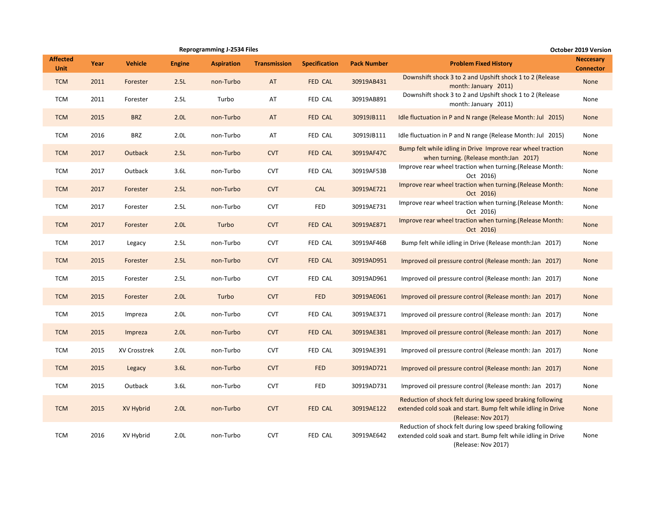|                                |      |                |                  | <b>Reprogramming J-2534 Files</b> |                     |                      |                    |                                                                                                                                                    | <b>October 2019 Version</b>          |
|--------------------------------|------|----------------|------------------|-----------------------------------|---------------------|----------------------|--------------------|----------------------------------------------------------------------------------------------------------------------------------------------------|--------------------------------------|
| <b>Affected</b><br><b>Unit</b> | Year | <b>Vehicle</b> | <b>Engine</b>    | <b>Aspiration</b>                 | <b>Transmission</b> | <b>Specification</b> | <b>Pack Number</b> | <b>Problem Fixed History</b>                                                                                                                       | <b>Neccesary</b><br><b>Connector</b> |
| <b>TCM</b>                     | 2011 | Forester       | 2.5L             | non-Turbo                         | AT                  | FED CAL              | 30919AB431         | Downshift shock 3 to 2 and Upshift shock 1 to 2 (Release<br>month: January 2011)                                                                   | <b>None</b>                          |
| <b>TCM</b>                     | 2011 | Forester       | 2.5L             | Turbo                             | AT                  | FED CAL              | 30919AB891         | Downshift shock 3 to 2 and Upshift shock 1 to 2 (Release<br>month: January 2011)                                                                   | None                                 |
| <b>TCM</b>                     | 2015 | <b>BRZ</b>     | 2.0 <sub>L</sub> | non-Turbo                         | AT                  | FED CAL              | 30919JB111         | Idle fluctuation in P and N range (Release Month: Jul 2015)                                                                                        | None                                 |
| <b>TCM</b>                     | 2016 | <b>BRZ</b>     | 2.0 <sub>L</sub> | non-Turbo                         | AT                  | FED CAL              | 30919JB111         | Idle fluctuation in P and N range (Release Month: Jul 2015)                                                                                        | None                                 |
| <b>TCM</b>                     | 2017 | Outback        | 2.5L             | non-Turbo                         | <b>CVT</b>          | FED CAL              | 30919AF47C         | Bump felt while idling in Drive Improve rear wheel traction<br>when turning. (Release month:Jan 2017)                                              | None                                 |
| <b>TCM</b>                     | 2017 | Outback        | 3.6L             | non-Turbo                         | <b>CVT</b>          | FED CAL              | 30919AF53B         | Improve rear wheel traction when turning. (Release Month:<br>Oct 2016)                                                                             | None                                 |
| <b>TCM</b>                     | 2017 | Forester       | 2.5L             | non-Turbo                         | <b>CVT</b>          | <b>CAL</b>           | 30919AE721         | Improve rear wheel traction when turning. (Release Month:<br>Oct 2016)                                                                             | None                                 |
| <b>TCM</b>                     | 2017 | Forester       | 2.5L             | non-Turbo                         | <b>CVT</b>          | <b>FED</b>           | 30919AE731         | Improve rear wheel traction when turning. (Release Month:<br>Oct 2016)                                                                             | None                                 |
| <b>TCM</b>                     | 2017 | Forester       | 2.0 <sub>L</sub> | Turbo                             | <b>CVT</b>          | FED CAL              | 30919AE871         | Improve rear wheel traction when turning. (Release Month:<br>Oct 2016)                                                                             | None                                 |
| <b>TCM</b>                     | 2017 | Legacy         | 2.5L             | non-Turbo                         | <b>CVT</b>          | FED CAL              | 30919AF46B         | Bump felt while idling in Drive (Release month: Jan 2017)                                                                                          | None                                 |
| <b>TCM</b>                     | 2015 | Forester       | 2.5L             | non-Turbo                         | <b>CVT</b>          | FED CAL              | 30919AD951         | Improved oil pressure control (Release month: Jan 2017)                                                                                            | <b>None</b>                          |
| <b>TCM</b>                     | 2015 | Forester       | 2.5L             | non-Turbo                         | <b>CVT</b>          | FED CAL              | 30919AD961         | Improved oil pressure control (Release month: Jan 2017)                                                                                            | None                                 |
| <b>TCM</b>                     | 2015 | Forester       | 2.0 <sub>L</sub> | Turbo                             | <b>CVT</b>          | <b>FED</b>           | 30919AE061         | Improved oil pressure control (Release month: Jan 2017)                                                                                            | None                                 |
| <b>TCM</b>                     | 2015 | Impreza        | 2.0 <sub>L</sub> | non-Turbo                         | <b>CVT</b>          | FED CAL              | 30919AE371         | Improved oil pressure control (Release month: Jan 2017)                                                                                            | None                                 |
| <b>TCM</b>                     | 2015 | Impreza        | 2.0 <sub>L</sub> | non-Turbo                         | <b>CVT</b>          | FED CAL              | 30919AE381         | Improved oil pressure control (Release month: Jan 2017)                                                                                            | None                                 |
| <b>TCM</b>                     | 2015 | XV Crosstrek   | 2.0 <sub>L</sub> | non-Turbo                         | <b>CVT</b>          | FED CAL              | 30919AE391         | Improved oil pressure control (Release month: Jan 2017)                                                                                            | None                                 |
| <b>TCM</b>                     | 2015 | Legacy         | 3.6L             | non-Turbo                         | <b>CVT</b>          | <b>FED</b>           | 30919AD721         | Improved oil pressure control (Release month: Jan 2017)                                                                                            | None                                 |
| <b>TCM</b>                     | 2015 | Outback        | 3.6L             | non-Turbo                         | <b>CVT</b>          | <b>FED</b>           | 30919AD731         | Improved oil pressure control (Release month: Jan 2017)                                                                                            | None                                 |
| <b>TCM</b>                     | 2015 | XV Hybrid      | 2.0 <sub>L</sub> | non-Turbo                         | <b>CVT</b>          | FED CAL              | 30919AE122         | Reduction of shock felt during low speed braking following<br>extended cold soak and start. Bump felt while idling in Drive<br>(Release: Nov 2017) | None                                 |
| <b>TCM</b>                     | 2016 | XV Hybrid      | 2.0 <sub>L</sub> | non-Turbo                         | <b>CVT</b>          | FED CAL              | 30919AE642         | Reduction of shock felt during low speed braking following<br>extended cold soak and start. Bump felt while idling in Drive<br>(Release: Nov 2017) | None                                 |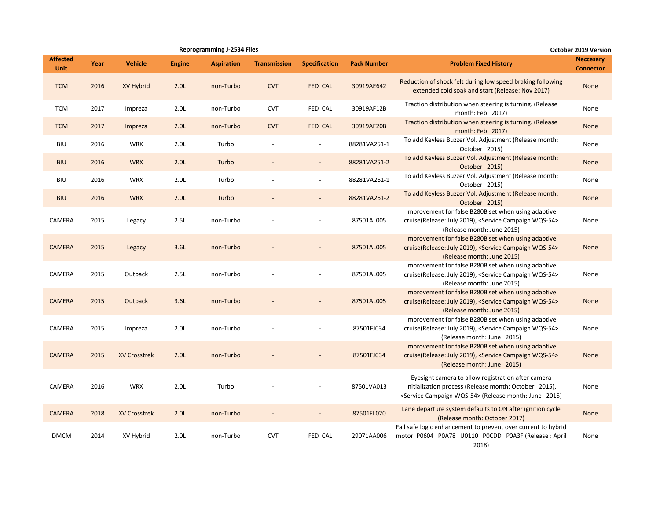|                                |      |                     |                  | <b>Reprogramming J-2534 Files</b> |                          |                          |                    |                                                                                                                                                                                     | <b>October 2019 Version</b>          |
|--------------------------------|------|---------------------|------------------|-----------------------------------|--------------------------|--------------------------|--------------------|-------------------------------------------------------------------------------------------------------------------------------------------------------------------------------------|--------------------------------------|
| <b>Affected</b><br><b>Unit</b> | Year | <b>Vehicle</b>      | <b>Engine</b>    | <b>Aspiration</b>                 | <b>Transmission</b>      | <b>Specification</b>     | <b>Pack Number</b> | <b>Problem Fixed History</b>                                                                                                                                                        | <b>Neccesary</b><br><b>Connector</b> |
| <b>TCM</b>                     | 2016 | XV Hybrid           | 2.0L             | non-Turbo                         | <b>CVT</b>               | <b>FED CAL</b>           | 30919AE642         | Reduction of shock felt during low speed braking following<br>extended cold soak and start (Release: Nov 2017)                                                                      | None                                 |
| <b>TCM</b>                     | 2017 | Impreza             | 2.0 <sub>L</sub> | non-Turbo                         | <b>CVT</b>               | FED CAL                  | 30919AF12B         | Traction distribution when steering is turning. (Release<br>month: Feb 2017)                                                                                                        | None                                 |
| <b>TCM</b>                     | 2017 | Impreza             | 2.0 <sub>L</sub> | non-Turbo                         | <b>CVT</b>               | FED CAL                  | 30919AF20B         | Traction distribution when steering is turning. (Release<br>month: Feb 2017)                                                                                                        | None                                 |
| <b>BIU</b>                     | 2016 | <b>WRX</b>          | 2.0 <sub>L</sub> | Turbo                             | $\overline{\phantom{a}}$ | $\overline{\phantom{a}}$ | 88281VA251-1       | To add Keyless Buzzer Vol. Adjustment (Release month:<br>October 2015)                                                                                                              | None                                 |
| <b>BIU</b>                     | 2016 | <b>WRX</b>          | 2.0 <sub>L</sub> | Turbo                             |                          |                          | 88281VA251-2       | To add Keyless Buzzer Vol. Adjustment (Release month:<br>October 2015)                                                                                                              | None                                 |
| <b>BIU</b>                     | 2016 | <b>WRX</b>          | 2.0 <sub>L</sub> | Turbo                             |                          | $\overline{a}$           | 88281VA261-1       | To add Keyless Buzzer Vol. Adjustment (Release month:<br>October 2015)                                                                                                              | None                                 |
| <b>BIU</b>                     | 2016 | <b>WRX</b>          | 2.0 <sub>L</sub> | Turbo                             |                          | $\overline{\phantom{a}}$ | 88281VA261-2       | To add Keyless Buzzer Vol. Adjustment (Release month:<br>October 2015)                                                                                                              | None                                 |
| CAMERA                         | 2015 | Legacy              | 2.5L             | non-Turbo                         |                          |                          | 87501AL005         | Improvement for false B280B set when using adaptive<br>cruise(Release: July 2019), <service campaign="" wqs-54=""><br/>(Release month: June 2015)</service>                         | None                                 |
| <b>CAMERA</b>                  | 2015 | Legacy              | 3.6L             | non-Turbo                         |                          |                          | 87501AL005         | Improvement for false B280B set when using adaptive<br>cruise(Release: July 2019), <service campaign="" wqs-54=""><br/>(Release month: June 2015)</service>                         | <b>None</b>                          |
| CAMERA                         | 2015 | Outback             | 2.5L             | non-Turbo                         |                          |                          | 87501AL005         | Improvement for false B280B set when using adaptive<br>cruise(Release: July 2019), <service campaign="" wqs-54=""><br/>(Release month: June 2015)</service>                         | None                                 |
| <b>CAMERA</b>                  | 2015 | Outback             | 3.6L             | non-Turbo                         |                          |                          | 87501AL005         | Improvement for false B280B set when using adaptive<br>cruise(Release: July 2019), <service campaign="" wqs-54=""><br/>(Release month: June 2015)</service>                         | <b>None</b>                          |
| CAMERA                         | 2015 | Impreza             | 2.0 <sub>L</sub> | non-Turbo                         |                          |                          | 87501FJ034         | Improvement for false B280B set when using adaptive<br>cruise(Release: July 2019), <service campaign="" wqs-54=""><br/>(Release month: June 2015)</service>                         | None                                 |
| <b>CAMERA</b>                  | 2015 | <b>XV Crosstrek</b> | 2.0 <sub>L</sub> | non-Turbo                         |                          |                          | 87501FJ034         | Improvement for false B280B set when using adaptive<br>cruise(Release: July 2019), <service campaign="" wqs-54=""><br/>(Release month: June 2015)</service>                         | None                                 |
| CAMERA                         | 2016 | <b>WRX</b>          | 2.0L             | Turbo                             |                          |                          | 87501VA013         | Eyesight camera to allow registration after camera<br>initialization process (Release month: October 2015),<br><service campaign="" wqs-54=""> (Release month: June 2015)</service> | None                                 |
| <b>CAMERA</b>                  | 2018 | <b>XV Crosstrek</b> | 2.0L             | non-Turbo                         |                          |                          | 87501FL020         | Lane departure system defaults to ON after ignition cycle<br>(Release month: October 2017)                                                                                          | None                                 |
| <b>DMCM</b>                    | 2014 | XV Hybrid           | 2.0 <sub>L</sub> | non-Turbo                         | <b>CVT</b>               | FED CAL                  | 29071AA006         | Fail safe logic enhancement to prevent over current to hybrid<br>motor. P0604 P0A78 U0110 P0CDD P0A3F (Release: April<br>2018)                                                      | None                                 |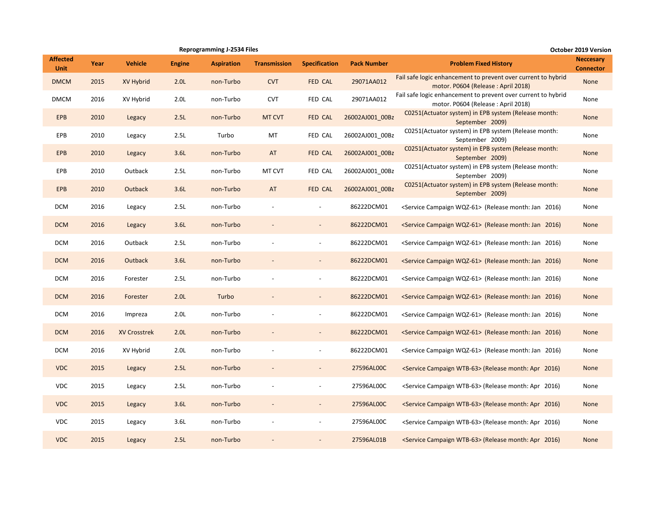|                                |      |                     |                  | <b>Reprogramming J-2534 Files</b> |                     | October 2019 Version     |                    |                                                                                                     |                                      |
|--------------------------------|------|---------------------|------------------|-----------------------------------|---------------------|--------------------------|--------------------|-----------------------------------------------------------------------------------------------------|--------------------------------------|
| <b>Affected</b><br><b>Unit</b> | Year | <b>Vehicle</b>      | <b>Engine</b>    | <b>Aspiration</b>                 | <b>Transmission</b> | <b>Specification</b>     | <b>Pack Number</b> | <b>Problem Fixed History</b>                                                                        | <b>Neccesary</b><br><b>Connector</b> |
| <b>DMCM</b>                    | 2015 | XV Hybrid           | 2.0 <sub>L</sub> | non-Turbo                         | <b>CVT</b>          | FED CAL                  | 29071AA012         | Fail safe logic enhancement to prevent over current to hybrid<br>motor. P0604 (Release: April 2018) | None                                 |
| <b>DMCM</b>                    | 2016 | XV Hybrid           | 2.0 <sub>L</sub> | non-Turbo                         | <b>CVT</b>          | FED CAL                  | 29071AA012         | Fail safe logic enhancement to prevent over current to hybrid<br>motor. P0604 (Release: April 2018) | None                                 |
| <b>EPB</b>                     | 2010 | Legacy              | 2.5L             | non-Turbo                         | MT CVT              | FED CAL                  | 26002AJ001_00Bz    | C0251(Actuator system) in EPB system (Release month:<br>September 2009)                             | None                                 |
| EPB                            | 2010 | Legacy              | 2.5L             | Turbo                             | MT                  | FED CAL                  | 26002AJ001 00Bz    | C0251(Actuator system) in EPB system (Release month:<br>September 2009)                             | None                                 |
| <b>EPB</b>                     | 2010 | Legacy              | 3.6L             | non-Turbo                         | AT                  | FED CAL                  | 26002AJ001_00Bz    | C0251(Actuator system) in EPB system (Release month:<br>September 2009)                             | None                                 |
| EPB                            | 2010 | Outback             | 2.5L             | non-Turbo                         | MT CVT              | FED CAL                  | 26002AJ001 00Bz    | C0251(Actuator system) in EPB system (Release month:<br>September 2009)                             | None                                 |
| <b>EPB</b>                     | 2010 | Outback             | 3.6L             | non-Turbo                         | AT                  | FED CAL                  | 26002AJ001 00Bz    | C0251(Actuator system) in EPB system (Release month:<br>September 2009)                             | None                                 |
| <b>DCM</b>                     | 2016 | Legacy              | 2.5L             | non-Turbo                         |                     | $\overline{\phantom{a}}$ | 86222DCM01         | <service campaign="" wqz-61=""> (Release month: Jan 2016)</service>                                 | None                                 |
| <b>DCM</b>                     | 2016 | Legacy              | 3.6L             | non-Turbo                         |                     |                          | 86222DCM01         | <service campaign="" wqz-61=""> (Release month: Jan 2016)</service>                                 | None                                 |
| <b>DCM</b>                     | 2016 | Outback             | 2.5L             | non-Turbo                         |                     | $\overline{a}$           | 86222DCM01         | <service campaign="" wqz-61=""> (Release month: Jan 2016)</service>                                 | None                                 |
| <b>DCM</b>                     | 2016 | <b>Outback</b>      | 3.6L             | non-Turbo                         |                     | $\overline{\phantom{a}}$ | 86222DCM01         | <service campaign="" wqz-61=""> (Release month: Jan 2016)</service>                                 | None                                 |
| <b>DCM</b>                     | 2016 | Forester            | 2.5L             | non-Turbo                         |                     | $\overline{a}$           | 86222DCM01         | <service campaign="" wqz-61=""> (Release month: Jan 2016)</service>                                 | None                                 |
| <b>DCM</b>                     | 2016 | Forester            | 2.0 <sub>L</sub> | Turbo                             |                     | $\overline{\phantom{a}}$ | 86222DCM01         | <service campaign="" wqz-61=""> (Release month: Jan 2016)</service>                                 | None                                 |
| <b>DCM</b>                     | 2016 | Impreza             | 2.0 <sub>L</sub> | non-Turbo                         |                     | $\overline{\phantom{a}}$ | 86222DCM01         | <service campaign="" wqz-61=""> (Release month: Jan 2016)</service>                                 | None                                 |
| <b>DCM</b>                     | 2016 | <b>XV Crosstrek</b> | 2.0 <sub>L</sub> | non-Turbo                         |                     |                          | 86222DCM01         | <service campaign="" wqz-61=""> (Release month: Jan 2016)</service>                                 | None                                 |
| <b>DCM</b>                     | 2016 | XV Hybrid           | 2.0 <sub>L</sub> | non-Turbo                         |                     |                          | 86222DCM01         | <service campaign="" wqz-61=""> (Release month: Jan 2016)</service>                                 | None                                 |
| <b>VDC</b>                     | 2015 | Legacy              | 2.5L             | non-Turbo                         |                     | $\overline{\phantom{a}}$ | 27596AL00C         | <service campaign="" wtb-63=""> (Release month: Apr 2016)</service>                                 | None                                 |
| <b>VDC</b>                     | 2015 | Legacy              | 2.5L             | non-Turbo                         |                     | $\overline{a}$           | 27596AL00C         | <service campaign="" wtb-63=""> (Release month: Apr 2016)</service>                                 | None                                 |
| <b>VDC</b>                     | 2015 | Legacy              | 3.6L             | non-Turbo                         |                     |                          | 27596AL00C         | <service campaign="" wtb-63=""> (Release month: Apr 2016)</service>                                 | None                                 |
| <b>VDC</b>                     | 2015 | Legacy              | 3.6L             | non-Turbo                         |                     | $\overline{\phantom{a}}$ | 27596AL00C         | <service campaign="" wtb-63=""> (Release month: Apr 2016)</service>                                 | None                                 |
| <b>VDC</b>                     | 2015 | Legacy              | 2.5L             | non-Turbo                         |                     |                          | 27596AL01B         | <service campaign="" wtb-63=""> (Release month: Apr 2016)</service>                                 | None                                 |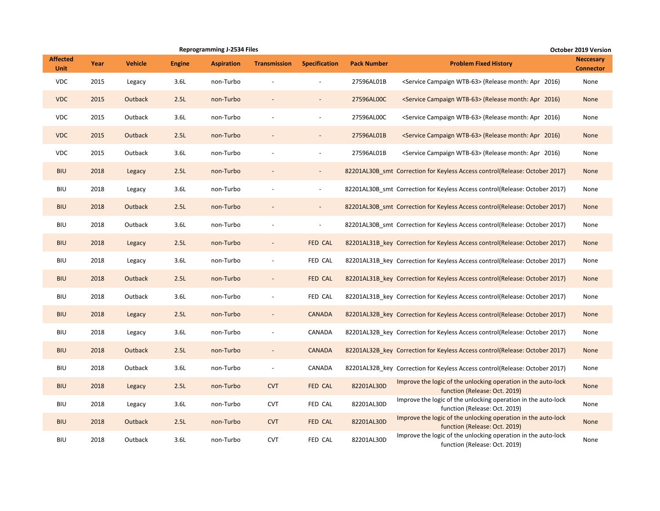|                                |      |                |               | <b>Reprogramming J-2534 Files</b> |                          |                          |                    |                                                                                                | October 2019 Version                 |
|--------------------------------|------|----------------|---------------|-----------------------------------|--------------------------|--------------------------|--------------------|------------------------------------------------------------------------------------------------|--------------------------------------|
| <b>Affected</b><br><b>Unit</b> | Year | <b>Vehicle</b> | <b>Engine</b> | <b>Aspiration</b>                 | <b>Transmission</b>      | <b>Specification</b>     | <b>Pack Number</b> | <b>Problem Fixed History</b>                                                                   | <b>Neccesary</b><br><b>Connector</b> |
| <b>VDC</b>                     | 2015 | Legacy         | 3.6L          | non-Turbo                         |                          |                          | 27596AL01B         | <service campaign="" wtb-63=""> (Release month: Apr 2016)</service>                            | None                                 |
| <b>VDC</b>                     | 2015 | Outback        | 2.5L          | non-Turbo                         |                          | $\overline{\phantom{a}}$ | 27596AL00C         | <service campaign="" wtb-63=""> (Release month: Apr 2016)</service>                            | None                                 |
| <b>VDC</b>                     | 2015 | Outback        | 3.6L          | non-Turbo                         |                          |                          | 27596AL00C         | <service campaign="" wtb-63=""> (Release month: Apr 2016)</service>                            | None                                 |
| <b>VDC</b>                     | 2015 | Outback        | 2.5L          | non-Turbo                         |                          |                          | 27596AL01B         | <service campaign="" wtb-63=""> (Release month: Apr 2016)</service>                            | None                                 |
| <b>VDC</b>                     | 2015 | Outback        | 3.6L          | non-Turbo                         |                          |                          | 27596AL01B         | <service campaign="" wtb-63=""> (Release month: Apr 2016)</service>                            | None                                 |
| <b>BIU</b>                     | 2018 | Legacy         | 2.5L          | non-Turbo                         |                          | $\overline{\phantom{a}}$ |                    | 82201AL30B_smt_Correction for Keyless Access control(Release: October 2017)                    | None                                 |
| <b>BIU</b>                     | 2018 | Legacy         | 3.6L          | non-Turbo                         |                          | $\overline{\phantom{a}}$ |                    | 82201AL30B smt Correction for Keyless Access control(Release: October 2017)                    | None                                 |
| <b>BIU</b>                     | 2018 | Outback        | 2.5L          | non-Turbo                         |                          | $\overline{\phantom{a}}$ |                    | 82201AL30B_smt_Correction for Keyless Access control(Release: October 2017)                    | None                                 |
| BIU                            | 2018 | Outback        | 3.6L          | non-Turbo                         | $\overline{\phantom{a}}$ | $\overline{\phantom{a}}$ |                    | 82201AL30B_smt_Correction for Keyless Access control(Release: October 2017)                    | None                                 |
| <b>BIU</b>                     | 2018 | Legacy         | 2.5L          | non-Turbo                         |                          | FED CAL                  |                    | 82201AL31B_key_Correction for Keyless Access control(Release: October 2017)                    | None                                 |
| <b>BIU</b>                     | 2018 | Legacy         | 3.6L          | non-Turbo                         |                          | FED CAL                  |                    | 82201AL31B key Correction for Keyless Access control(Release: October 2017)                    | None                                 |
| <b>BIU</b>                     | 2018 | Outback        | 2.5L          | non-Turbo                         | $\overline{\phantom{a}}$ | FED CAL                  |                    | 82201AL31B key Correction for Keyless Access control(Release: October 2017)                    | <b>None</b>                          |
| BIU                            | 2018 | Outback        | 3.6L          | non-Turbo                         | $\overline{\phantom{a}}$ | FED CAL                  |                    | 82201AL31B_key Correction for Keyless Access control(Release: October 2017)                    | None                                 |
| <b>BIU</b>                     | 2018 | Legacy         | 2.5L          | non-Turbo                         |                          | <b>CANADA</b>            |                    | 82201AL32B_key Correction for Keyless Access control(Release: October 2017)                    | <b>None</b>                          |
| BIU                            | 2018 | Legacy         | 3.6L          | non-Turbo                         | $\overline{\phantom{a}}$ | CANADA                   |                    | 82201AL32B key Correction for Keyless Access control(Release: October 2017)                    | None                                 |
| <b>BIU</b>                     | 2018 | Outback        | 2.5L          | non-Turbo                         | $\overline{\phantom{a}}$ | <b>CANADA</b>            |                    | 82201AL32B_key_Correction for Keyless Access control(Release: October 2017)                    | None                                 |
| <b>BIU</b>                     | 2018 | Outback        | 3.6L          | non-Turbo                         |                          | CANADA                   |                    | 82201AL32B key Correction for Keyless Access control(Release: October 2017)                    | None                                 |
| <b>BIU</b>                     | 2018 | Legacy         | 2.5L          | non-Turbo                         | <b>CVT</b>               | FED CAL                  | 82201AL30D         | Improve the logic of the unlocking operation in the auto-lock<br>function (Release: Oct. 2019) | None                                 |
| <b>BIU</b>                     | 2018 | Legacy         | 3.6L          | non-Turbo                         | <b>CVT</b>               | FED CAL                  | 82201AL30D         | Improve the logic of the unlocking operation in the auto-lock<br>function (Release: Oct. 2019) | None                                 |
| <b>BIU</b>                     | 2018 | Outback        | 2.5L          | non-Turbo                         | <b>CVT</b>               | FED CAL                  | 82201AL30D         | Improve the logic of the unlocking operation in the auto-lock<br>function (Release: Oct. 2019) | None                                 |
| <b>BIU</b>                     | 2018 | Outback        | 3.6L          | non-Turbo                         | <b>CVT</b>               | FED CAL                  | 82201AL30D         | Improve the logic of the unlocking operation in the auto-lock<br>function (Release: Oct. 2019) | None                                 |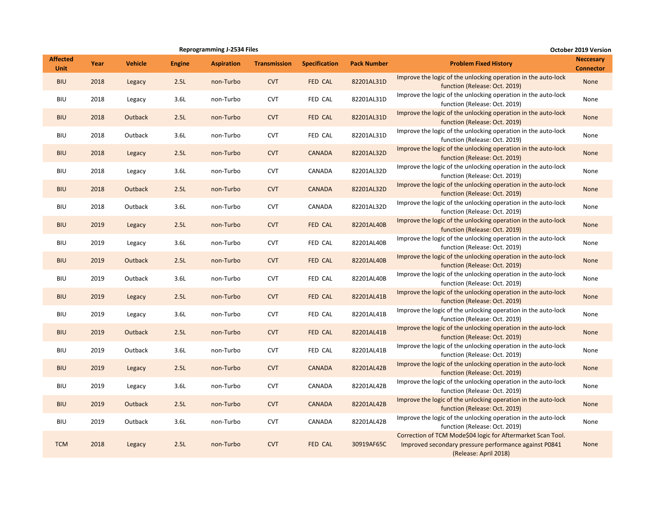|                                |      |                |               | <b>Reprogramming J-2534 Files</b> |                     |                      |                    |                                                                                                                                               | <b>October 2019 Version</b>          |
|--------------------------------|------|----------------|---------------|-----------------------------------|---------------------|----------------------|--------------------|-----------------------------------------------------------------------------------------------------------------------------------------------|--------------------------------------|
| <b>Affected</b><br><b>Unit</b> | Year | <b>Vehicle</b> | <b>Engine</b> | <b>Aspiration</b>                 | <b>Transmission</b> | <b>Specification</b> | <b>Pack Number</b> | <b>Problem Fixed History</b>                                                                                                                  | <b>Neccesary</b><br><b>Connector</b> |
| <b>BIU</b>                     | 2018 | Legacy         | 2.5L          | non-Turbo                         | <b>CVT</b>          | <b>FED CAL</b>       | 82201AL31D         | Improve the logic of the unlocking operation in the auto-lock<br>function (Release: Oct. 2019)                                                | None                                 |
| <b>BIU</b>                     | 2018 | Legacy         | 3.6L          | non-Turbo                         | <b>CVT</b>          | FED CAL              | 82201AL31D         | Improve the logic of the unlocking operation in the auto-lock<br>function (Release: Oct. 2019)                                                | None                                 |
| <b>BIU</b>                     | 2018 | Outback        | 2.5L          | non-Turbo                         | <b>CVT</b>          | FED CAL              | 82201AL31D         | Improve the logic of the unlocking operation in the auto-lock<br>function (Release: Oct. 2019)                                                | None                                 |
| <b>BIU</b>                     | 2018 | Outback        | 3.6L          | non-Turbo                         | <b>CVT</b>          | FED CAL              | 82201AL31D         | Improve the logic of the unlocking operation in the auto-lock<br>function (Release: Oct. 2019)                                                | None                                 |
| <b>BIU</b>                     | 2018 | Legacy         | 2.5L          | non-Turbo                         | <b>CVT</b>          | <b>CANADA</b>        | 82201AL32D         | Improve the logic of the unlocking operation in the auto-lock<br>function (Release: Oct. 2019)                                                | None                                 |
| <b>BIU</b>                     | 2018 | Legacy         | 3.6L          | non-Turbo                         | <b>CVT</b>          | CANADA               | 82201AL32D         | Improve the logic of the unlocking operation in the auto-lock<br>function (Release: Oct. 2019)                                                | None                                 |
| <b>BIU</b>                     | 2018 | <b>Outback</b> | 2.5L          | non-Turbo                         | <b>CVT</b>          | <b>CANADA</b>        | 82201AL32D         | Improve the logic of the unlocking operation in the auto-lock<br>function (Release: Oct. 2019)                                                | <b>None</b>                          |
| <b>BIU</b>                     | 2018 | Outback        | 3.6L          | non-Turbo                         | <b>CVT</b>          | CANADA               | 82201AL32D         | Improve the logic of the unlocking operation in the auto-lock<br>function (Release: Oct. 2019)                                                | None                                 |
| <b>BIU</b>                     | 2019 | Legacy         | 2.5L          | non-Turbo                         | <b>CVT</b>          | FED CAL              | 82201AL40B         | Improve the logic of the unlocking operation in the auto-lock<br>function (Release: Oct. 2019)                                                | None                                 |
| <b>BIU</b>                     | 2019 | Legacy         | 3.6L          | non-Turbo                         | <b>CVT</b>          | FED CAL              | 82201AL40B         | Improve the logic of the unlocking operation in the auto-lock<br>function (Release: Oct. 2019)                                                | None                                 |
| <b>BIU</b>                     | 2019 | Outback        | 2.5L          | non-Turbo                         | <b>CVT</b>          | FED CAL              | 82201AL40B         | Improve the logic of the unlocking operation in the auto-lock<br>function (Release: Oct. 2019)                                                | None                                 |
| <b>BIU</b>                     | 2019 | Outback        | 3.6L          | non-Turbo                         | <b>CVT</b>          | FED CAL              | 82201AL40B         | Improve the logic of the unlocking operation in the auto-lock<br>function (Release: Oct. 2019)                                                | None                                 |
| <b>BIU</b>                     | 2019 | Legacy         | 2.5L          | non-Turbo                         | <b>CVT</b>          | FED CAL              | 82201AL41B         | Improve the logic of the unlocking operation in the auto-lock<br>function (Release: Oct. 2019)                                                | None                                 |
| BIU                            | 2019 | Legacy         | 3.6L          | non-Turbo                         | <b>CVT</b>          | FED CAL              | 82201AL41B         | Improve the logic of the unlocking operation in the auto-lock<br>function (Release: Oct. 2019)                                                | None                                 |
| <b>BIU</b>                     | 2019 | Outback        | 2.5L          | non-Turbo                         | <b>CVT</b>          | FED CAL              | 82201AL41B         | Improve the logic of the unlocking operation in the auto-lock<br>function (Release: Oct. 2019)                                                | None                                 |
| <b>BIU</b>                     | 2019 | Outback        | 3.6L          | non-Turbo                         | <b>CVT</b>          | FED CAL              | 82201AL41B         | Improve the logic of the unlocking operation in the auto-lock<br>function (Release: Oct. 2019)                                                | None                                 |
| <b>BIU</b>                     | 2019 | Legacy         | 2.5L          | non-Turbo                         | <b>CVT</b>          | <b>CANADA</b>        | 82201AL42B         | Improve the logic of the unlocking operation in the auto-lock<br>function (Release: Oct. 2019)                                                | None                                 |
| <b>BIU</b>                     | 2019 | Legacy         | 3.6L          | non-Turbo                         | <b>CVT</b>          | CANADA               | 82201AL42B         | Improve the logic of the unlocking operation in the auto-lock<br>function (Release: Oct. 2019)                                                | None                                 |
| <b>BIU</b>                     | 2019 | Outback        | 2.5L          | non-Turbo                         | <b>CVT</b>          | <b>CANADA</b>        | 82201AL42B         | Improve the logic of the unlocking operation in the auto-lock<br>function (Release: Oct. 2019)                                                | None                                 |
| <b>BIU</b>                     | 2019 | Outback        | 3.6L          | non-Turbo                         | <b>CVT</b>          | CANADA               | 82201AL42B         | Improve the logic of the unlocking operation in the auto-lock<br>function (Release: Oct. 2019)                                                | None                                 |
| <b>TCM</b>                     | 2018 | Legacy         | 2.5L          | non-Turbo                         | <b>CVT</b>          | <b>FED CAL</b>       | 30919AF65C         | Correction of TCM Mode\$04 logic for Aftermarket Scan Tool.<br>Improved secondary pressure performance against P0841<br>(Release: April 2018) | None                                 |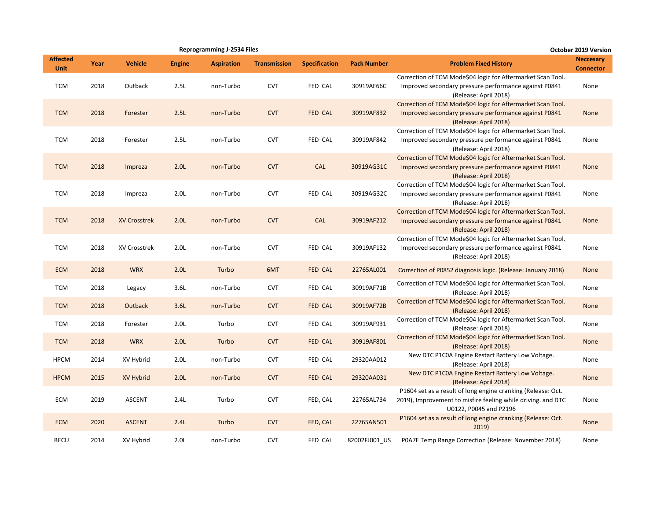|                                |      |                     |                  | <b>Reprogramming J-2534 Files</b> |                     |                      |                    |                                                                                                                                                        | October 2019 Version                 |
|--------------------------------|------|---------------------|------------------|-----------------------------------|---------------------|----------------------|--------------------|--------------------------------------------------------------------------------------------------------------------------------------------------------|--------------------------------------|
| <b>Affected</b><br><b>Unit</b> | Year | <b>Vehicle</b>      | <b>Engine</b>    | <b>Aspiration</b>                 | <b>Transmission</b> | <b>Specification</b> | <b>Pack Number</b> | <b>Problem Fixed History</b>                                                                                                                           | <b>Neccesary</b><br><b>Connector</b> |
| <b>TCM</b>                     | 2018 | Outback             | 2.5L             | non-Turbo                         | <b>CVT</b>          | FED CAL              | 30919AF66C         | Correction of TCM Mode\$04 logic for Aftermarket Scan Tool.<br>Improved secondary pressure performance against P0841<br>(Release: April 2018)          | None                                 |
| <b>TCM</b>                     | 2018 | Forester            | 2.5L             | non-Turbo                         | <b>CVT</b>          | FED CAL              | 30919AF832         | Correction of TCM Mode\$04 logic for Aftermarket Scan Tool.<br>Improved secondary pressure performance against P0841<br>(Release: April 2018)          | None                                 |
| <b>TCM</b>                     | 2018 | Forester            | 2.5L             | non-Turbo                         | <b>CVT</b>          | FED CAL              | 30919AF842         | Correction of TCM Mode\$04 logic for Aftermarket Scan Tool.<br>Improved secondary pressure performance against P0841<br>(Release: April 2018)          | None                                 |
| <b>TCM</b>                     | 2018 | Impreza             | 2.0 <sub>L</sub> | non-Turbo                         | <b>CVT</b>          | CAL                  | 30919AG31C         | Correction of TCM Mode\$04 logic for Aftermarket Scan Tool.<br>Improved secondary pressure performance against P0841<br>(Release: April 2018)          | None                                 |
| <b>TCM</b>                     | 2018 | Impreza             | 2.0 <sub>L</sub> | non-Turbo                         | <b>CVT</b>          | FED CAL              | 30919AG32C         | Correction of TCM Mode\$04 logic for Aftermarket Scan Tool.<br>Improved secondary pressure performance against P0841<br>(Release: April 2018)          | None                                 |
| <b>TCM</b>                     | 2018 | <b>XV Crosstrek</b> | 2.0 <sub>L</sub> | non-Turbo                         | <b>CVT</b>          | CAL                  | 30919AF212         | Correction of TCM Mode\$04 logic for Aftermarket Scan Tool.<br>Improved secondary pressure performance against P0841<br>(Release: April 2018)          | None                                 |
| <b>TCM</b>                     | 2018 | <b>XV Crosstrek</b> | 2.0 <sub>L</sub> | non-Turbo                         | <b>CVT</b>          | FED CAL              | 30919AF132         | Correction of TCM Mode\$04 logic for Aftermarket Scan Tool.<br>Improved secondary pressure performance against P0841<br>(Release: April 2018)          | None                                 |
| <b>ECM</b>                     | 2018 | <b>WRX</b>          | 2.0 <sub>L</sub> | Turbo                             | 6MT                 | FED CAL              | 22765AL001         | Correction of P0852 diagnosis logic. (Release: January 2018)                                                                                           | None                                 |
| <b>TCM</b>                     | 2018 | Legacy              | 3.6L             | non-Turbo                         | <b>CVT</b>          | FED CAL              | 30919AF71B         | Correction of TCM Mode\$04 logic for Aftermarket Scan Tool.<br>(Release: April 2018)                                                                   | None                                 |
| <b>TCM</b>                     | 2018 | Outback             | 3.6L             | non-Turbo                         | <b>CVT</b>          | FED CAL              | 30919AF72B         | Correction of TCM Mode\$04 logic for Aftermarket Scan Tool.<br>(Release: April 2018)                                                                   | None                                 |
| <b>TCM</b>                     | 2018 | Forester            | 2.0 <sub>L</sub> | Turbo                             | <b>CVT</b>          | FED CAL              | 30919AF931         | Correction of TCM Mode\$04 logic for Aftermarket Scan Tool.<br>(Release: April 2018)                                                                   | None                                 |
| <b>TCM</b>                     | 2018 | <b>WRX</b>          | 2.0 <sub>L</sub> | Turbo                             | <b>CVT</b>          | FED CAL              | 30919AF801         | Correction of TCM Mode\$04 logic for Aftermarket Scan Tool.<br>(Release: April 2018)                                                                   | None                                 |
| <b>HPCM</b>                    | 2014 | XV Hybrid           | 2.0 <sub>L</sub> | non-Turbo                         | <b>CVT</b>          | FED CAL              | 29320AA012         | New DTC P1C0A Engine Restart Battery Low Voltage.<br>(Release: April 2018)                                                                             | None                                 |
| <b>HPCM</b>                    | 2015 | XV Hybrid           | 2.0 <sub>L</sub> | non-Turbo                         | <b>CVT</b>          | FED CAL              | 29320AA031         | New DTC P1C0A Engine Restart Battery Low Voltage.<br>(Release: April 2018)                                                                             | <b>None</b>                          |
| ECM                            | 2019 | <b>ASCENT</b>       | 2.4L             | Turbo                             | <b>CVT</b>          | FED, CAL             | 22765AL734         | P1604 set as a result of long engine cranking (Release: Oct.<br>2019), Improvement to misfire feeling while driving. and DTC<br>U0122, P0045 and P2196 | None                                 |
| <b>ECM</b>                     | 2020 | <b>ASCENT</b>       | 2.4L             | Turbo                             | <b>CVT</b>          | FED, CAL             | 22765AN501         | P1604 set as a result of long engine cranking (Release: Oct.<br>2019)                                                                                  | None                                 |
| <b>BECU</b>                    | 2014 | XV Hybrid           | 2.0 <sub>L</sub> | non-Turbo                         | <b>CVT</b>          | <b>FED CAL</b>       | 82002FJ001 US      | POA7E Temp Range Correction (Release: November 2018)                                                                                                   | None                                 |